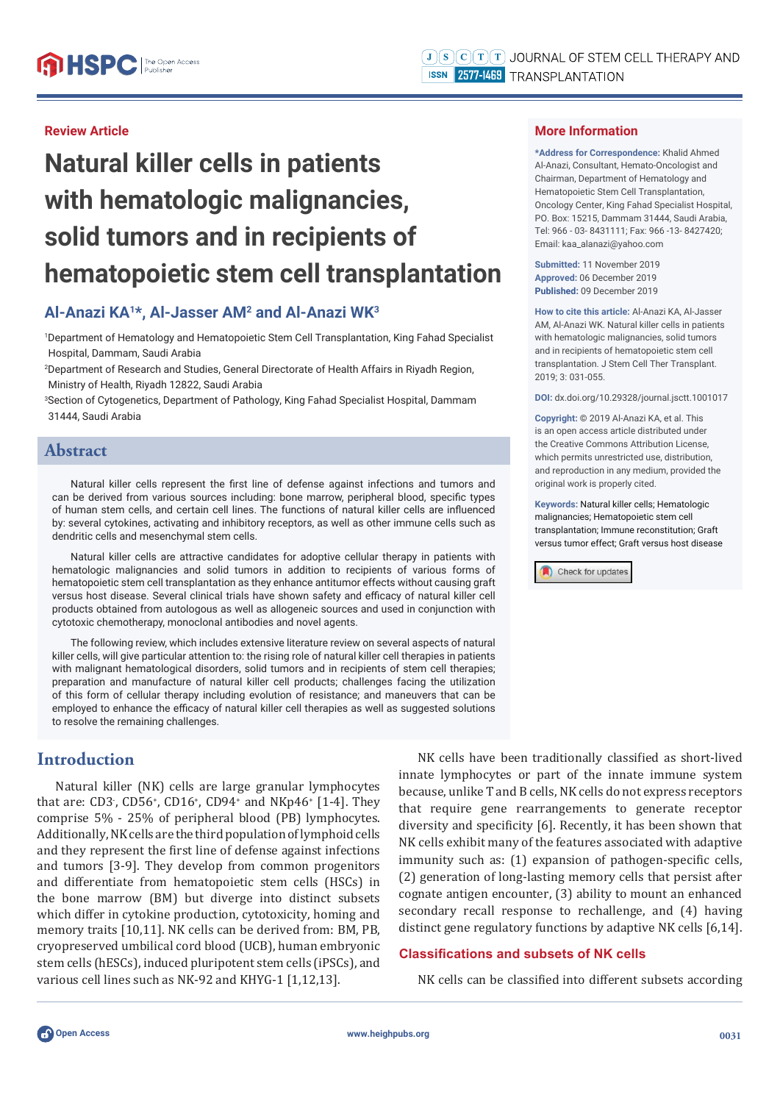### **Review Article**

# **Natural killer cells in patients with hematologic malignancies, solid tumors and in recipients of hematopoietic stem cell transplantation**

# **Al-Anazi KA1\*, Al-Jasser AM2 and Al-Anazi WK3**

1 Department of Hematology and Hematopoietic Stem Cell Transplantation, King Fahad Specialist Hospital, Dammam, Saudi Arabia

2 Department of Research and Studies, General Directorate of Health Affairs in Riyadh Region, Ministry of Health, Riyadh 12822, Saudi Arabia

3 Section of Cytogenetics, Department of Pathology, King Fahad Specialist Hospital, Dammam 31444, Saudi Arabia

#### **Abstract**

Natural killer cells represent the first line of defense against infections and tumors and can be derived from various sources including: bone marrow, peripheral blood, specific types of human stem cells, and certain cell lines. The functions of natural killer cells are influenced by: several cytokines, activating and inhibitory receptors, as well as other immune cells such as dendritic cells and mesenchymal stem cells.

Natural killer cells are attractive candidates for adoptive cellular therapy in patients with hematologic malignancies and solid tumors in addition to recipients of various forms of hematopoietic stem cell transplantation as they enhance antitumor effects without causing graft versus host disease. Several clinical trials have shown safety and efficacy of natural killer cell products obtained from autologous as well as allogeneic sources and used in conjunction with cytotoxic chemotherapy, monoclonal antibodies and novel agents.

The following review, which includes extensive literature review on several aspects of natural killer cells, will give particular attention to: the rising role of natural killer cell therapies in patients with malignant hematological disorders, solid tumors and in recipients of stem cell therapies; preparation and manufacture of natural killer cell products; challenges facing the utilization of this form of cellular therapy including evolution of resistance; and maneuvers that can be employed to enhance the efficacy of natural killer cell therapies as well as suggested solutions to resolve the remaining challenges.

# **Introduction**

Natural killer (NK) cells are large granular lymphocytes that are: CD3, CD56<sup>+</sup>, CD16<sup>+</sup>, CD94<sup>+</sup> and NKp46<sup>+</sup> [1-4]. They comprise 5% - 25% of peripheral blood (PB) lymphocytes. Additionally, NK cells are the third population of lymphoid cells and they represent the first line of defense against infections and tumors [3-9]. They develop from common progenitors and differentiate from hematopoietic stem cells (HSCs) in the bone marrow (BM) but diverge into distinct subsets which differ in cytokine production, cytotoxicity, homing and memory traits [10,11]. NK cells can be derived from: BM, PB, cryopreserved umbilical cord blood (UCB), human embryonic stem cells (hESCs), induced pluripotent stem cells (iPSCs), and various cell lines such as NK-92 and KHYG-1 [1,12,13].

NK cells have been traditionally classified as short-lived innate lymphocytes or part of the innate immune system because, unlike T and B cells, NK cells do not express receptors that require gene rearrangements to generate receptor diversity and specificity [6]. Recently, it has been shown that NK cells exhibit many of the features associated with adaptive immunity such as: (1) expansion of pathogen-specific cells, (2) generation of long-lasting memory cells that persist after cognate antigen encounter, (3) ability to mount an enhanced secondary recall response to rechallenge, and (4) having distinct gene regulatory functions by adaptive NK cells [6,14].

#### **Classifi cations and subsets of NK cells**

NK cells can be classified into different subsets according



**\*Address for Correspondence:** Khalid Ahmed Al-Anazi, Consultant, Hemato-Oncologist and Chairman, Department of Hematology and Hematopoietic Stem Cell Transplantation, Oncology Center, King Fahad Specialist Hospital, PO. Box: 15215, Dammam 31444, Saudi Arabia, Tel: 966 - 03- 8431111; Fax: 966 -13- 8427420; Email: kaa\_alanazi@yahoo.com

**Submitted:** 11 November 2019 **Approved:** 06 December 2019 **Published:** 09 December 2019

**How to cite this article:** Al-Anazi KA, Al-Jasser AM, Al-Anazi WK. Natural killer cells in patients with hematologic malignancies, solid tumors and in recipients of hematopoietic stem cell transplantation. J Stem Cell Ther Transplant. 2019; 3: 031-055.

**DOI:** dx.doi.org/10.29328/journal.jsctt.1001017

**Copyright: ©** 2019 Al-Anazi KA, et al. This is an open access article distributed under the Creative Commons Attribution License, which permits unrestricted use, distribution, and reproduction in any medium, provided the original work is properly cited.

**Keywords:** Natural killer cells; Hematologic malignancies; Hematopoietic stem cell transplantation; Immune reconstitution; Graft versus tumor effect; Graft versus host disease

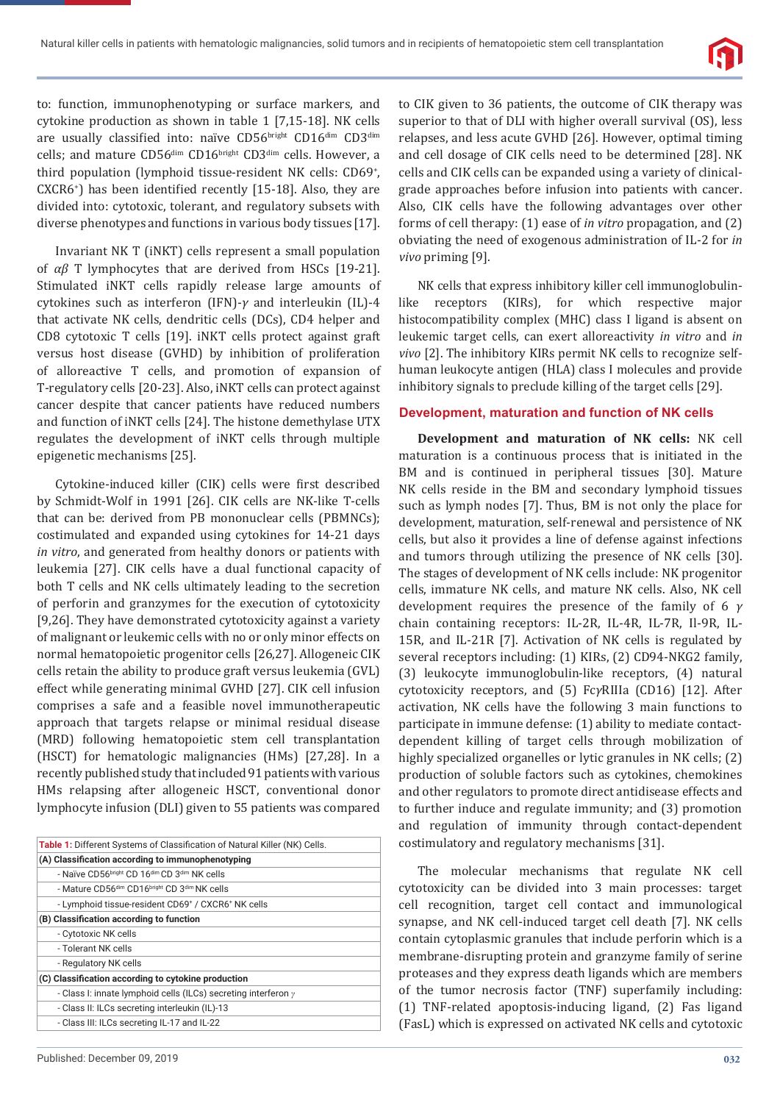

to: function, immunophenotyping or surface markers, and cytokine production as shown in table 1 [7,15-18]. NK cells are usually classified into: naïve CD56bright CD16dim CD3dim cells; and mature CD56<sup>dim</sup> CD16<sup>bright</sup> CD3<sup>dim</sup> cells. However, a third population (lymphoid tissue-resident NK cells: CD69<sup>+</sup>,  $CXCR6<sup>+</sup>$ ) has been identified recently  $[15-18]$ . Also, they are divided into: cytotoxic, tolerant, and regulatory subsets with diverse phenotypes and functions in various body tissues [17].

Invariant NK T (iNKT) cells represent a small population of *αβ* T lymphocytes that are derived from HSCs [19-21]. Stimulated iNKT cells rapidly release large amounts of cytokines such as interferon (IFN)-*γ* and interleukin (IL)-4 that activate NK cells, dendritic cells (DCs), CD4 helper and CD8 cytotoxic T cells [19]. iNKT cells protect against graft versus host disease (GVHD) by inhibition of proliferation of alloreactive T cells, and promotion of expansion of T-regulatory cells [20-23]. Also, iNKT cells can protect against cancer despite that cancer patients have reduced numbers and function of iNKT cells [24]. The histone demethylase UTX regulates the development of iNKT cells through multiple epigenetic mechanisms [25].

Cytokine-induced killer (CIK) cells were first described by Schmidt-Wolf in 1991 [26]. CIK cells are NK-like T-cells that can be: derived from PB mononuclear cells (PBMNCs); costimulated and expanded using cytokines for 14-21 days *in vitro*, and generated from healthy donors or patients with leukemia [27]. CIK cells have a dual functional capacity of both T cells and NK cells ultimately leading to the secretion of perforin and granzymes for the execution of cytotoxicity [9,26]. They have demonstrated cytotoxicity against a variety of malignant or leukemic cells with no or only minor effects on normal hematopoietic progenitor cells [26,27]. Allogeneic CIK cells retain the ability to produce graft versus leukemia (GVL) effect while generating minimal GVHD [27]. CIK cell infusion comprises a safe and a feasible novel immunotherapeutic approach that targets relapse or minimal residual disease (MRD) following hematopoietic stem cell transplantation (HSCT) for hematologic malignancies (HMs) [27,28]. In a recently published study that included 91 patients with various HMs relapsing after allogeneic HSCT, conventional donor lymphocyte infusion (DLI) given to 55 patients was compared

| <b>Table 1:</b> Different Systems of Classification of Natural Killer (NK) Cells. |
|-----------------------------------------------------------------------------------|
| (A) Classification according to immunophenotyping                                 |
| - Naïve CD56bright CD 16dim CD 3dim NK cells                                      |
| - Mature CD56 <sup>dim</sup> CD16 <sup>bright</sup> CD 3 <sup>dim</sup> NK cells  |
| - Lymphoid tissue-resident CD69 <sup>+</sup> / CXCR6 <sup>+</sup> NK cells        |
| (B) Classification according to function                                          |
| - Cytotoxic NK cells                                                              |
| - Tolerant NK cells                                                               |
| - Regulatory NK cells                                                             |
| (C) Classification according to cytokine production                               |
| - Class I: innate lymphoid cells (ILCs) secreting interferon $\gamma$             |
| - Class II: ILCs secreting interleukin (IL)-13                                    |
| - Class III: ILCs secreting IL-17 and IL-22                                       |
|                                                                                   |

to CIK given to 36 patients, the outcome of CIK therapy was superior to that of DLI with higher overall survival (OS), less relapses, and less acute GVHD [26]. However, optimal timing and cell dosage of CIK cells need to be determined [28]. NK cells and CIK cells can be expanded using a variety of clinicalgrade approaches before infusion into patients with cancer. Also, CIK cells have the following advantages over other forms of cell therapy: (1) ease of *in vitro* propagation, and (2) obviating the need of exogenous administration of IL-2 for *in vivo* priming [9].

NK cells that express inhibitory killer cell immunoglobulinlike receptors (KIRs), for which respective major histocompatibility complex (MHC) class I ligand is absent on leukemic target cells, can exert alloreactivity *in vitro* and *in vivo* [2]. The inhibitory KIRs permit NK cells to recognize selfhuman leukocyte antigen (HLA) class I molecules and provide inhibitory signals to preclude killing of the target cells [29].

#### **Development, maturation and function of NK cells**

**Development and maturation of NK cells:** NK cell maturation is a continuous process that is initiated in the BM and is continued in peripheral tissues [30]. Mature NK cells reside in the BM and secondary lymphoid tissues such as lymph nodes [7]. Thus, BM is not only the place for development, maturation, self-renewal and persistence of NK cells, but also it provides a line of defense against infections and tumors through utilizing the presence of NK cells [30]. The stages of development of NK cells include: NK progenitor cells, immature NK cells, and mature NK cells. Also, NK cell development requires the presence of the family of 6 *γ* chain containing receptors: IL-2R, IL-4R, IL-7R, Il-9R, IL-15R, and IL-21R [7]. Activation of NK cells is regulated by several receptors including: (1) KIRs, (2) CD94-NKG2 family, (3) leukocyte immunoglobulin-like receptors, (4) natural cytotoxicity receptors, and (5) Fc*γ*RIIIa (CD16) [12]. After activation, NK cells have the following 3 main functions to participate in immune defense: (1) ability to mediate contactdependent killing of target cells through mobilization of highly specialized organelles or lytic granules in NK cells; (2) production of soluble factors such as cytokines, chemokines and other regulators to promote direct antidisease effects and to further induce and regulate immunity; and (3) promotion and regulation of immunity through contact-dependent costimulatory and regulatory mechanisms [31].

The molecular mechanisms that regulate NK cell cytotoxicity can be divided into 3 main processes: target cell recognition, target cell contact and immunological synapse, and NK cell-induced target cell death [7]. NK cells contain cytoplasmic granules that include perforin which is a membrane-disrupting protein and granzyme family of serine proteases and they express death ligands which are members of the tumor necrosis factor (TNF) superfamily including: (1) TNF-related apoptosis-inducing ligand, (2) Fas ligand (FasL) which is expressed on activated NK cells and cytotoxic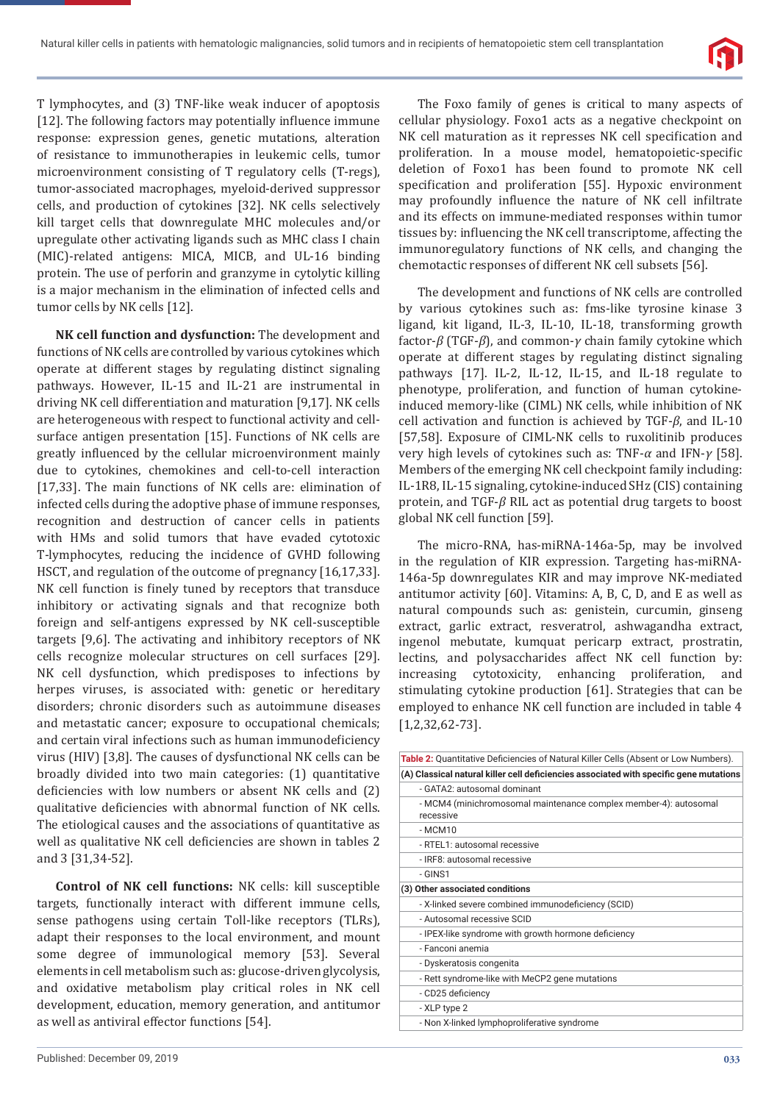

T lymphocytes, and (3) TNF-like weak inducer of apoptosis [12]. The following factors may potentially influence immune response: expression genes, genetic mutations, alteration of resistance to immunotherapies in leukemic cells, tumor microenvironment consisting of T regulatory cells (T-regs), tumor-associated macrophages, myeloid-derived suppressor cells, and production of cytokines [32]. NK cells selectively kill target cells that downregulate MHC molecules and/or upregulate other activating ligands such as MHC class I chain (MIC)-related antigens: MICA, MICB, and UL-16 binding protein. The use of perforin and granzyme in cytolytic killing is a major mechanism in the elimination of infected cells and tumor cells by NK cells [12].

**NK cell function and dysfunction:** The development and functions of NK cells are controlled by various cytokines which operate at different stages by regulating distinct signaling pathways. However, IL-15 and IL-21 are instrumental in driving NK cell differentiation and maturation [9,17]. NK cells are heterogeneous with respect to functional activity and cellsurface antigen presentation [15]. Functions of NK cells are greatly influenced by the cellular microenvironment mainly due to cytokines, chemokines and cell-to-cell interaction [17,33]. The main functions of NK cells are: elimination of infected cells during the adoptive phase of immune responses, recognition and destruction of cancer cells in patients with HMs and solid tumors that have evaded cytotoxic T-lymphocytes, reducing the incidence of GVHD following HSCT, and regulation of the outcome of pregnancy [16,17,33]. NK cell function is finely tuned by receptors that transduce inhibitory or activating signals and that recognize both foreign and self-antigens expressed by NK cell-susceptible targets [9,6]. The activating and inhibitory receptors of NK cells recognize molecular structures on cell surfaces [29]. NK cell dysfunction, which predisposes to infections by herpes viruses, is associated with: genetic or hereditary disorders; chronic disorders such as autoimmune diseases and metastatic cancer; exposure to occupational chemicals; and certain viral infections such as human immunodeficiency virus (HIV) [3,8]. The causes of dysfunctional NK cells can be broadly divided into two main categories: (1) quantitative deficiencies with low numbers or absent NK cells and (2) qualitative deficiencies with abnormal function of NK cells. The etiological causes and the associations of quantitative as well as qualitative NK cell deficiencies are shown in tables 2 and 3 [31,34-52].

**Control of NK cell functions:** NK cells: kill susceptible targets, functionally interact with different immune cells, sense pathogens using certain Toll-like receptors (TLRs), adapt their responses to the local environment, and mount some degree of immunological memory [53]. Several elements in cell metabolism such as: glucose-driven glycolysis, and oxidative metabolism play critical roles in NK cell development, education, memory generation, and antitumor as well as antiviral effector functions [54].

The Foxo family of genes is critical to many aspects of cellular physiology. Foxo1 acts as a negative checkpoint on NK cell maturation as it represses NK cell specification and proliferation. In a mouse model, hematopoietic-specific deletion of Foxo1 has been found to promote NK cell specification and proliferation [55]. Hypoxic environment may profoundly influence the nature of NK cell infiltrate and its effects on immune-mediated responses within tumor tissues by: influencing the NK cell transcriptome, affecting the immunoregulatory functions of NK cells, and changing the chemotactic responses of different NK cell subsets [56].

The development and functions of NK cells are controlled by various cytokines such as: fms-like tyrosine kinase 3 ligand, kit ligand, IL-3, IL-10, IL-18, transforming growth factor-*β* (TGF-*β*), and common-*γ* chain family cytokine which operate at different stages by regulating distinct signaling pathways [17]. IL-2, IL-12, IL-15, and IL-18 regulate to phenotype, proliferation, and function of human cytokineinduced memory-like (CIML) NK cells, while inhibition of NK cell activation and function is achieved by TGF-*β*, and IL-10 [57,58]. Exposure of CIML-NK cells to ruxolitinib produces very high levels of cytokines such as: TNF-*α* and IFN-*γ* [58]. Members of the emerging NK cell checkpoint family including: IL-1R8, IL-15 signaling, cytokine-induced SHz (CIS) containing protein, and TGF-*β* RIL act as potential drug targets to boost global NK cell function [59].

The micro-RNA, has-miRNA-146a-5p, may be involved in the regulation of KIR expression. Targeting has-miRNA-146a-5p downregulates KIR and may improve NK-mediated antitumor activity [60]. Vitamins: A, B, C, D, and E as well as natural compounds such as: genistein, curcumin, ginseng extract, garlic extract, resveratrol, ashwagandha extract, ingenol mebutate, kumquat pericarp extract, prostratin, lectins, and polysaccharides affect NK cell function by: increasing cytotoxicity, enhancing proliferation, and stimulating cytokine production [61]. Strategies that can be employed to enhance NK cell function are included in table 4 [1,2,32,62-73].

| Table 2: Quantitative Deficiencies of Natural Killer Cells (Absent or Low Numbers).    |
|----------------------------------------------------------------------------------------|
| (A) Classical natural killer cell deficiencies associated with specific gene mutations |
| - GATA2: autosomal dominant                                                            |
| - MCM4 (minichromosomal maintenance complex member-4): autosomal                       |
| recessive                                                                              |
| $-MCM10$                                                                               |
| - RTEL1: autosomal recessive                                                           |
| - IRF8: autosomal recessive                                                            |
| $-$ GINS1                                                                              |
| (3) Other associated conditions                                                        |
| - X-linked severe combined immunodeficiency (SCID)                                     |
| - Autosomal recessive SCID                                                             |
| - IPEX-like syndrome with growth hormone deficiency                                    |
| - Fanconi anemia                                                                       |
| - Dyskeratosis congenita                                                               |
| - Rett syndrome-like with MeCP2 gene mutations                                         |
| - CD25 deficiency                                                                      |
| - XLP type 2                                                                           |
| - Non X-linked lymphoproliferative syndrome                                            |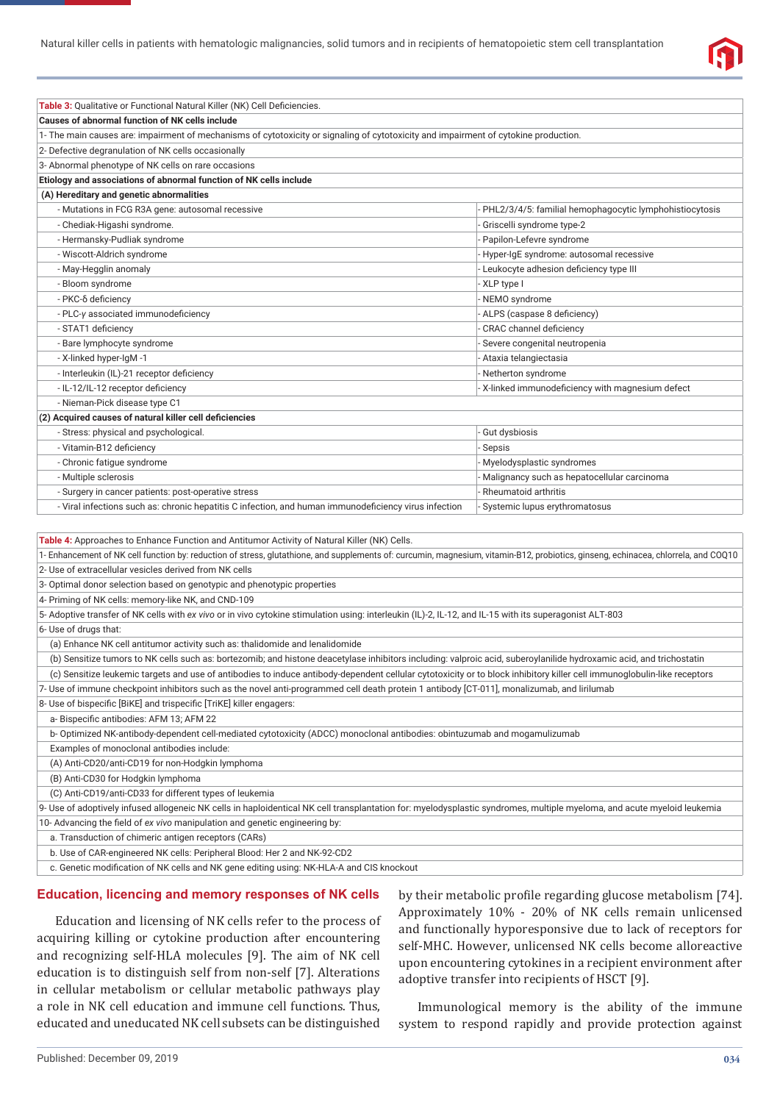

| Table 3: Qualitative or Functional Natural Killer (NK) Cell Deficiencies.                                                                                                           |                                                         |  |
|-------------------------------------------------------------------------------------------------------------------------------------------------------------------------------------|---------------------------------------------------------|--|
| Causes of abnormal function of NK cells include                                                                                                                                     |                                                         |  |
| 1- The main causes are: impairment of mechanisms of cytotoxicity or signaling of cytotoxicity and impairment of cytokine production.                                                |                                                         |  |
| 2- Defective degranulation of NK cells occasionally                                                                                                                                 |                                                         |  |
| 3- Abnormal phenotype of NK cells on rare occasions                                                                                                                                 |                                                         |  |
| Etiology and associations of abnormal function of NK cells include                                                                                                                  |                                                         |  |
| (A) Hereditary and genetic abnormalities                                                                                                                                            |                                                         |  |
| - Mutations in FCG R3A gene: autosomal recessive                                                                                                                                    | PHL2/3/4/5: familial hemophagocytic lymphohistiocytosis |  |
| - Chediak-Higashi syndrome.                                                                                                                                                         | Griscelli syndrome type-2                               |  |
| - Hermansky-Pudliak syndrome                                                                                                                                                        | Papilon-Lefevre syndrome                                |  |
| - Wiscott-Aldrich syndrome                                                                                                                                                          | - Hyper-IgE syndrome: autosomal recessive               |  |
| - May-Hegglin anomaly                                                                                                                                                               | Leukocyte adhesion deficiency type III                  |  |
| - Bloom syndrome                                                                                                                                                                    | - XLP type I                                            |  |
| - PKC-δ deficiency                                                                                                                                                                  | - NEMO syndrome                                         |  |
| - PLC-y associated immunodeficiency                                                                                                                                                 | - ALPS (caspase 8 deficiency)                           |  |
| - STAT1 deficiency                                                                                                                                                                  | CRAC channel deficiency                                 |  |
| - Bare lymphocyte syndrome                                                                                                                                                          | Severe congenital neutropenia                           |  |
| - X-linked hyper-IgM -1                                                                                                                                                             | Ataxia telangiectasia                                   |  |
| - Interleukin (IL)-21 receptor deficiency                                                                                                                                           | Netherton syndrome                                      |  |
| - IL-12/IL-12 receptor deficiency                                                                                                                                                   | - X-linked immunodeficiency with magnesium defect       |  |
| - Nieman-Pick disease type C1                                                                                                                                                       |                                                         |  |
| (2) Acquired causes of natural killer cell deficiencies                                                                                                                             |                                                         |  |
| - Stress: physical and psychological.                                                                                                                                               | Gut dysbiosis                                           |  |
| - Vitamin-B12 deficiency                                                                                                                                                            | Sepsis                                                  |  |
| - Chronic fatigue syndrome                                                                                                                                                          | Myelodysplastic syndromes                               |  |
| - Multiple sclerosis                                                                                                                                                                | Malignancy such as hepatocellular carcinoma             |  |
| - Surgery in cancer patients: post-operative stress                                                                                                                                 | Rheumatoid arthritis                                    |  |
| - Viral infections such as: chronic hepatitis C infection, and human immunodeficiency virus infection                                                                               | Systemic lupus erythromatosus                           |  |
|                                                                                                                                                                                     |                                                         |  |
| Table 4: Approaches to Enhance Function and Antitumor Activity of Natural Killer (NK) Cells.                                                                                        |                                                         |  |
| 1- Enhancement of NK cell function by: reduction of stress, glutathione, and supplements of: curcumin, magnesium, vitamin-B12, probiotics, ginseng, echinacea, chlorrela, and COQ10 |                                                         |  |
| 2- Use of extracellular vesicles derived from NK cells                                                                                                                              |                                                         |  |
| 3- Optimal donor selection based on genotypic and phenotypic properties                                                                                                             |                                                         |  |
| 4- Priming of NK cells: memory-like NK, and CND-109                                                                                                                                 |                                                         |  |
| 5- Adoptive transfer of NK cells with ex vivo or in vivo cytokine stimulation using: interleukin (IL)-2, IL-12, and IL-15 with its superagonist ALT-803                             |                                                         |  |
| 6- Use of drugs that:                                                                                                                                                               |                                                         |  |
| (a) Enhance NK cell antitumor activity such as: thalidomide and lenalidomide                                                                                                        |                                                         |  |
| (b) Sensitize tumors to NK cells such as: bortezomib; and histone deacetylase inhibitors including: valproic acid, suberoylanilide hydroxamic acid, and trichostatin                |                                                         |  |
| (c) Sensitize leukemic targets and use of antibodies to induce antibody-dependent cellular cytotoxicity or to block inhibitory killer cell immunoglobulin-like receptors            |                                                         |  |
| 7- Use of immune checkpoint inhibitors such as the novel anti-programmed cell death protein 1 antibody [CT-011], monalizumab, and lirilumab                                         |                                                         |  |
| 8- Use of bispecific [BiKE] and trispecific [TriKE] killer engagers:                                                                                                                |                                                         |  |
| a-Bispecific antibodies: AFM 13; AFM 22                                                                                                                                             |                                                         |  |
| b-Optimized NK-antibody-dependent cell-mediated cytotoxicity (ADCC) monoclonal antibodies: obintuzumab and mogamulizumab                                                            |                                                         |  |
| Examples of monoclonal antibodies include:                                                                                                                                          |                                                         |  |
|                                                                                                                                                                                     |                                                         |  |

(A) Anti-CD20/anti-CD19 for non-Hodgkin lymphoma

(B) Anti-CD30 for Hodgkin lymphoma

(C) Anti-CD19/anti-CD33 for different types of leukemia

9- Use of adoptively infused allogeneic NK cells in haploidentical NK cell transplantation for: myelodysplastic syndromes, multiple myeloma, and acute myeloid leukemia 10- Advancing the field of *ex vivo* manipulation and genetic engineering by:

a. Transduction of chimeric antigen receptors (CARs)

b. Use of CAR-engineered NK cells: Peripheral Blood: Her 2 and NK-92-CD2

c. Genetic modification of NK cells and NK gene editing using: NK-HLA-A and CIS knockout

#### **Education, licencing and memory responses of NK cells**

Education and licensing of NK cells refer to the process of acquiring killing or cytokine production after encountering and recognizing self-HLA molecules [9]. The aim of NK cell education is to distinguish self from non-self [7]. Alterations in cellular metabolism or cellular metabolic pathways play a role in NK cell education and immune cell functions. Thus, educated and uneducated NK cell subsets can be distinguished

by their metabolic profile regarding glucose metabolism [74]. Approximately 10% - 20% of NK cells remain unlicensed and functionally hyporesponsive due to lack of receptors for self-MHC. However, unlicensed NK cells become alloreactive upon encountering cytokines in a recipient environment after adoptive transfer into recipients of HSCT [9].

Immunological memory is the ability of the immune system to respond rapidly and provide protection against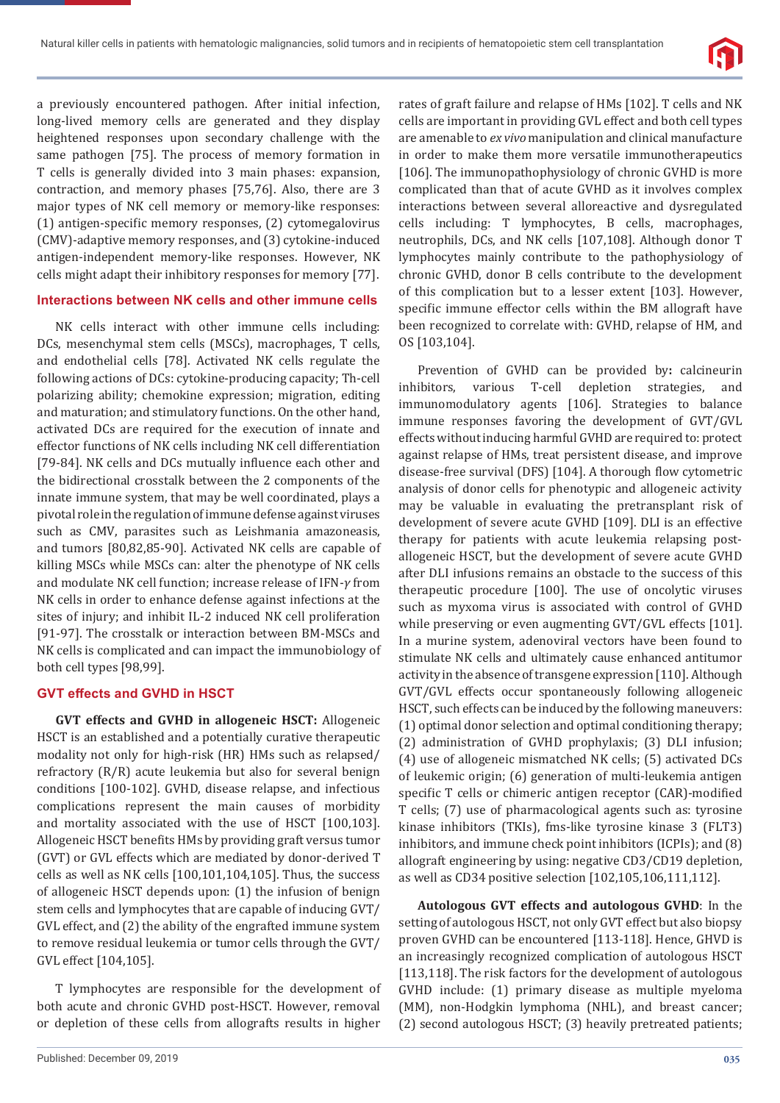

a previously encountered pathogen. After initial infection, long-lived memory cells are generated and they display heightened responses upon secondary challenge with the same pathogen [75]. The process of memory formation in T cells is generally divided into 3 main phases: expansion, contraction, and memory phases [75,76]. Also, there are 3 major types of NK cell memory or memory-like responses: (1) antigen-specific memory responses, (2) cytomegalovirus (CMV)-adaptive memory responses, and (3) cytokine-induced antigen-independent memory-like responses. However, NK cells might adapt their inhibitory responses for memory [77].

#### **Interactions between NK cells and other immune cells**

NK cells interact with other immune cells including: DCs, mesenchymal stem cells (MSCs), macrophages, T cells, and endothelial cells [78]. Activated NK cells regulate the following actions of DCs: cytokine-producing capacity; Th-cell polarizing ability; chemokine expression; migration, editing and maturation; and stimulatory functions. On the other hand, activated DCs are required for the execution of innate and effector functions of NK cells including NK cell differentiation [79-84]. NK cells and DCs mutually influence each other and the bidirectional crosstalk between the 2 components of the innate immune system, that may be well coordinated, plays a pivotal role in the regulation of immune defense against viruses such as CMV, parasites such as Leishmania amazoneasis, and tumors [80,82,85-90]. Activated NK cells are capable of killing MSCs while MSCs can: alter the phenotype of NK cells and modulate NK cell function; increase release of IFN-*γ* from NK cells in order to enhance defense against infections at the sites of injury; and inhibit IL-2 induced NK cell proliferation [91-97]. The crosstalk or interaction between BM-MSCs and NK cells is complicated and can impact the immunobiology of both cell types [98,99].

#### **GVT effects and GVHD in HSCT**

**GVT effects and GVHD in allogeneic HSCT:** Allogeneic HSCT is an established and a potentially curative therapeutic modality not only for high-risk (HR) HMs such as relapsed/ refractory (R/R) acute leukemia but also for several benign conditions [100-102]. GVHD, disease relapse, and infectious complications represent the main causes of morbidity and mortality associated with the use of HSCT [100,103]. Allogeneic HSCT benefits HMs by providing graft versus tumor (GVT) or GVL effects which are mediated by donor-derived T cells as well as NK cells [100,101,104,105]. Thus, the success of allogeneic HSCT depends upon: (1) the infusion of benign stem cells and lymphocytes that are capable of inducing GVT/ GVL effect, and (2) the ability of the engrafted immune system to remove residual leukemia or tumor cells through the GVT/ GVL effect [104,105].

T lymphocytes are responsible for the development of both acute and chronic GVHD post-HSCT. However, removal or depletion of these cells from allografts results in higher

rates of graft failure and relapse of HMs [102]. T cells and NK cells are important in providing GVL effect and both cell types are amenable to *ex vivo* manipulation and clinical manufacture in order to make them more versatile immunotherapeutics [106]. The immunopathophysiology of chronic GVHD is more complicated than that of acute GVHD as it involves complex interactions between several alloreactive and dysregulated cells including: T lymphocytes, B cells, macrophages, neutrophils, DCs, and NK cells [107,108]. Although donor T lymphocytes mainly contribute to the pathophysiology of chronic GVHD, donor B cells contribute to the development of this complication but to a lesser extent [103]. However, specific immune effector cells within the BM allograft have been recognized to correlate with: GVHD, relapse of HM, and OS [103,104].

Prevention of GVHD can be provided by**:** calcineurin inhibitors, various T-cell depletion strategies, and immunomodulatory agents [106]. Strategies to balance immune responses favoring the development of GVT/GVL effects without inducing harmful GVHD are required to: protect against relapse of HMs, treat persistent disease, and improve disease-free survival (DFS) [104]. A thorough flow cytometric analysis of donor cells for phenotypic and allogeneic activity may be valuable in evaluating the pretransplant risk of development of severe acute GVHD [109]. DLI is an effective therapy for patients with acute leukemia relapsing postallogeneic HSCT, but the development of severe acute GVHD after DLI infusions remains an obstacle to the success of this therapeutic procedure [100]. The use of oncolytic viruses such as myxoma virus is associated with control of GVHD while preserving or even augmenting GVT/GVL effects [101]. In a murine system, adenoviral vectors have been found to stimulate NK cells and ultimately cause enhanced antitumor activity in the absence of transgene expression [110]. Although GVT/GVL effects occur spontaneously following allogeneic HSCT, such effects can be induced by the following maneuvers: (1) optimal donor selection and optimal conditioning therapy; (2) administration of GVHD prophylaxis; (3) DLI infusion; (4) use of allogeneic mismatched NK cells; (5) activated DCs of leukemic origin; (6) generation of multi-leukemia antigen specific T cells or chimeric antigen receptor (CAR)-modified T cells; (7) use of pharmacological agents such as: tyrosine kinase inhibitors (TKIs), fms-like tyrosine kinase 3 (FLT3) inhibitors, and immune check point inhibitors (ICPIs); and (8) allograft engineering by using: negative CD3/CD19 depletion, as well as CD34 positive selection [102,105,106,111,112].

**Autologous GVT effects and autologous GVHD**: In the setting of autologous HSCT, not only GVT effect but also biopsy proven GVHD can be encountered [113-118]. Hence, GHVD is an increasingly recognized complication of autologous HSCT [113,118]. The risk factors for the development of autologous GVHD include: (1) primary disease as multiple myeloma (MM), non-Hodgkin lymphoma (NHL), and breast cancer; (2) second autologous HSCT; (3) heavily pretreated patients;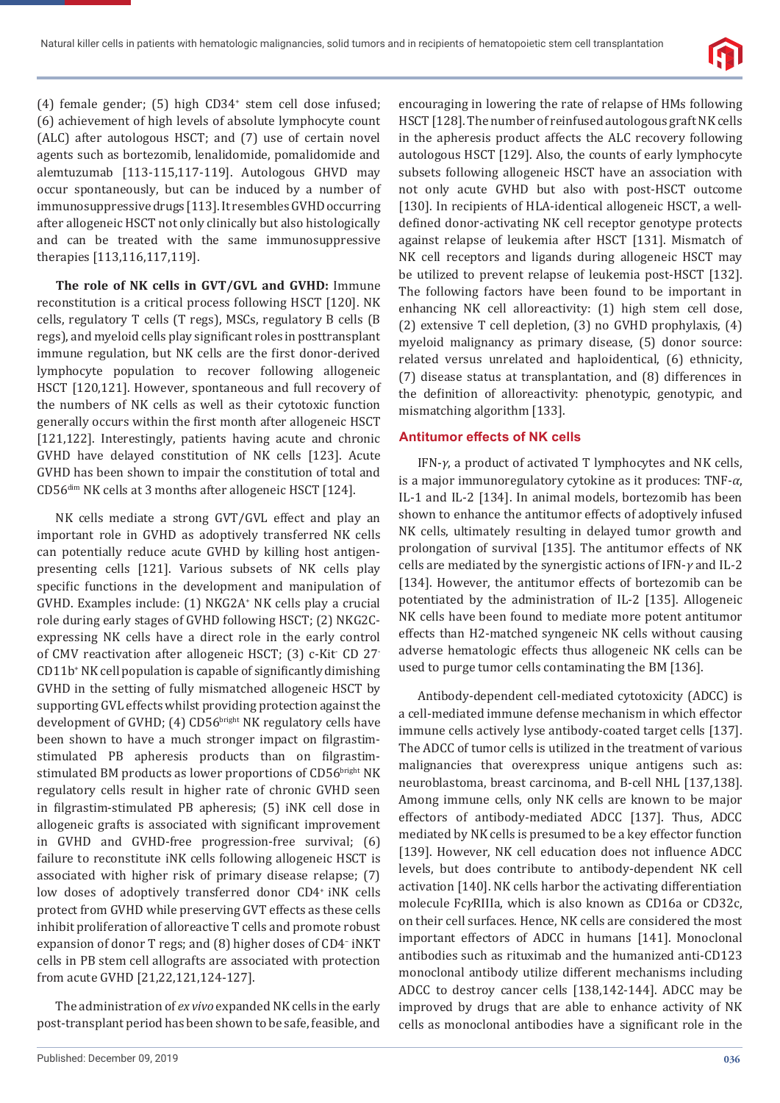

(4) female gender; (5) high CD34<sup>+</sup> stem cell dose infused; (6) achievement of high levels of absolute lymphocyte count (ALC) after autologous HSCT; and (7) use of certain novel agents such as bortezomib, lenalidomide, pomalidomide and alemtuzumab [113-115,117-119]. Autologous GHVD may occur spontaneously, but can be induced by a number of immunosuppressive drugs [113]. It resembles GVHD occurring after allogeneic HSCT not only clinically but also histologically and can be treated with the same immunosuppressive therapies [113,116,117,119].

**The role of NK cells in GVT/GVL and GVHD:** Immune reconstitution is a critical process following HSCT [120]. NK cells, regulatory T cells (T regs), MSCs, regulatory B cells (B regs), and myeloid cells play significant roles in posttransplant immune regulation, but NK cells are the first donor-derived lymphocyte population to recover following allogeneic HSCT [120,121]. However, spontaneous and full recovery of the numbers of NK cells as well as their cytotoxic function generally occurs within the first month after allogeneic HSCT [121,122]. Interestingly, patients having acute and chronic GVHD have delayed constitution of NK cells [123]. Acute GVHD has been shown to impair the constitution of total and CD56dim NK cells at 3 months after allogeneic HSCT [124].

NK cells mediate a strong GVT/GVL effect and play an important role in GVHD as adoptively transferred NK cells can potentially reduce acute GVHD by killing host antigenpresenting cells [121]. Various subsets of NK cells play specific functions in the development and manipulation of GVHD. Examples include: (1) NKG2A+ NK cells play a crucial role during early stages of GVHD following HSCT; (2) NKG2Cexpressing NK cells have a direct role in the early control of CMV reactivation after allogeneic HSCT; (3) c-Kit<sup>-</sup> CD 27<sup>-</sup> CD11b<sup>+</sup> NK cell population is capable of significantly dimishing GVHD in the setting of fully mismatched allogeneic HSCT by supporting GVL effects whilst providing protection against the development of GVHD; (4) CD56bright NK regulatory cells have been shown to have a much stronger impact on filgrastimstimulated PB apheresis products than on filgrastimstimulated BM products as lower proportions of CD56bright NK regulatory cells result in higher rate of chronic GVHD seen in filgrastim-stimulated PB apheresis; (5) iNK cell dose in allogeneic grafts is associated with significant improvement in GVHD and GVHD-free progression-free survival; (6) failure to reconstitute iNK cells following allogeneic HSCT is associated with higher risk of primary disease relapse; (7) low doses of adoptively transferred donor CD4<sup>+</sup> iNK cells protect from GVHD while preserving GVT effects as these cells inhibit proliferation of alloreactive T cells and promote robust expansion of donor T regs; and (8) higher doses of CD4– iNKT cells in PB stem cell allografts are associated with protection from acute GVHD [21,22,121,124-127].

The administration of *ex vivo* expanded NK cells in the early post-transplant period has been shown to be safe, feasible, and

encouraging in lowering the rate of relapse of HMs following HSCT [128]. The number of reinfused autologous graft NK cells in the apheresis product affects the ALC recovery following autologous HSCT [129]. Also, the counts of early lymphocyte subsets following allogeneic HSCT have an association with not only acute GVHD but also with post-HSCT outcome [130]. In recipients of HLA-identical allogeneic HSCT, a welldefined donor-activating NK cell receptor genotype protects against relapse of leukemia after HSCT [131]. Mismatch of NK cell receptors and ligands during allogeneic HSCT may be utilized to prevent relapse of leukemia post-HSCT [132]. The following factors have been found to be important in enhancing NK cell alloreactivity: (1) high stem cell dose, (2) extensive T cell depletion, (3) no GVHD prophylaxis, (4) myeloid malignancy as primary disease, (5) donor source: related versus unrelated and haploidentical, (6) ethnicity, (7) disease status at transplantation, and (8) differences in the definition of alloreactivity: phenotypic, genotypic, and mismatching algorithm [133].

#### **Antitumor effects of NK cells**

IFN-*γ*, a product of activated T lymphocytes and NK cells, is a major immunoregulatory cytokine as it produces: TNF-*α*, IL-1 and IL-2 [134]. In animal models, bortezomib has been shown to enhance the antitumor effects of adoptively infused NK cells, ultimately resulting in delayed tumor growth and prolongation of survival [135]. The antitumor effects of NK cells are mediated by the synergistic actions of IFN-*γ* and IL-2 [134]. However, the antitumor effects of bortezomib can be potentiated by the administration of IL-2 [135]. Allogeneic NK cells have been found to mediate more potent antitumor effects than H2-matched syngeneic NK cells without causing adverse hematologic effects thus allogeneic NK cells can be used to purge tumor cells contaminating the BM [136].

Antibody-dependent cell-mediated cytotoxicity (ADCC) is a cell-mediated immune defense mechanism in which effector immune cells actively lyse antibody-coated target cells [137]. The ADCC of tumor cells is utilized in the treatment of various malignancies that overexpress unique antigens such as: neuroblastoma, breast carcinoma, and B-cell NHL [137,138]. Among immune cells, only NK cells are known to be major effectors of antibody-mediated ADCC [137]. Thus, ADCC mediated by NK cells is presumed to be a key effector function [139]. However, NK cell education does not influence ADCC levels, but does contribute to antibody-dependent NK cell activation [140]. NK cells harbor the activating differentiation molecule Fc*γ*RIIIa, which is also known as CD16a or CD32c, on their cell surfaces. Hence, NK cells are considered the most important effectors of ADCC in humans [141]. Monoclonal antibodies such as rituximab and the humanized anti-CD123 monoclonal antibody utilize different mechanisms including ADCC to destroy cancer cells [138,142-144]. ADCC may be improved by drugs that are able to enhance activity of NK cells as monoclonal antibodies have a significant role in the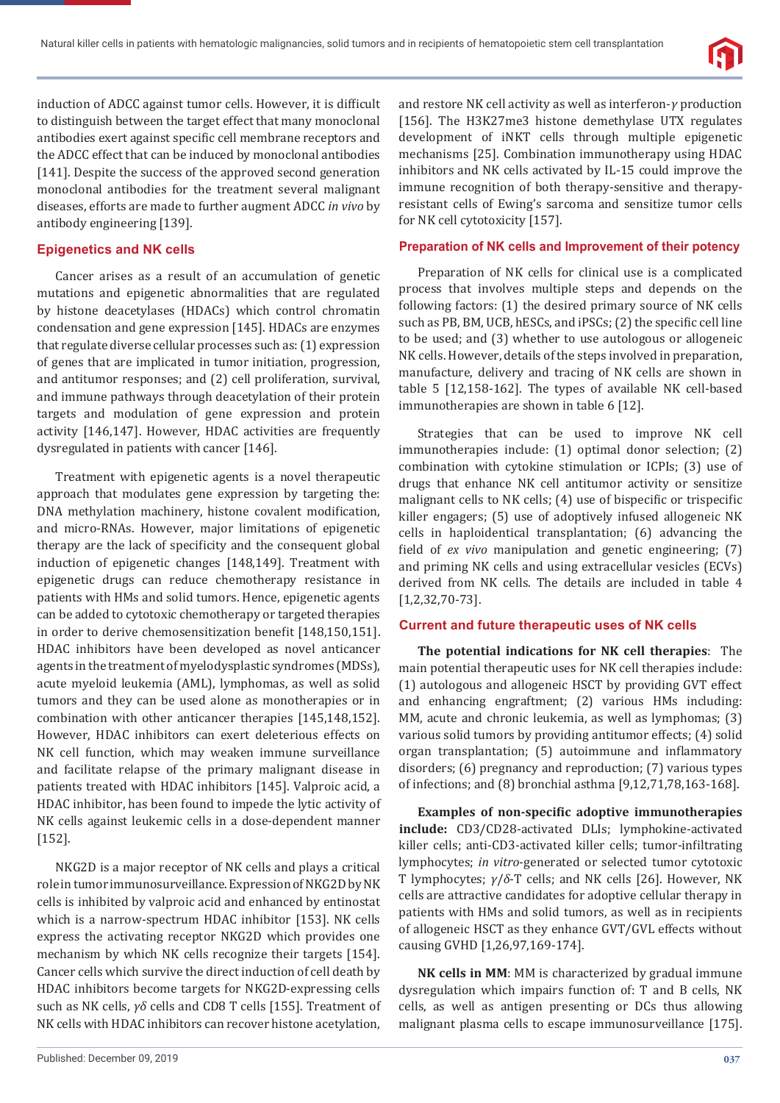

induction of ADCC against tumor cells. However, it is difficult to distinguish between the target effect that many monoclonal antibodies exert against specific cell membrane receptors and the ADCC effect that can be induced by monoclonal antibodies [141]. Despite the success of the approved second generation monoclonal antibodies for the treatment several malignant diseases, efforts are made to further augment ADCC *in vivo* by antibody engineering [139].

#### **Epigenetics and NK cells**

Cancer arises as a result of an accumulation of genetic mutations and epigenetic abnormalities that are regulated by histone deacetylases (HDACs) which control chromatin condensation and gene expression [145]. HDACs are enzymes that regulate diverse cellular processes such as: (1) expression of genes that are implicated in tumor initiation, progression, and antitumor responses; and (2) cell proliferation, survival, and immune pathways through deacetylation of their protein targets and modulation of gene expression and protein activity [146,147]. However, HDAC activities are frequently dysregulated in patients with cancer [146].

Treatment with epigenetic agents is a novel therapeutic approach that modulates gene expression by targeting the: DNA methylation machinery, histone covalent modification, and micro-RNAs. However, major limitations of epigenetic therapy are the lack of specificity and the consequent global induction of epigenetic changes [148,149]. Treatment with epigenetic drugs can reduce chemotherapy resistance in patients with HMs and solid tumors. Hence, epigenetic agents can be added to cytotoxic chemotherapy or targeted therapies in order to derive chemosensitization benefit [148,150,151]. HDAC inhibitors have been developed as novel anticancer agents in the treatment of myelodysplastic syndromes (MDSs), acute myeloid leukemia (AML), lymphomas, as well as solid tumors and they can be used alone as monotherapies or in combination with other anticancer therapies [145,148,152]. However, HDAC inhibitors can exert deleterious effects on NK cell function, which may weaken immune surveillance and facilitate relapse of the primary malignant disease in patients treated with HDAC inhibitors [145]. Valproic acid, a HDAC inhibitor, has been found to impede the lytic activity of NK cells against leukemic cells in a dose-dependent manner [152].

NKG2D is a major receptor of NK cells and plays a critical role in tumor immunosurveillance. Expression of NKG2D by NK cells is inhibited by valproic acid and enhanced by entinostat which is a narrow-spectrum HDAC inhibitor [153]. NK cells express the activating receptor NKG2D which provides one mechanism by which NK cells recognize their targets [154]. Cancer cells which survive the direct induction of cell death by HDAC inhibitors become targets for NKG2D-expressing cells such as NK cells, *γδ* cells and CD8 T cells [155]. Treatment of NK cells with HDAC inhibitors can recover histone acetylation,

and restore NK cell activity as well as interferon-*γ* production [156]. The H3K27me3 histone demethylase UTX regulates development of iNKT cells through multiple epigenetic mechanisms [25]. Combination immunotherapy using HDAC inhibitors and NK cells activated by IL-15 could improve the immune recognition of both therapy-sensitive and therapyresistant cells of Ewing's sarcoma and sensitize tumor cells for NK cell cytotoxicity [157].

#### **Preparation of NK cells and Improvement of their potency**

Preparation of NK cells for clinical use is a complicated process that involves multiple steps and depends on the following factors: (1) the desired primary source of NK cells such as PB, BM, UCB, hESCs, and iPSCs; (2) the specific cell line to be used; and (3) whether to use autologous or allogeneic NK cells. However, details of the steps involved in preparation, manufacture, delivery and tracing of NK cells are shown in table 5 [12,158-162]. The types of available NK cell-based immunotherapies are shown in table 6 [12].

Strategies that can be used to improve NK cell immunotherapies include: (1) optimal donor selection; (2) combination with cytokine stimulation or ICPIs; (3) use of drugs that enhance NK cell antitumor activity or sensitize malignant cells to NK cells: (4) use of bispecific or trispecific killer engagers; (5) use of adoptively infused allogeneic NK cells in haploidentical transplantation; (6) advancing the field of *ex vivo* manipulation and genetic engineering; (7) and priming NK cells and using extracellular vesicles (ECVs) derived from NK cells. The details are included in table 4 [1,2,32,70-73].

#### **Current and future therapeutic uses of NK cells**

**The potential indications for NK cell therapies**: The main potential therapeutic uses for NK cell therapies include: (1) autologous and allogeneic HSCT by providing GVT effect and enhancing engraftment; (2) various HMs including: MM, acute and chronic leukemia, as well as lymphomas; (3) various solid tumors by providing antitumor effects; (4) solid organ transplantation; (5) autoimmune and inflammatory disorders; (6) pregnancy and reproduction; (7) various types of infections; and (8) bronchial asthma [9,12,71,78,163-168].

**Examples of non-specific adoptive immunotherapies include:** CD3/CD28-activated DLIs; lymphokine-activated killer cells; anti-CD3-activated killer cells; tumor-infiltrating lymphocytes; *in vitro*-generated or selected tumor cytotoxic T lymphocytes; *γ*/*δ*-T cells; and NK cells [26]. However, NK cells are attractive candidates for adoptive cellular therapy in patients with HMs and solid tumors, as well as in recipients of allogeneic HSCT as they enhance GVT/GVL effects without causing GVHD [1,26,97,169-174].

**NK cells in MM**: MM is characterized by gradual immune dysregulation which impairs function of: T and B cells, NK cells, as well as antigen presenting or DCs thus allowing malignant plasma cells to escape immunosurveillance [175].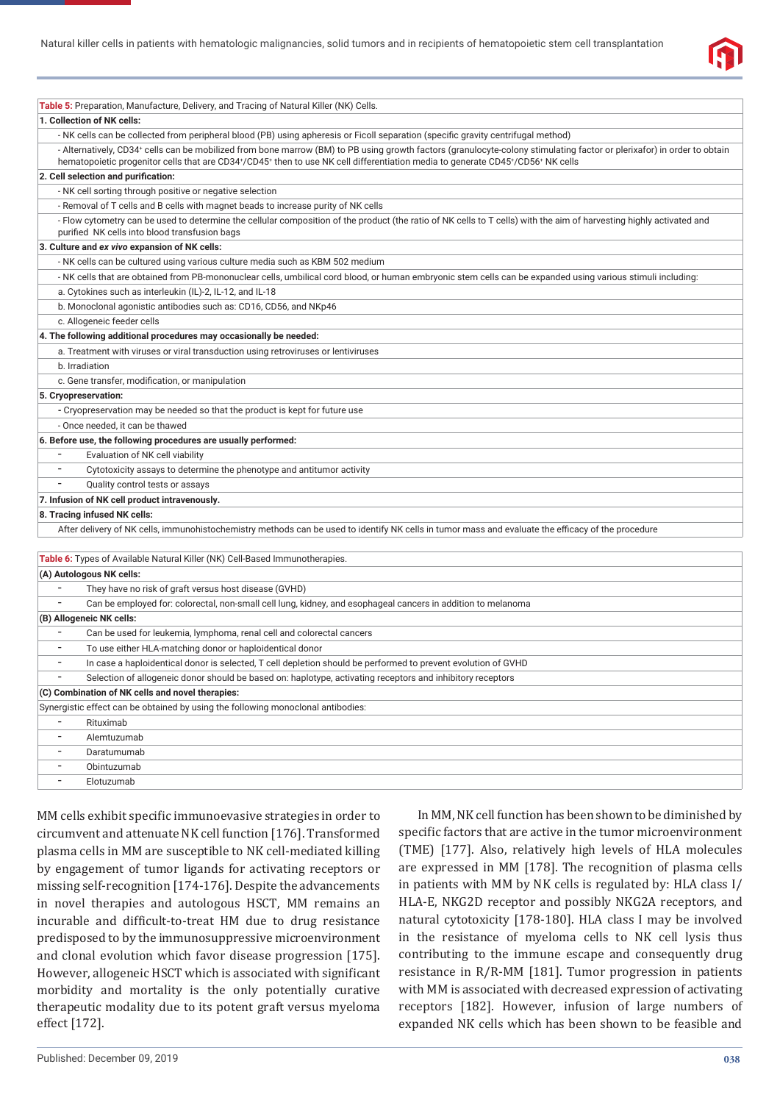

| Table 5: Preparation, Manufacture, Delivery, and Tracing of Natural Killer (NK) Cells.                                                                                                                                                                                                                    |
|-----------------------------------------------------------------------------------------------------------------------------------------------------------------------------------------------------------------------------------------------------------------------------------------------------------|
| 1. Collection of NK cells:                                                                                                                                                                                                                                                                                |
| - NK cells can be collected from peripheral blood (PB) using apheresis or Ficoll separation (specific gravity centrifugal method)                                                                                                                                                                         |
| - Alternatively, CD34+ cells can be mobilized from bone marrow (BM) to PB using growth factors (granulocyte-colony stimulating factor or plerixafor) in order to obtain<br>hematopoietic progenitor cells that are CD34+/CD45+ then to use NK cell differentiation media to generate CD45+/CD56+ NK cells |
| 2. Cell selection and purification:                                                                                                                                                                                                                                                                       |
| - NK cell sorting through positive or negative selection                                                                                                                                                                                                                                                  |
| - Removal of T cells and B cells with magnet beads to increase purity of NK cells                                                                                                                                                                                                                         |
| - Flow cytometry can be used to determine the cellular composition of the product (the ratio of NK cells to T cells) with the aim of harvesting highly activated and<br>purified NK cells into blood transfusion bags                                                                                     |
| 3. Culture and ex vivo expansion of NK cells:                                                                                                                                                                                                                                                             |
| - NK cells can be cultured using various culture media such as KBM 502 medium                                                                                                                                                                                                                             |
| - NK cells that are obtained from PB-mononuclear cells, umbilical cord blood, or human embryonic stem cells can be expanded using various stimuli including:                                                                                                                                              |
| a. Cytokines such as interleukin (IL)-2, IL-12, and IL-18                                                                                                                                                                                                                                                 |
| b. Monoclonal agonistic antibodies such as: CD16, CD56, and NKp46                                                                                                                                                                                                                                         |
| c. Allogeneic feeder cells                                                                                                                                                                                                                                                                                |
| 4. The following additional procedures may occasionally be needed:                                                                                                                                                                                                                                        |
| a. Treatment with viruses or viral transduction using retroviruses or lentiviruses                                                                                                                                                                                                                        |
| b. Irradiation                                                                                                                                                                                                                                                                                            |
| c. Gene transfer, modification, or manipulation                                                                                                                                                                                                                                                           |
| 5. Cryopreservation:                                                                                                                                                                                                                                                                                      |
| - Cryopreservation may be needed so that the product is kept for future use                                                                                                                                                                                                                               |
| - Once needed, it can be thawed                                                                                                                                                                                                                                                                           |
| 6. Before use, the following procedures are usually performed:                                                                                                                                                                                                                                            |
| $\overline{\phantom{a}}$<br>Evaluation of NK cell viability                                                                                                                                                                                                                                               |
| $\overline{\phantom{a}}$<br>Cytotoxicity assays to determine the phenotype and antitumor activity                                                                                                                                                                                                         |
| $\overline{a}$<br>Quality control tests or assays                                                                                                                                                                                                                                                         |
| 7. Infusion of NK cell product intravenously.                                                                                                                                                                                                                                                             |
| 8. Tracing infused NK cells:                                                                                                                                                                                                                                                                              |
| After delivery of NK cells, immunohistochemistry methods can be used to identify NK cells in tumor mass and evaluate the efficacy of the procedure                                                                                                                                                        |
|                                                                                                                                                                                                                                                                                                           |
| Table 6: Types of Available Natural Killer (NK) Cell-Based Immunotherapies.                                                                                                                                                                                                                               |
| (A) Autologous NK cells:<br>$\overline{a}$                                                                                                                                                                                                                                                                |
| They have no risk of graft versus host disease (GVHD)<br>$\overline{a}$                                                                                                                                                                                                                                   |
| Can be employed for: colorectal, non-small cell lung, kidney, and esophageal cancers in addition to melanoma<br>(B) Allogeneic NK cells:                                                                                                                                                                  |
|                                                                                                                                                                                                                                                                                                           |
| Can be used for leukemia, lymphoma, renal cell and colorectal cancers<br>$\overline{\phantom{a}}$                                                                                                                                                                                                         |
| To use either HLA-matching donor or haploidentical donor<br>$\overline{\phantom{a}}$                                                                                                                                                                                                                      |
| In case a haploidentical donor is selected, T cell depletion should be performed to prevent evolution of GVHD<br>$\overline{\phantom{a}}$                                                                                                                                                                 |
| Selection of allogeneic donor should be based on: haplotype, activating receptors and inhibitory receptors<br>(C) Combination of NK cells and novel therapies:                                                                                                                                            |
| Synergistic effect can be obtained by using the following monoclonal antibodies:                                                                                                                                                                                                                          |
|                                                                                                                                                                                                                                                                                                           |
| Rituximab<br>$\overline{\phantom{a}}$                                                                                                                                                                                                                                                                     |
| Alemtuzumab<br>-                                                                                                                                                                                                                                                                                          |
| Daratumumab<br>$\qquad \qquad \blacksquare$                                                                                                                                                                                                                                                               |
| Obintuzumab<br>$\qquad \qquad \blacksquare$                                                                                                                                                                                                                                                               |
| Elotuzumab                                                                                                                                                                                                                                                                                                |

MM cells exhibit specific immunoevasive strategies in order to circumvent and attenuate NK cell function [176]. Transformed plasma cells in MM are susceptible to NK cell-mediated killing by engagement of tumor ligands for activating receptors or missing self-recognition [174-176]. Despite the advancements in novel therapies and autologous HSCT, MM remains an incurable and difficult-to-treat HM due to drug resistance predisposed to by the immunosuppressive microenvironment and clonal evolution which favor disease progression [175]. However, allogeneic HSCT which is associated with significant morbidity and mortality is the only potentially curative therapeutic modality due to its potent graft versus myeloma effect [172].

In MM, NK cell function has been shown to be diminished by specific factors that are active in the tumor microenvironment (TME) [177]. Also, relatively high levels of HLA molecules are expressed in MM [178]. The recognition of plasma cells in patients with MM by NK cells is regulated by: HLA class I/ HLA-E, NKG2D receptor and possibly NKG2A receptors, and natural cytotoxicity [178-180]. HLA class I may be involved in the resistance of myeloma cells to NK cell lysis thus contributing to the immune escape and consequently drug resistance in R/R-MM [181]. Tumor progression in patients with MM is associated with decreased expression of activating receptors [182]. However, infusion of large numbers of expanded NK cells which has been shown to be feasible and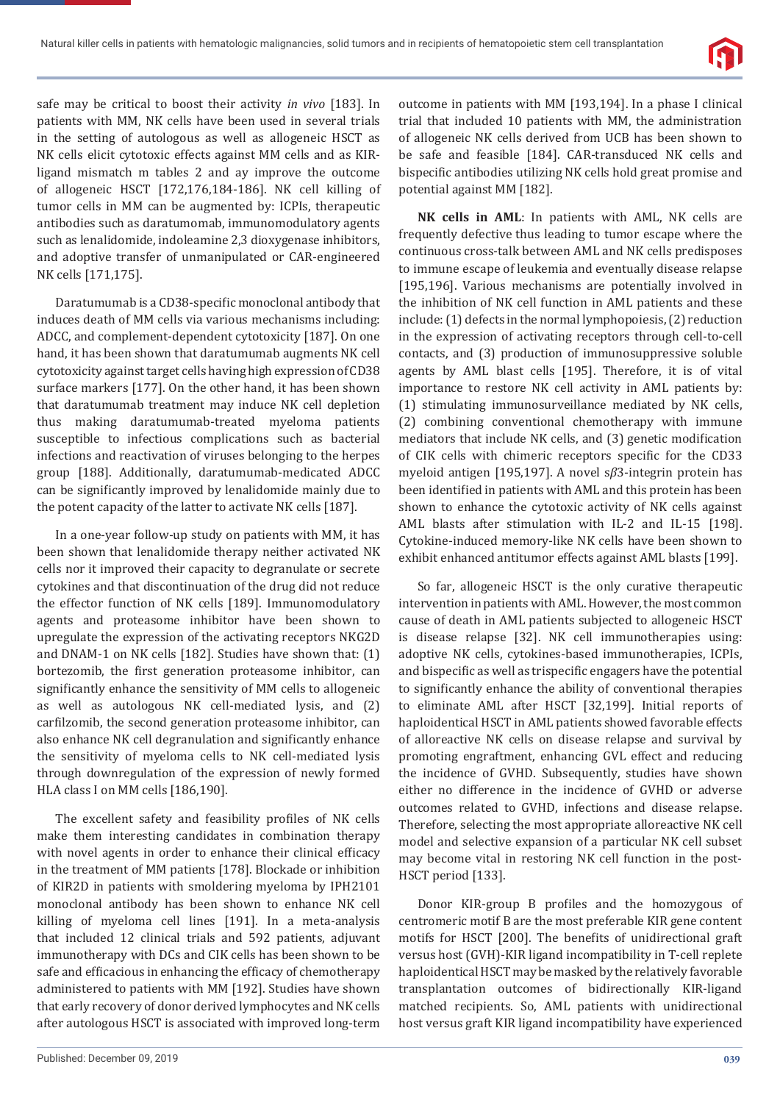

safe may be critical to boost their activity *in vivo* [183]. In patients with MM, NK cells have been used in several trials in the setting of autologous as well as allogeneic HSCT as NK cells elicit cytotoxic effects against MM cells and as KIRligand mismatch m tables 2 and ay improve the outcome of allogeneic HSCT [172,176,184-186]. NK cell killing of tumor cells in MM can be augmented by: ICPIs, therapeutic antibodies such as daratumomab, immunomodulatory agents such as lenalidomide, indoleamine 2,3 dioxygenase inhibitors, and adoptive transfer of unmanipulated or CAR-engineered NK cells [171,175].

Daratumumab is a CD38-specific monoclonal antibody that induces death of MM cells via various mechanisms including: ADCC, and complement-dependent cytotoxicity [187]. On one hand, it has been shown that daratumumab augments NK cell cytotoxicity against target cells having high expression of CD38 surface markers [177]. On the other hand, it has been shown that daratumumab treatment may induce NK cell depletion thus making daratumumab-treated myeloma patients susceptible to infectious complications such as bacterial infections and reactivation of viruses belonging to the herpes group [188]. Additionally, daratumumab-medicated ADCC can be significantly improved by lenalidomide mainly due to the potent capacity of the latter to activate NK cells [187].

In a one-year follow-up study on patients with MM, it has been shown that lenalidomide therapy neither activated NK cells nor it improved their capacity to degranulate or secrete cytokines and that discontinuation of the drug did not reduce the effector function of NK cells [189]. Immunomodulatory agents and proteasome inhibitor have been shown to upregulate the expression of the activating receptors NKG2D and DNAM-1 on NK cells [182]. Studies have shown that: (1) bortezomib, the first generation proteasome inhibitor, can significantly enhance the sensitivity of MM cells to allogeneic as well as autologous NK cell-mediated lysis, and (2) carfilzomib, the second generation proteasome inhibitor, can also enhance NK cell degranulation and significantly enhance the sensitivity of myeloma cells to NK cell-mediated lysis through downregulation of the expression of newly formed HLA class I on MM cells [186,190].

The excellent safety and feasibility profiles of NK cells make them interesting candidates in combination therapy with novel agents in order to enhance their clinical efficacy in the treatment of MM patients [178]. Blockade or inhibition of KIR2D in patients with smoldering myeloma by IPH2101 monoclonal antibody has been shown to enhance NK cell killing of myeloma cell lines [191]. In a meta-analysis that included 12 clinical trials and 592 patients, adjuvant immunotherapy with DCs and CIK cells has been shown to be safe and efficacious in enhancing the efficacy of chemotherapy administered to patients with MM [192]. Studies have shown that early recovery of donor derived lymphocytes and NK cells after autologous HSCT is associated with improved long-term outcome in patients with MM [193,194]. In a phase I clinical trial that included 10 patients with MM, the administration of allogeneic NK cells derived from UCB has been shown to be safe and feasible [184]. CAR-transduced NK cells and bispecific antibodies utilizing NK cells hold great promise and potential against MM [182].

**NK cells in AML**: In patients with AML, NK cells are frequently defective thus leading to tumor escape where the continuous cross-talk between AML and NK cells predisposes to immune escape of leukemia and eventually disease relapse [195,196]. Various mechanisms are potentially involved in the inhibition of NK cell function in AML patients and these include: (1) defects in the normal lymphopoiesis, (2) reduction in the expression of activating receptors through cell-to-cell contacts, and (3) production of immunosuppressive soluble agents by AML blast cells [195]. Therefore, it is of vital importance to restore NK cell activity in AML patients by: (1) stimulating immunosurveillance mediated by NK cells, (2) combining conventional chemotherapy with immune mediators that include NK cells, and (3) genetic modification of CIK cells with chimeric receptors specific for the CD33 myeloid antigen [195,197]. A novel s*β*3-integrin protein has been identified in patients with AML and this protein has been shown to enhance the cytotoxic activity of NK cells against AML blasts after stimulation with IL-2 and IL-15 [198]. Cytokine-induced memory-like NK cells have been shown to exhibit enhanced antitumor effects against AML blasts [199].

So far, allogeneic HSCT is the only curative therapeutic intervention in patients with AML. However, the most common cause of death in AML patients subjected to allogeneic HSCT is disease relapse [32]. NK cell immunotherapies using: adoptive NK cells, cytokines-based immunotherapies, ICPIs, and bispecific as well as trispecific engagers have the potential to significantly enhance the ability of conventional therapies to eliminate AML after HSCT [32,199]. Initial reports of haploidentical HSCT in AML patients showed favorable effects of alloreactive NK cells on disease relapse and survival by promoting engraftment, enhancing GVL effect and reducing the incidence of GVHD. Subsequently, studies have shown either no difference in the incidence of GVHD or adverse outcomes related to GVHD, infections and disease relapse. Therefore, selecting the most appropriate alloreactive NK cell model and selective expansion of a particular NK cell subset may become vital in restoring NK cell function in the post-HSCT period [133].

Donor KIR-group B profiles and the homozygous of centromeric motif B are the most preferable KIR gene content motifs for HSCT [200]. The benefits of unidirectional graft versus host (GVH)-KIR ligand incompatibility in T-cell replete haploidentical HSCT may be masked by the relatively favorable transplantation outcomes of bidirectionally KIR-ligand matched recipients. So, AML patients with unidirectional host versus graft KIR ligand incompatibility have experienced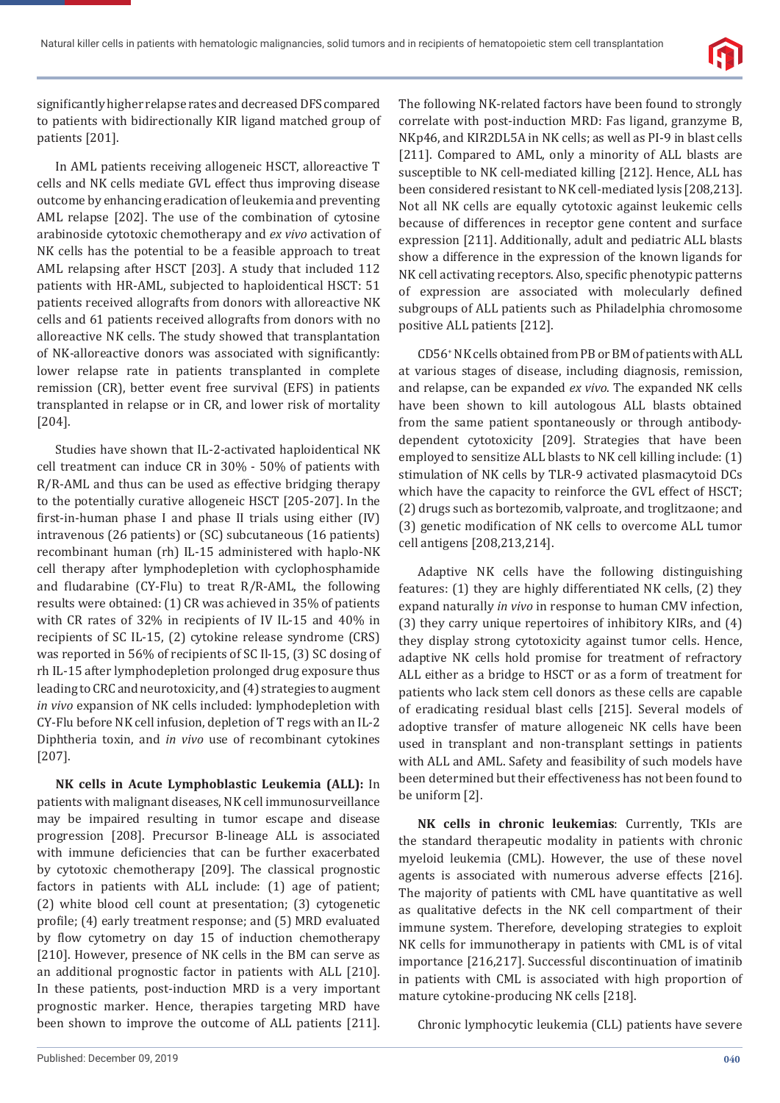

significantly higher relapse rates and decreased DFS compared to patients with bidirectionally KIR ligand matched group of patients [201].

In AML patients receiving allogeneic HSCT, alloreactive T cells and NK cells mediate GVL effect thus improving disease outcome by enhancing eradication of leukemia and preventing AML relapse [202]. The use of the combination of cytosine arabinoside cytotoxic chemotherapy and *ex vivo* activation of NK cells has the potential to be a feasible approach to treat AML relapsing after HSCT [203]. A study that included 112 patients with HR-AML, subjected to haploidentical HSCT: 51 patients received allografts from donors with alloreactive NK cells and 61 patients received allografts from donors with no alloreactive NK cells. The study showed that transplantation of NK-alloreactive donors was associated with significantly: lower relapse rate in patients transplanted in complete remission (CR), better event free survival (EFS) in patients transplanted in relapse or in CR, and lower risk of mortality [204].

Studies have shown that IL-2-activated haploidentical NK cell treatment can induce CR in 30% - 50% of patients with R/R-AML and thus can be used as effective bridging therapy to the potentially curative allogeneic HSCT [205-207]. In the first-in-human phase I and phase II trials using either (IV) intravenous (26 patients) or (SC) subcutaneous (16 patients) recombinant human (rh) IL-15 administered with haplo-NK cell therapy after lymphodepletion with cyclophosphamide and fludarabine (CY-Flu) to treat  $R/R$ -AML, the following results were obtained: (1) CR was achieved in 35% of patients with CR rates of 32% in recipients of IV IL-15 and 40% in recipients of SC IL-15, (2) cytokine release syndrome (CRS) was reported in 56% of recipients of SC Il-15, (3) SC dosing of rh IL-15 after lymphodepletion prolonged drug exposure thus leading to CRC and neurotoxicity, and (4) strategies to augment *in vivo* expansion of NK cells included: lymphodepletion with CY-Flu before NK cell infusion, depletion of T regs with an IL-2 Diphtheria toxin, and *in vivo* use of recombinant cytokines [207].

**NK cells in Acute Lymphoblastic Leukemia (ALL):** In patients with malignant diseases, NK cell immunosurveillance may be impaired resulting in tumor escape and disease progression [208]. Precursor B-lineage ALL is associated with immune deficiencies that can be further exacerbated by cytotoxic chemotherapy [209]. The classical prognostic factors in patients with ALL include: (1) age of patient; (2) white blood cell count at presentation; (3) cytogenetic profile; (4) early treatment response; and (5) MRD evaluated by flow cytometry on day 15 of induction chemotherapy [210]. However, presence of NK cells in the BM can serve as an additional prognostic factor in patients with ALL [210]. In these patients, post-induction MRD is a very important prognostic marker. Hence, therapies targeting MRD have been shown to improve the outcome of ALL patients [211]. The following NK-related factors have been found to strongly correlate with post-induction MRD: Fas ligand, granzyme B, NKp46, and KIR2DL5A in NK cells; as well as PI-9 in blast cells [211]. Compared to AML, only a minority of ALL blasts are susceptible to NK cell-mediated killing [212]. Hence, ALL has been considered resistant to NK cell-mediated lysis [208,213]. Not all NK cells are equally cytotoxic against leukemic cells because of differences in receptor gene content and surface expression [211]. Additionally, adult and pediatric ALL blasts show a difference in the expression of the known ligands for NK cell activating receptors. Also, specific phenotypic patterns of expression are associated with molecularly defined subgroups of ALL patients such as Philadelphia chromosome positive ALL patients [212].

CD56+ NK cells obtained from PB or BM of patients with ALL at various stages of disease, including diagnosis, remission, and relapse, can be expanded *ex vivo*. The expanded NK cells have been shown to kill autologous ALL blasts obtained from the same patient spontaneously or through antibodydependent cytotoxicity [209]. Strategies that have been employed to sensitize ALL blasts to NK cell killing include: (1) stimulation of NK cells by TLR-9 activated plasmacytoid DCs which have the capacity to reinforce the GVL effect of HSCT; (2) drugs such as bortezomib, valproate, and troglitzaone; and (3) genetic modification of NK cells to overcome ALL tumor cell antigens [208,213,214].

Adaptive NK cells have the following distinguishing features: (1) they are highly differentiated NK cells, (2) they expand naturally *in vivo* in response to human CMV infection, (3) they carry unique repertoires of inhibitory KIRs, and (4) they display strong cytotoxicity against tumor cells. Hence, adaptive NK cells hold promise for treatment of refractory ALL either as a bridge to HSCT or as a form of treatment for patients who lack stem cell donors as these cells are capable of eradicating residual blast cells [215]. Several models of adoptive transfer of mature allogeneic NK cells have been used in transplant and non-transplant settings in patients with ALL and AML. Safety and feasibility of such models have been determined but their effectiveness has not been found to be uniform [2].

**NK cells in chronic leukemias**: Currently, TKIs are the standard therapeutic modality in patients with chronic myeloid leukemia (CML). However, the use of these novel agents is associated with numerous adverse effects [216]. The majority of patients with CML have quantitative as well as qualitative defects in the NK cell compartment of their immune system. Therefore, developing strategies to exploit NK cells for immunotherapy in patients with CML is of vital importance [216,217]. Successful discontinuation of imatinib in patients with CML is associated with high proportion of mature cytokine-producing NK cells [218].

Chronic lymphocytic leukemia (CLL) patients have severe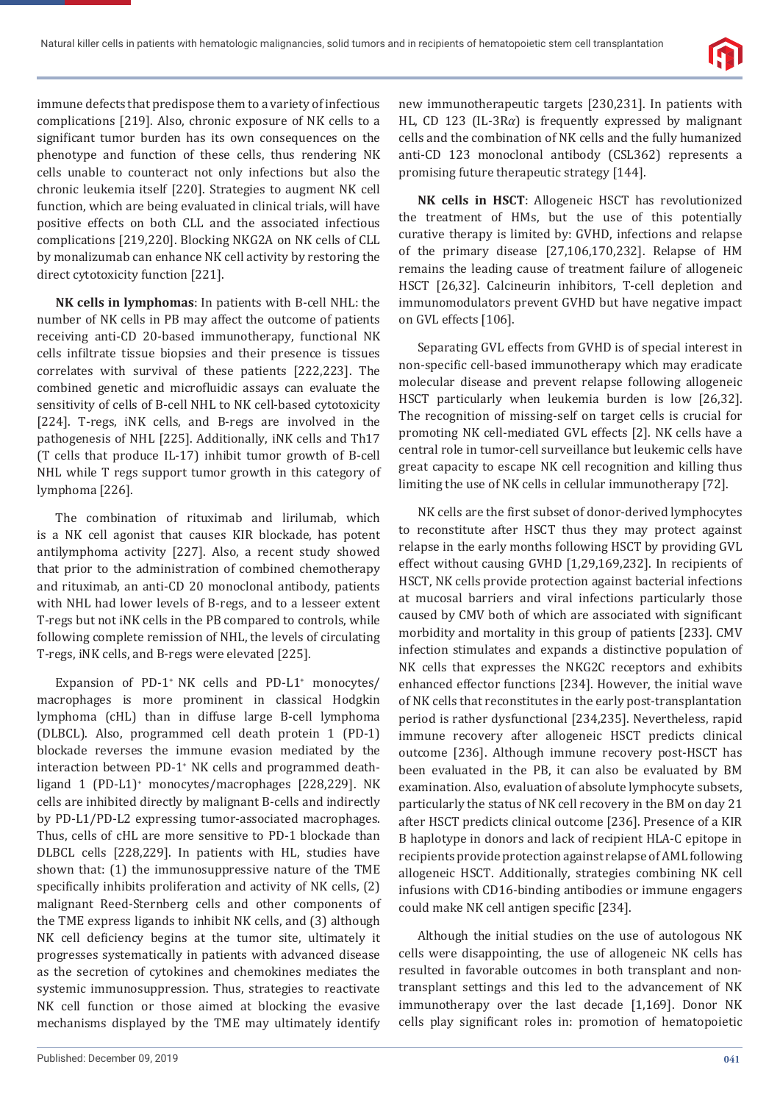

immune defects that predispose them to a variety of infectious complications [219]. Also, chronic exposure of NK cells to a significant tumor burden has its own consequences on the phenotype and function of these cells, thus rendering NK cells unable to counteract not only infections but also the chronic leukemia itself [220]. Strategies to augment NK cell function, which are being evaluated in clinical trials, will have positive effects on both CLL and the associated infectious complications [219,220]. Blocking NKG2A on NK cells of CLL by monalizumab can enhance NK cell activity by restoring the direct cytotoxicity function [221].

**NK cells in lymphomas**: In patients with B-cell NHL: the number of NK cells in PB may affect the outcome of patients receiving anti-CD 20-based immunotherapy, functional NK cells infiltrate tissue biopsies and their presence is tissues correlates with survival of these patients [222,223]. The combined genetic and microfluidic assays can evaluate the sensitivity of cells of B-cell NHL to NK cell-based cytotoxicity [224]. T-regs, iNK cells, and B-regs are involved in the pathogenesis of NHL [225]. Additionally, iNK cells and Th17 (T cells that produce IL-17) inhibit tumor growth of B-cell NHL while T regs support tumor growth in this category of lymphoma [226].

The combination of rituximab and lirilumab, which is a NK cell agonist that causes KIR blockade, has potent antilymphoma activity [227]. Also, a recent study showed that prior to the administration of combined chemotherapy and rituximab, an anti-CD 20 monoclonal antibody, patients with NHL had lower levels of B-regs, and to a lesseer extent T-regs but not iNK cells in the PB compared to controls, while following complete remission of NHL, the levels of circulating T-regs, iNK cells, and B-regs were elevated [225].

Expansion of PD-1<sup>+</sup> NK cells and PD-L1<sup>+</sup> monocytes/ macrophages is more prominent in classical Hodgkin lymphoma (cHL) than in diffuse large B-cell lymphoma (DLBCL). Also, programmed cell death protein 1 (PD-1) blockade reverses the immune evasion mediated by the interaction between PD-1<sup>+</sup> NK cells and programmed deathligand 1 (PD-L1)+ monocytes/macrophages [228,229]. NK cells are inhibited directly by malignant B-cells and indirectly by PD-L1/PD-L2 expressing tumor-associated macrophages. Thus, cells of cHL are more sensitive to PD-1 blockade than DLBCL cells [228,229]. In patients with HL, studies have shown that: (1) the immunosuppressive nature of the TME specifically inhibits proliferation and activity of NK cells, (2) malignant Reed-Sternberg cells and other components of the TME express ligands to inhibit NK cells, and (3) although NK cell deficiency begins at the tumor site, ultimately it progresses systematically in patients with advanced disease as the secretion of cytokines and chemokines mediates the systemic immunosuppression. Thus, strategies to reactivate NK cell function or those aimed at blocking the evasive mechanisms displayed by the TME may ultimately identify

new immunotherapeutic targets [230,231]. In patients with HL, CD 123 (IL-3R*α*) is frequently expressed by malignant cells and the combination of NK cells and the fully humanized anti-CD 123 monoclonal antibody (CSL362) represents a promising future therapeutic strategy [144].

**NK cells in HSCT**: Allogeneic HSCT has revolutionized the treatment of HMs, but the use of this potentially curative therapy is limited by: GVHD, infections and relapse of the primary disease [27,106,170,232]. Relapse of HM remains the leading cause of treatment failure of allogeneic HSCT [26,32]. Calcineurin inhibitors, T-cell depletion and immunomodulators prevent GVHD but have negative impact on GVL effects [106].

Separating GVL effects from GVHD is of special interest in non-specific cell-based immunotherapy which may eradicate molecular disease and prevent relapse following allogeneic HSCT particularly when leukemia burden is low [26,32]. The recognition of missing-self on target cells is crucial for promoting NK cell-mediated GVL effects [2]. NK cells have a central role in tumor-cell surveillance but leukemic cells have great capacity to escape NK cell recognition and killing thus limiting the use of NK cells in cellular immunotherapy [72].

NK cells are the first subset of donor-derived lymphocytes to reconstitute after HSCT thus they may protect against relapse in the early months following HSCT by providing GVL effect without causing GVHD [1,29,169,232]. In recipients of HSCT, NK cells provide protection against bacterial infections at mucosal barriers and viral infections particularly those caused by CMV both of which are associated with significant morbidity and mortality in this group of patients [233]. CMV infection stimulates and expands a distinctive population of NK cells that expresses the NKG2C receptors and exhibits enhanced effector functions [234]. However, the initial wave of NK cells that reconstitutes in the early post-transplantation period is rather dysfunctional [234,235]. Nevertheless, rapid immune recovery after allogeneic HSCT predicts clinical outcome [236]. Although immune recovery post-HSCT has been evaluated in the PB, it can also be evaluated by BM examination. Also, evaluation of absolute lymphocyte subsets, particularly the status of NK cell recovery in the BM on day 21 after HSCT predicts clinical outcome [236]. Presence of a KIR B haplotype in donors and lack of recipient HLA-C epitope in recipients provide protection against relapse of AML following allogeneic HSCT. Additionally, strategies combining NK cell infusions with CD16-binding antibodies or immune engagers could make NK cell antigen specific [234].

Although the initial studies on the use of autologous NK cells were disappointing, the use of allogeneic NK cells has resulted in favorable outcomes in both transplant and nontransplant settings and this led to the advancement of NK immunotherapy over the last decade [1,169]. Donor NK cells play significant roles in: promotion of hematopoietic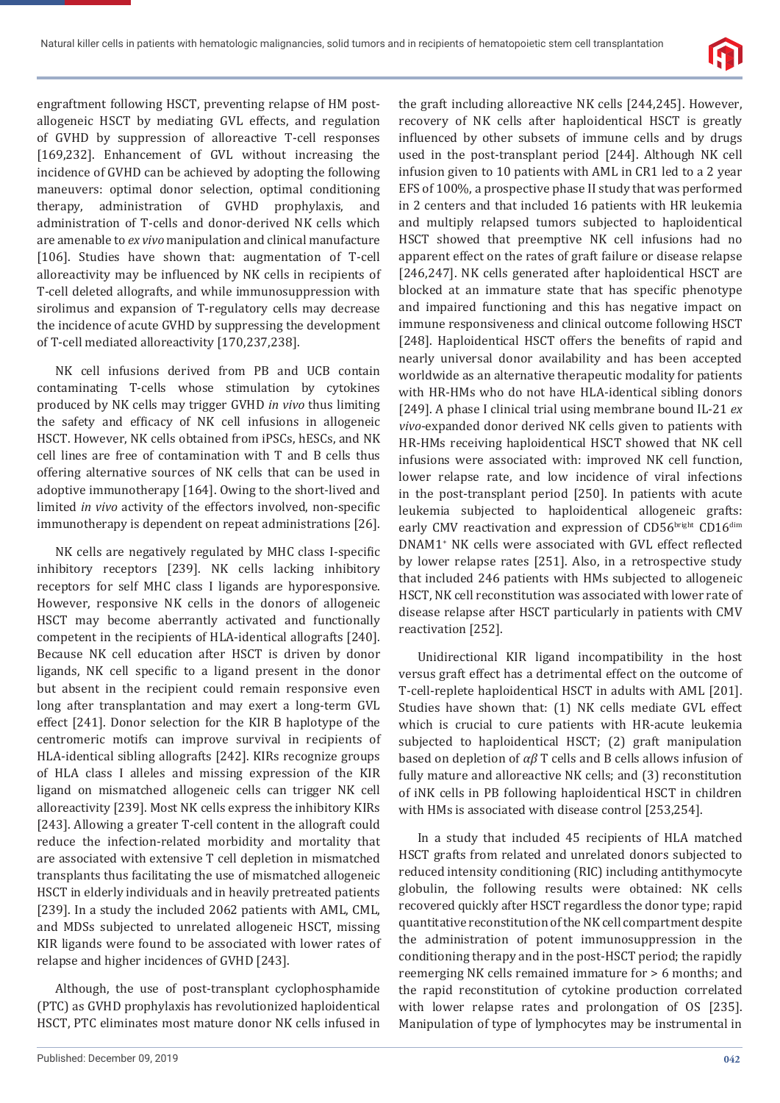

engraftment following HSCT, preventing relapse of HM postallogeneic HSCT by mediating GVL effects, and regulation of GVHD by suppression of alloreactive T-cell responses [169,232]. Enhancement of GVL without increasing the incidence of GVHD can be achieved by adopting the following maneuvers: optimal donor selection, optimal conditioning therapy, administration of GVHD prophylaxis, and administration of T-cells and donor-derived NK cells which are amenable to *ex vivo* manipulation and clinical manufacture [106]. Studies have shown that: augmentation of T-cell alloreactivity may be influenced by NK cells in recipients of T-cell deleted allografts, and while immunosuppression with sirolimus and expansion of T-regulatory cells may decrease the incidence of acute GVHD by suppressing the development of T-cell mediated alloreactivity [170,237,238].

NK cell infusions derived from PB and UCB contain contaminating T-cells whose stimulation by cytokines produced by NK cells may trigger GVHD *in vivo* thus limiting the safety and efficacy of NK cell infusions in allogeneic HSCT. However, NK cells obtained from iPSCs, hESCs, and NK cell lines are free of contamination with T and B cells thus offering alternative sources of NK cells that can be used in adoptive immunotherapy [164]. Owing to the short-lived and limited *in vivo* activity of the effectors involved, non-specific immunotherapy is dependent on repeat administrations [26].

NK cells are negatively regulated by MHC class I-specific inhibitory receptors [239]. NK cells lacking inhibitory receptors for self MHC class I ligands are hyporesponsive. However, responsive NK cells in the donors of allogeneic HSCT may become aberrantly activated and functionally competent in the recipients of HLA-identical allografts [240]. Because NK cell education after HSCT is driven by donor ligands, NK cell specific to a ligand present in the donor but absent in the recipient could remain responsive even long after transplantation and may exert a long-term GVL effect [241]. Donor selection for the KIR B haplotype of the centromeric motifs can improve survival in recipients of HLA-identical sibling allografts [242]. KIRs recognize groups of HLA class I alleles and missing expression of the KIR ligand on mismatched allogeneic cells can trigger NK cell alloreactivity [239]. Most NK cells express the inhibitory KIRs [243]. Allowing a greater T-cell content in the allograft could reduce the infection-related morbidity and mortality that are associated with extensive T cell depletion in mismatched transplants thus facilitating the use of mismatched allogeneic HSCT in elderly individuals and in heavily pretreated patients [239]. In a study the included 2062 patients with AML, CML, and MDSs subjected to unrelated allogeneic HSCT, missing KIR ligands were found to be associated with lower rates of relapse and higher incidences of GVHD [243].

Although, the use of post-transplant cyclophosphamide (PTC) as GVHD prophylaxis has revolutionized haploidentical HSCT, PTC eliminates most mature donor NK cells infused in

recovery of NK cells after haploidentical HSCT is greatly influenced by other subsets of immune cells and by drugs used in the post-transplant period [244]. Although NK cell infusion given to 10 patients with AML in CR1 led to a 2 year EFS of 100%, a prospective phase II study that was performed in 2 centers and that included 16 patients with HR leukemia and multiply relapsed tumors subjected to haploidentical HSCT showed that preemptive NK cell infusions had no apparent effect on the rates of graft failure or disease relapse [246,247]. NK cells generated after haploidentical HSCT are blocked at an immature state that has specific phenotype and impaired functioning and this has negative impact on immune responsiveness and clinical outcome following HSCT [248]. Haploidentical HSCT offers the benefits of rapid and nearly universal donor availability and has been accepted worldwide as an alternative therapeutic modality for patients with HR-HMs who do not have HLA-identical sibling donors [249]. A phase I clinical trial using membrane bound IL-21 *ex vivo*-expanded donor derived NK cells given to patients with HR-HMs receiving haploidentical HSCT showed that NK cell infusions were associated with: improved NK cell function, lower relapse rate, and low incidence of viral infections in the post-transplant period [250]. In patients with acute leukemia subjected to haploidentical allogeneic grafts: early CMV reactivation and expression of CD56bright CD16dim DNAM1<sup>+</sup> NK cells were associated with GVL effect reflected by lower relapse rates [251]. Also, in a retrospective study that included 246 patients with HMs subjected to allogeneic HSCT, NK cell reconstitution was associated with lower rate of disease relapse after HSCT particularly in patients with CMV reactivation [252].

the graft including alloreactive NK cells [244,245]. However,

Unidirectional KIR ligand incompatibility in the host versus graft effect has a detrimental effect on the outcome of T-cell-replete haploidentical HSCT in adults with AML [201]. Studies have shown that: (1) NK cells mediate GVL effect which is crucial to cure patients with HR-acute leukemia subjected to haploidentical HSCT; (2) graft manipulation based on depletion of *αβ* T cells and B cells allows infusion of fully mature and alloreactive NK cells; and (3) reconstitution of iNK cells in PB following haploidentical HSCT in children with HMs is associated with disease control [253,254].

In a study that included 45 recipients of HLA matched HSCT grafts from related and unrelated donors subjected to reduced intensity conditioning (RIC) including antithymocyte globulin, the following results were obtained: NK cells recovered quickly after HSCT regardless the donor type; rapid quantitative reconstitution of the NK cell compartment despite the administration of potent immunosuppression in the conditioning therapy and in the post-HSCT period; the rapidly reemerging NK cells remained immature for > 6 months; and the rapid reconstitution of cytokine production correlated with lower relapse rates and prolongation of OS [235]. Manipulation of type of lymphocytes may be instrumental in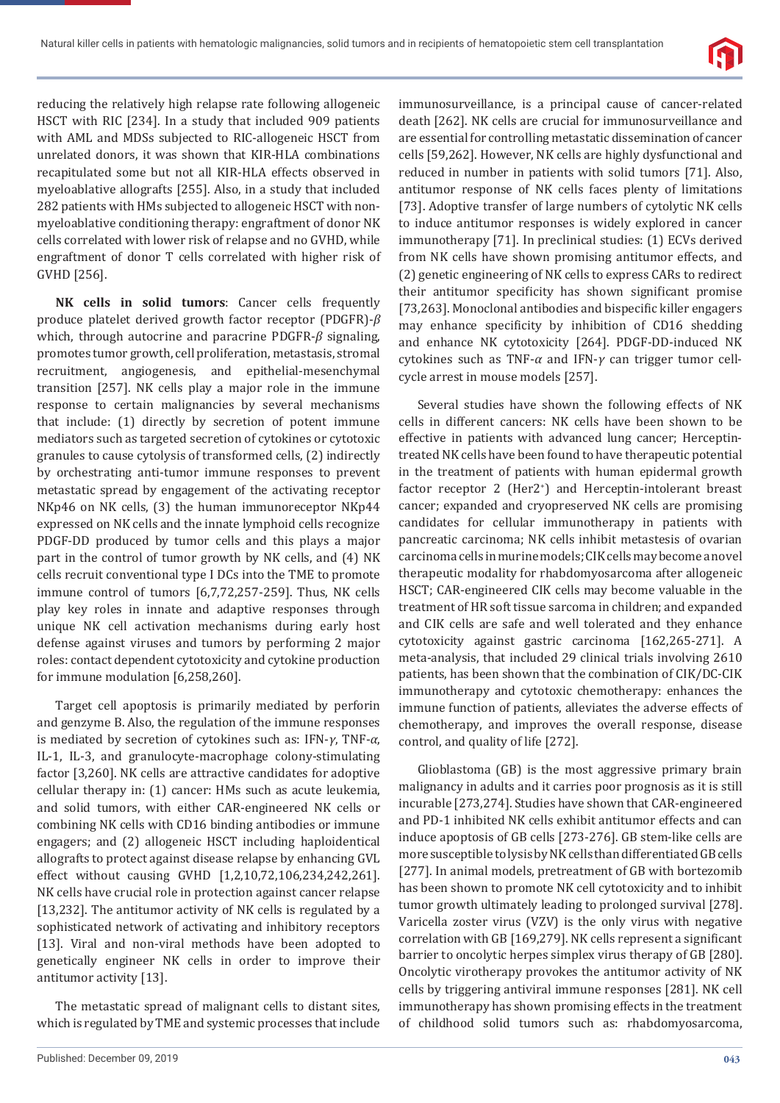

reducing the relatively high relapse rate following allogeneic HSCT with RIC [234]. In a study that included 909 patients with AML and MDSs subjected to RIC-allogeneic HSCT from unrelated donors, it was shown that KIR-HLA combinations recapitulated some but not all KIR-HLA effects observed in myeloablative allografts [255]. Also, in a study that included 282 patients with HMs subjected to allogeneic HSCT with nonmyeloablative conditioning therapy: engraftment of donor NK cells correlated with lower risk of relapse and no GVHD, while engraftment of donor T cells correlated with higher risk of GVHD [256].

**NK cells in solid tumors**: Cancer cells frequently produce platelet derived growth factor receptor (PDGFR)-*β* which, through autocrine and paracrine PDGFR-*β* signaling, promotes tumor growth, cell proliferation, metastasis, stromal recruitment, angiogenesis, and epithelial-mesenchymal transition [257]. NK cells play a major role in the immune response to certain malignancies by several mechanisms that include: (1) directly by secretion of potent immune mediators such as targeted secretion of cytokines or cytotoxic granules to cause cytolysis of transformed cells, (2) indirectly by orchestrating anti-tumor immune responses to prevent metastatic spread by engagement of the activating receptor NKp46 on NK cells, (3) the human immunoreceptor NKp44 expressed on NK cells and the innate lymphoid cells recognize PDGF-DD produced by tumor cells and this plays a major part in the control of tumor growth by NK cells, and (4) NK cells recruit conventional type I DCs into the TME to promote immune control of tumors [6,7,72,257-259]. Thus, NK cells play key roles in innate and adaptive responses through unique NK cell activation mechanisms during early host defense against viruses and tumors by performing 2 major roles: contact dependent cytotoxicity and cytokine production for immune modulation [6,258,260].

Target cell apoptosis is primarily mediated by perforin and genzyme B. Also, the regulation of the immune responses is mediated by secretion of cytokines such as: IFN-*γ*, TNF-*α*, IL-1, IL-3, and granulocyte-macrophage colony-stimulating factor [3,260]. NK cells are attractive candidates for adoptive cellular therapy in: (1) cancer: HMs such as acute leukemia, and solid tumors, with either CAR-engineered NK cells or combining NK cells with CD16 binding antibodies or immune engagers; and (2) allogeneic HSCT including haploidentical allografts to protect against disease relapse by enhancing GVL effect without causing GVHD [1,2,10,72,106,234,242,261]. NK cells have crucial role in protection against cancer relapse [13,232]. The antitumor activity of NK cells is regulated by a sophisticated network of activating and inhibitory receptors [13]. Viral and non-viral methods have been adopted to genetically engineer NK cells in order to improve their antitumor activity [13].

The metastatic spread of malignant cells to distant sites, which is regulated by TME and systemic processes that include

immunosurveillance, is a principal cause of cancer-related death [262]. NK cells are crucial for immunosurveillance and are essential for controlling metastatic dissemination of cancer cells [59,262]. However, NK cells are highly dysfunctional and reduced in number in patients with solid tumors [71]. Also, antitumor response of NK cells faces plenty of limitations [73]. Adoptive transfer of large numbers of cytolytic NK cells to induce antitumor responses is widely explored in cancer immunotherapy [71]. In preclinical studies: (1) ECVs derived from NK cells have shown promising antitumor effects, and (2) genetic engineering of NK cells to express CARs to redirect their antitumor specificity has shown significant promise [73,263]. Monoclonal antibodies and bispecific killer engagers may enhance specificity by inhibition of CD16 shedding and enhance NK cytotoxicity [264]. PDGF-DD-induced NK cytokines such as TNF-*α* and IFN-*γ* can trigger tumor cellcycle arrest in mouse models [257].

Several studies have shown the following effects of NK cells in different cancers: NK cells have been shown to be effective in patients with advanced lung cancer; Herceptintreated NK cells have been found to have therapeutic potential in the treatment of patients with human epidermal growth factor receptor 2 (Her2<sup>+</sup>) and Herceptin-intolerant breast cancer; expanded and cryopreserved NK cells are promising candidates for cellular immunotherapy in patients with pancreatic carcinoma; NK cells inhibit metastesis of ovarian carcinoma cells in murine models; CIK cells may become a novel therapeutic modality for rhabdomyosarcoma after allogeneic HSCT; CAR-engineered CIK cells may become valuable in the treatment of HR soft tissue sarcoma in children; and expanded and CIK cells are safe and well tolerated and they enhance cytotoxicity against gastric carcinoma [162,265-271]. A meta-analysis, that included 29 clinical trials involving 2610 patients, has been shown that the combination of CIK/DC-CIK immunotherapy and cytotoxic chemotherapy: enhances the immune function of patients, alleviates the adverse effects of chemotherapy, and improves the overall response, disease control, and quality of life [272].

Glioblastoma (GB) is the most aggressive primary brain malignancy in adults and it carries poor prognosis as it is still incurable [273,274]. Studies have shown that CAR-engineered and PD-1 inhibited NK cells exhibit antitumor effects and can induce apoptosis of GB cells [273-276]. GB stem-like cells are more susceptible to lysis by NK cells than differentiated GB cells [277]. In animal models, pretreatment of GB with bortezomib has been shown to promote NK cell cytotoxicity and to inhibit tumor growth ultimately leading to prolonged survival [278]. Varicella zoster virus (VZV) is the only virus with negative correlation with GB  $[169,279]$ . NK cells represent a significant barrier to oncolytic herpes simplex virus therapy of GB [280]. Oncolytic virotherapy provokes the antitumor activity of NK cells by triggering antiviral immune responses [281]. NK cell immunotherapy has shown promising effects in the treatment of childhood solid tumors such as: rhabdomyosarcoma,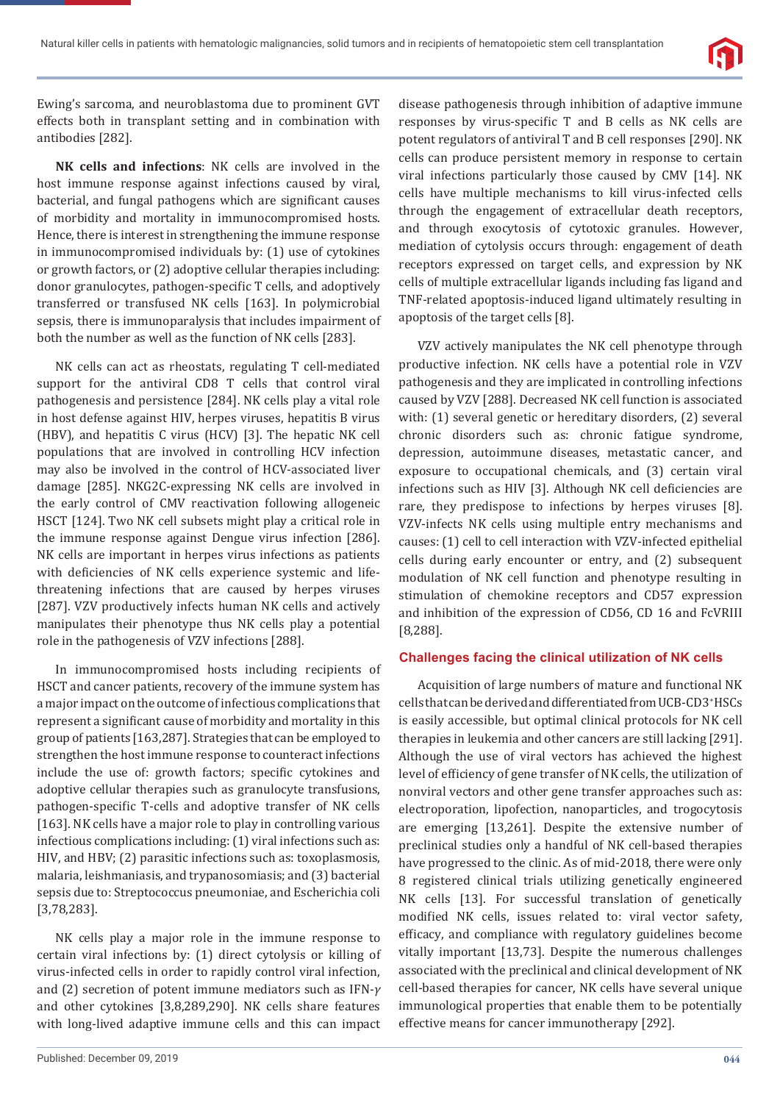

Ewing's sarcoma, and neuroblastoma due to prominent GVT effects both in transplant setting and in combination with antibodies [282].

**NK cells and infections**: NK cells are involved in the host immune response against infections caused by viral, bacterial, and fungal pathogens which are significant causes of morbidity and mortality in immunocompromised hosts. Hence, there is interest in strengthening the immune response in immunocompromised individuals by: (1) use of cytokines or growth factors, or (2) adoptive cellular therapies including: donor granulocytes, pathogen-specific T cells, and adoptively transferred or transfused NK cells [163]. In polymicrobial sepsis, there is immunoparalysis that includes impairment of both the number as well as the function of NK cells [283].

NK cells can act as rheostats, regulating T cell-mediated support for the antiviral CD8 T cells that control viral pathogenesis and persistence [284]. NK cells play a vital role in host defense against HIV, herpes viruses, hepatitis B virus (HBV), and hepatitis C virus (HCV) [3]. The hepatic NK cell populations that are involved in controlling HCV infection may also be involved in the control of HCV-associated liver damage [285]. NKG2C-expressing NK cells are involved in the early control of CMV reactivation following allogeneic HSCT [124]. Two NK cell subsets might play a critical role in the immune response against Dengue virus infection [286]. NK cells are important in herpes virus infections as patients with deficiencies of NK cells experience systemic and lifethreatening infections that are caused by herpes viruses [287]. VZV productively infects human NK cells and actively manipulates their phenotype thus NK cells play a potential role in the pathogenesis of VZV infections [288].

In immunocompromised hosts including recipients of HSCT and cancer patients, recovery of the immune system has a major impact on the outcome of infectious complications that represent a significant cause of morbidity and mortality in this group of patients [163,287]. Strategies that can be employed to strengthen the host immune response to counteract infections include the use of: growth factors; specific cytokines and adoptive cellular therapies such as granulocyte transfusions, pathogen-specific T-cells and adoptive transfer of NK cells [163]. NK cells have a major role to play in controlling various infectious complications including: (1) viral infections such as: HIV, and HBV; (2) parasitic infections such as: toxoplasmosis, malaria, leishmaniasis, and trypanosomiasis; and (3) bacterial sepsis due to: Streptococcus pneumoniae, and Escherichia coli [3,78,283].

NK cells play a major role in the immune response to certain viral infections by: (1) direct cytolysis or killing of virus-infected cells in order to rapidly control viral infection, and (2) secretion of potent immune mediators such as IFN-*γ* and other cytokines [3,8,289,290]. NK cells share features with long-lived adaptive immune cells and this can impact disease pathogenesis through inhibition of adaptive immune responses by virus-specific T and B cells as NK cells are potent regulators of antiviral T and B cell responses [290]. NK cells can produce persistent memory in response to certain viral infections particularly those caused by CMV [14]. NK cells have multiple mechanisms to kill virus-infected cells through the engagement of extracellular death receptors, and through exocytosis of cytotoxic granules. However, mediation of cytolysis occurs through: engagement of death receptors expressed on target cells, and expression by NK cells of multiple extracellular ligands including fas ligand and TNF-related apoptosis-induced ligand ultimately resulting in apoptosis of the target cells [8].

VZV actively manipulates the NK cell phenotype through productive infection. NK cells have a potential role in VZV pathogenesis and they are implicated in controlling infections caused by VZV [288]. Decreased NK cell function is associated with: (1) several genetic or hereditary disorders, (2) several chronic disorders such as: chronic fatigue syndrome, depression, autoimmune diseases, metastatic cancer, and exposure to occupational chemicals, and (3) certain viral infections such as HIV [3]. Although NK cell deficiencies are rare, they predispose to infections by herpes viruses [8]. VZV-infects NK cells using multiple entry mechanisms and causes: (1) cell to cell interaction with VZV-infected epithelial cells during early encounter or entry, and (2) subsequent modulation of NK cell function and phenotype resulting in stimulation of chemokine receptors and CD57 expression and inhibition of the expression of CD56, CD 16 and FcVRIII [8,288].

#### **Challenges facing the clinical utilization of NK cells**

Acquisition of large numbers of mature and functional NK cells that can be derived and differentiated from UCB-CD3+ HSCs is easily accessible, but optimal clinical protocols for NK cell therapies in leukemia and other cancers are still lacking [291]. Although the use of viral vectors has achieved the highest level of efficiency of gene transfer of NK cells, the utilization of nonviral vectors and other gene transfer approaches such as: electroporation, lipofection, nanoparticles, and trogocytosis are emerging [13,261]. Despite the extensive number of preclinical studies only a handful of NK cell-based therapies have progressed to the clinic. As of mid-2018, there were only 8 registered clinical trials utilizing genetically engineered NK cells [13]. For successful translation of genetically modified NK cells, issues related to: viral vector safety, efficacy, and compliance with regulatory guidelines become vitally important [13,73]. Despite the numerous challenges associated with the preclinical and clinical development of NK cell-based therapies for cancer, NK cells have several unique immunological properties that enable them to be potentially effective means for cancer immunotherapy [292].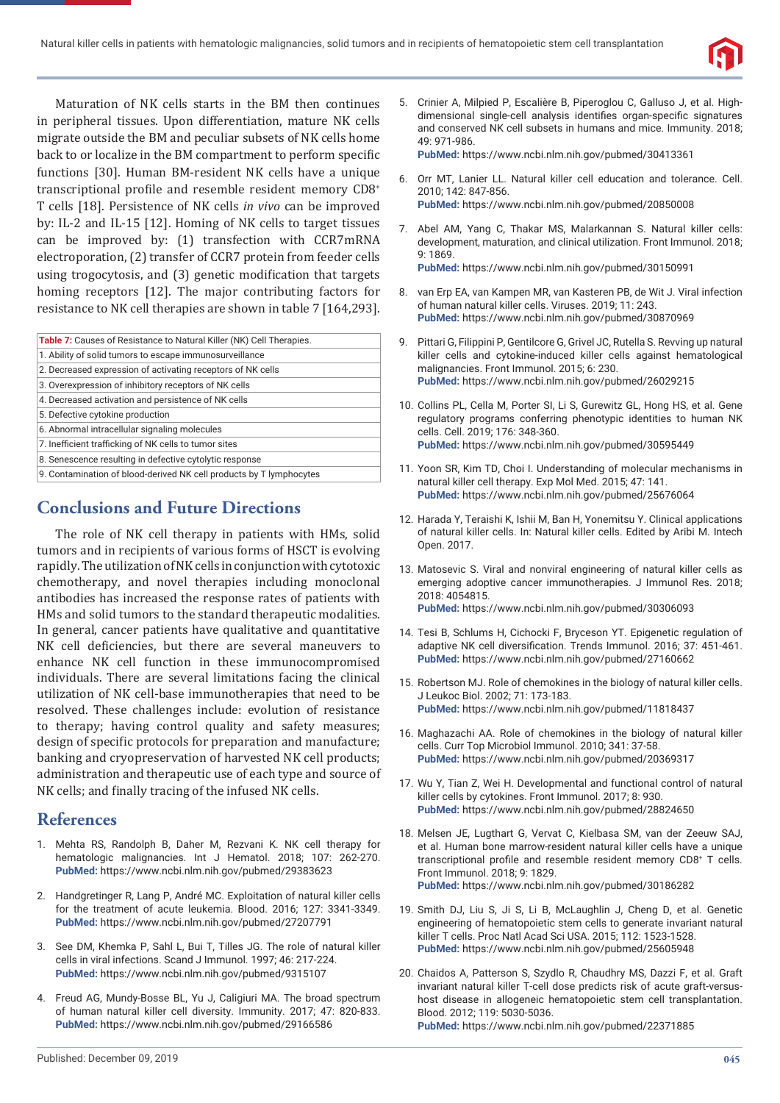

Maturation of NK cells starts in the BM then continues in peripheral tissues. Upon differentiation, mature NK cells migrate outside the BM and peculiar subsets of NK cells home back to or localize in the BM compartment to perform specific functions [30]. Human BM-resident NK cells have a unique transcriptional profile and resemble resident memory CD8+ T cells [18]. Persistence of NK cells *in vivo* can be improved by: IL-2 and IL-15 [12]. Homing of NK cells to target tissues can be improved by: (1) transfection with CCR7mRNA electroporation, (2) transfer of CCR7 protein from feeder cells using trogocytosis, and (3) genetic modification that targets homing receptors [12]. The major contributing factors for resistance to NK cell therapies are shown in table 7 [164,293].

| <b>Table 7:</b> Causes of Resistance to Natural Killer (NK) Cell Therapies. |
|-----------------------------------------------------------------------------|
| 1. Ability of solid tumors to escape immunosurveillance                     |
| 2. Decreased expression of activating receptors of NK cells                 |
| 3. Overexpression of inhibitory receptors of NK cells                       |
| 4. Decreased activation and persistence of NK cells                         |
| 5. Defective cytokine production                                            |
| 6. Abnormal intracellular signaling molecules                               |
| 7. Inefficient trafficking of NK cells to tumor sites                       |
| 8. Senescence resulting in defective cytolytic response                     |
| 9. Contamination of blood-derived NK cell products by T lymphocytes         |

# **Conclusions and Future Directions**

The role of NK cell therapy in patients with HMs, solid tumors and in recipients of various forms of HSCT is evolving rapidly. The utilization of NK cells in conjunction with cytotoxic chemotherapy, and novel therapies including monoclonal antibodies has increased the response rates of patients with HMs and solid tumors to the standard therapeutic modalities. In general, cancer patients have qualitative and quantitative NK cell deficiencies, but there are several maneuvers to enhance NK cell function in these immunocompromised individuals. There are several limitations facing the clinical utilization of NK cell-base immunotherapies that need to be resolved. These challenges include: evolution of resistance to therapy; having control quality and safety measures; design of specific protocols for preparation and manufacture; banking and cryopreservation of harvested NK cell products; administration and therapeutic use of each type and source of NK cells; and finally tracing of the infused NK cells.

# **References**

- 1. Mehta RS, Randolph B, Daher M, Rezvani K. NK cell therapy for hematologic malignancies. Int J Hematol. 2018; 107: 262-270. **PubMed:** https://www.ncbi.nlm.nih.gov/pubmed/29383623
- 2. Handgretinger R, Lang P, André MC. Exploitation of natural killer cells for the treatment of acute leukemia. Blood. 2016; 127: 3341-3349. **PubMed:** https://www.ncbi.nlm.nih.gov/pubmed/27207791
- 3. See DM, Khemka P, Sahl L, Bui T, Tilles JG. The role of natural killer cells in viral infections. Scand J Immunol. 1997; 46: 217-224. **PubMed:** https://www.ncbi.nlm.nih.gov/pubmed/9315107
- 4. Freud AG, Mundy-Bosse BL, Yu J, Caligiuri MA. The broad spectrum of human natural killer cell diversity. Immunity. 2017; 47: 820-833. **PubMed:** https://www.ncbi.nlm.nih.gov/pubmed/29166586

5. Crinier A, Milpied P, Escalière B, Piperoglou C, Galluso J, et al. Highdimensional single-cell analysis identifies organ-specific signatures and conserved NK cell subsets in humans and mice. Immunity. 2018; 49: 971-986.

**PubMed:** https://www.ncbi.nlm.nih.gov/pubmed/30413361

- 6. Orr MT, Lanier LL. Natural killer cell education and tolerance. Cell. 2010; 142: 847-856. **PubMed:** https://www.ncbi.nlm.nih.gov/pubmed/20850008
- 7. Abel AM, Yang C, Thakar MS, Malarkannan S. Natural killer cells: development, maturation, and clinical utilization. Front Immunol. 2018; 9: 1869. **PubMed:** https://www.ncbi.nlm.nih.gov/pubmed/30150991
- 8. van Erp EA, van Kampen MR, van Kasteren PB, de Wit J. Viral infection of human natural killer cells. Viruses. 2019; 11: 243.

- 9. Pittari G, Filippini P, Gentilcore G, Grivel JC, Rutella S. Revving up natural killer cells and cytokine-induced killer cells against hematological malignancies. Front Immunol. 2015; 6: 230. **PubMed:** https://www.ncbi.nlm.nih.gov/pubmed/26029215
- 10. Collins PL, Cella M, Porter SI, Li S, Gurewitz GL, Hong HS, et al. Gene regulatory programs conferring phenotypic identities to human NK cells. Cell. 2019; 176: 348-360. **PubMed:** https://www.ncbi.nlm.nih.gov/pubmed/30595449
- 11. Yoon SR, Kim TD, Choi I. Understanding of molecular mechanisms in natural killer cell therapy. Exp Mol Med. 2015; 47: 141. **PubMed:** https://www.ncbi.nlm.nih.gov/pubmed/25676064
- 12. Harada Y, Teraishi K, Ishii M, Ban H, Yonemitsu Y. Clinical applications of natural killer cells. In: Natural killer cells. Edited by Aribi M. Intech Open. 2017.
- 13. Matosevic S. Viral and nonviral engineering of natural killer cells as emerging adoptive cancer immunotherapies. J Immunol Res. 2018; 2018: 4054815. **PubMed:** https://www.ncbi.nlm.nih.gov/pubmed/30306093
- 14. Tesi B, Schlums H, Cichocki F, Bryceson YT. Epigenetic regulation of adaptive NK cell diversification. Trends Immunol. 2016; 37: 451-461. **PubMed:** https://www.ncbi.nlm.nih.gov/pubmed/27160662
- 15. Robertson MJ. Role of chemokines in the biology of natural killer cells. J Leukoc Biol. 2002; 71: 173-183. **PubMed:** https://www.ncbi.nlm.nih.gov/pubmed/11818437
- 16. Maghazachi AA. Role of chemokines in the biology of natural killer cells. Curr Top Microbiol Immunol. 2010; 341: 37-58. **PubMed:** https://www.ncbi.nlm.nih.gov/pubmed/20369317
- 17. Wu Y, Tian Z, Wei H. Developmental and functional control of natural killer cells by cytokines. Front Immunol. 2017; 8: 930. **PubMed:** https://www.ncbi.nlm.nih.gov/pubmed/28824650
- 18. Melsen JE, Lugthart G, Vervat C, Kielbasa SM, van der Zeeuw SAJ, et al. Human bone marrow-resident natural killer cells have a unique transcriptional profile and resemble resident memory CD8+ T cells. Front Immunol. 2018; 9: 1829. **PubMed:** https://www.ncbi.nlm.nih.gov/pubmed/30186282
- 19. Smith DJ, Liu S, Ji S, Li B, McLaughlin J, Cheng D, et al. Genetic engineering of hematopoietic stem cells to generate invariant natural killer T cells. Proc Natl Acad Sci USA. 2015; 112: 1523-1528. **PubMed:** https://www.ncbi.nlm.nih.gov/pubmed/25605948
- 20. Chaidos A, Patterson S, Szydlo R, Chaudhry MS, Dazzi F, et al. Graft invariant natural killer T-cell dose predicts risk of acute graft-versushost disease in allogeneic hematopoietic stem cell transplantation. Blood. 2012; 119: 5030-5036. **PubMed:** https://www.ncbi.nlm.nih.gov/pubmed/22371885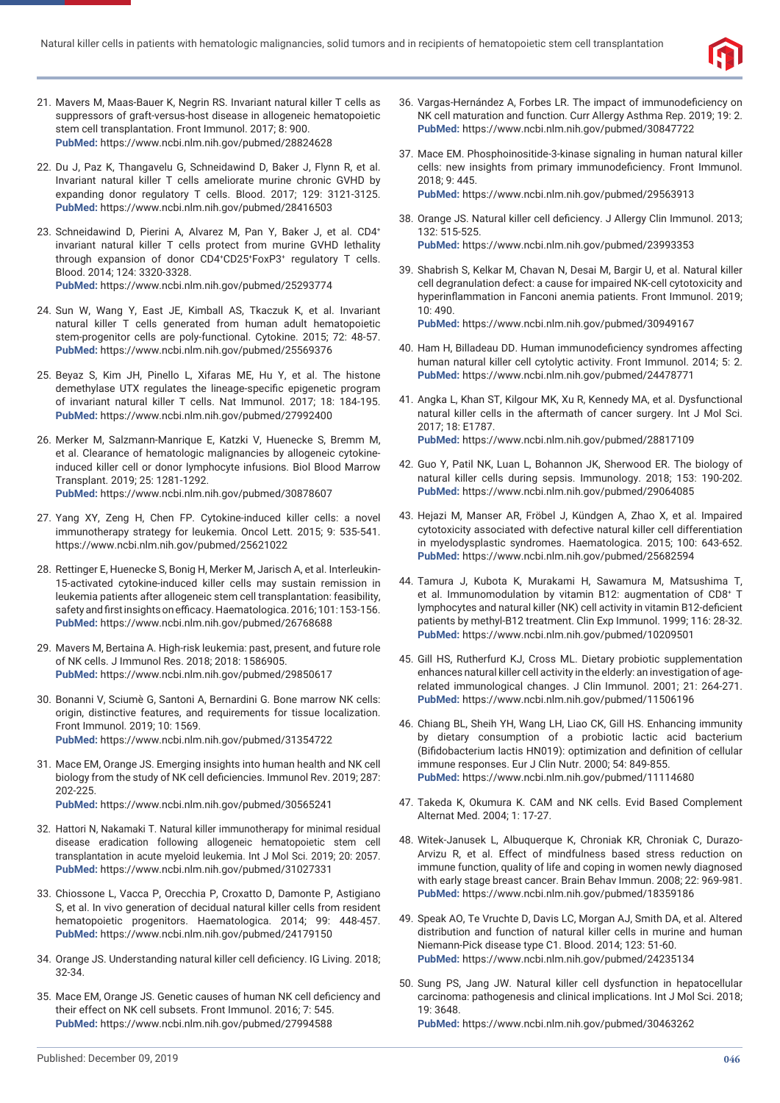

- 21. Mavers M, Maas-Bauer K, Negrin RS. Invariant natural killer T cells as suppressors of graft-versus-host disease in allogeneic hematopoietic stem cell transplantation. Front Immunol. 2017; 8: 900. **PubMed:** https://www.ncbi.nlm.nih.gov/pubmed/28824628
- 22. Du J, Paz K, Thangavelu G, Schneidawind D, Baker J, Flynn R, et al. Invariant natural killer T cells ameliorate murine chronic GVHD by expanding donor regulatory T cells. Blood. 2017; 129: 3121-3125. **PubMed:** https://www.ncbi.nlm.nih.gov/pubmed/28416503
- 23. Schneidawind D, Pierini A, Alvarez M, Pan Y, Baker J, et al. CD4+ invariant natural killer T cells protect from murine GVHD lethality through expansion of donor CD4+ CD25+ FoxP3+ regulatory T cells. Blood. 2014; 124: 3320-3328. **PubMed:** https://www.ncbi.nlm.nih.gov/pubmed/25293774
- 24. Sun W, Wang Y, East JE, Kimball AS, Tkaczuk K, et al. Invariant natural killer T cells generated from human adult hematopoietic stem-progenitor cells are poly-functional. Cytokine. 2015; 72: 48-57. **PubMed:** https://www.ncbi.nlm.nih.gov/pubmed/25569376
- 25. Beyaz S, Kim JH, Pinello L, Xifaras ME, Hu Y, et al. The histone demethylase UTX regulates the lineage-specific epigenetic program of invariant natural killer T cells. Nat Immunol. 2017; 18: 184-195. **PubMed:** https://www.ncbi.nlm.nih.gov/pubmed/27992400
- 26. Merker M, Salzmann-Manrique E, Katzki V, Huenecke S, Bremm M, et al. Clearance of hematologic malignancies by allogeneic cytokineinduced killer cell or donor lymphocyte infusions. Biol Blood Marrow Transplant. 2019; 25: 1281-1292. **PubMed:** https://www.ncbi.nlm.nih.gov/pubmed/30878607
- 27. Yang XY, Zeng H, Chen FP. Cytokine-induced killer cells: a novel immunotherapy strategy for leukemia. Oncol Lett. 2015; 9: 535-541. https://www.ncbi.nlm.nih.gov/pubmed/25621022
- 28. Rettinger E, Huenecke S, Bonig H, Merker M, Jarisch A, et al. Interleukin-15-activated cytokine-induced killer cells may sustain remission in leukemia patients after allogeneic stem cell transplantation: feasibility, safety and first insights on efficacy. Haematologica. 2016; 101: 153-156. **PubMed:** https://www.ncbi.nlm.nih.gov/pubmed/26768688
- 29. Mavers M, Bertaina A. High-risk leukemia: past, present, and future role of NK cells. J Immunol Res. 2018; 2018: 1586905. **PubMed:** https://www.ncbi.nlm.nih.gov/pubmed/29850617
- 30. Bonanni V, Sciumè G, Santoni A, Bernardini G. Bone marrow NK cells: origin, distinctive features, and requirements for tissue localization. Front Immunol. 2019; 10: 1569. **PubMed:** https://www.ncbi.nlm.nih.gov/pubmed/31354722
- 31. Mace EM, Orange JS. Emerging insights into human health and NK cell biology from the study of NK cell deficiencies. Immunol Rev. 2019; 287: 202-225.
	- **PubMed:** https://www.ncbi.nlm.nih.gov/pubmed/30565241
- 32. Hattori N, Nakamaki T. Natural killer immunotherapy for minimal residual disease eradication following allogeneic hematopoietic stem cell transplantation in acute myeloid leukemia. Int J Mol Sci. 2019; 20: 2057. **PubMed:** https://www.ncbi.nlm.nih.gov/pubmed/31027331
- 33. Chiossone L, Vacca P, Orecchia P, Croxatto D, Damonte P, Astigiano S, et al. In vivo generation of decidual natural killer cells from resident hematopoietic progenitors. Haematologica. 2014; 99: 448-457. **PubMed:** https://www.ncbi.nlm.nih.gov/pubmed/24179150
- 34. Orange JS. Understanding natural killer cell deficiency. IG Living. 2018; 32-34.
- 35. Mace EM, Orange JS. Genetic causes of human NK cell deficiency and their effect on NK cell subsets. Front Immunol. 2016; 7: 545. **PubMed:** https://www.ncbi.nlm.nih.gov/pubmed/27994588
- 36. Vargas-Hernández A, Forbes LR. The impact of immunodeficiency on NK cell maturation and function. Curr Allergy Asthma Rep. 2019; 19: 2. **PubMed:** https://www.ncbi.nlm.nih.gov/pubmed/30847722
- 37. Mace EM. Phosphoinositide-3-kinase signaling in human natural killer cells: new insights from primary immunodeficiency. Front Immunol. 2018; 9: 445. **PubMed:** https://www.ncbi.nlm.nih.gov/pubmed/29563913
- 38. Orange JS. Natural killer cell deficiency. J Allergy Clin Immunol. 2013; 132: 515-525. **PubMed:** https://www.ncbi.nlm.nih.gov/pubmed/23993353
- 39. Shabrish S, Kelkar M, Chavan N, Desai M, Bargir U, et al. Natural killer cell degranulation defect: a cause for impaired NK-cell cytotoxicity and hyperinflammation in Fanconi anemia patients. Front Immunol. 2019; 10: 490.

- 40. Ham H, Billadeau DD. Human immunodeficiency syndromes affecting human natural killer cell cytolytic activity. Front Immunol. 2014; 5: 2. **PubMed:** https://www.ncbi.nlm.nih.gov/pubmed/24478771
- 41. Angka L, Khan ST, Kilgour MK, Xu R, Kennedy MA, et al. Dysfunctional natural killer cells in the aftermath of cancer surgery. Int J Mol Sci. 2017; 18: E1787. **PubMed:** https://www.ncbi.nlm.nih.gov/pubmed/28817109
- 42. Guo Y, Patil NK, Luan L, Bohannon JK, Sherwood ER. The biology of natural killer cells during sepsis. Immunology. 2018; 153: 190-202. **PubMed:** https://www.ncbi.nlm.nih.gov/pubmed/29064085
- 43. Hejazi M, Manser AR, Fröbel J, Kündgen A, Zhao X, et al. Impaired cytotoxicity associated with defective natural killer cell differentiation in myelodysplastic syndromes. Haematologica. 2015; 100: 643-652. **PubMed:** https://www.ncbi.nlm.nih.gov/pubmed/25682594
- 44. Tamura J, Kubota K, Murakami H, Sawamura M, Matsushima T, et al. Immunomodulation by vitamin B12: augmentation of CD8+ T lymphocytes and natural killer (NK) cell activity in vitamin B12-deficient patients by methyl-B12 treatment. Clin Exp Immunol. 1999; 116: 28-32. **PubMed:** https://www.ncbi.nlm.nih.gov/pubmed/10209501
- 45. Gill HS, Rutherfurd KJ, Cross ML. Dietary probiotic supplementation enhances natural killer cell activity in the elderly: an investigation of agerelated immunological changes. J Clin Immunol. 2001; 21: 264-271. **PubMed:** https://www.ncbi.nlm.nih.gov/pubmed/11506196
- 46. Chiang BL, Sheih YH, Wang LH, Liao CK, Gill HS. Enhancing immunity by dietary consumption of a probiotic lactic acid bacterium (Bifidobacterium lactis HN019): optimization and definition of cellular immune responses. Eur J Clin Nutr. 2000; 54: 849-855. **PubMed:** https://www.ncbi.nlm.nih.gov/pubmed/11114680
- 47. Takeda K, Okumura K. CAM and NK cells. Evid Based Complement Alternat Med. 2004; 1: 17-27.
- 48. Witek-Janusek L, Albuquerque K, Chroniak KR, Chroniak C, Durazo-Arvizu R, et al. Effect of mindfulness based stress reduction on immune function, quality of life and coping in women newly diagnosed with early stage breast cancer. Brain Behav Immun. 2008; 22: 969-981. **PubMed:** https://www.ncbi.nlm.nih.gov/pubmed/18359186
- 49. Speak AO, Te Vruchte D, Davis LC, Morgan AJ, Smith DA, et al. Altered distribution and function of natural killer cells in murine and human Niemann-Pick disease type C1. Blood. 2014; 123: 51-60. **PubMed:** https://www.ncbi.nlm.nih.gov/pubmed/24235134
- 50. Sung PS, Jang JW. Natural killer cell dysfunction in hepatocellular carcinoma: pathogenesis and clinical implications. Int J Mol Sci. 2018; 19: 3648.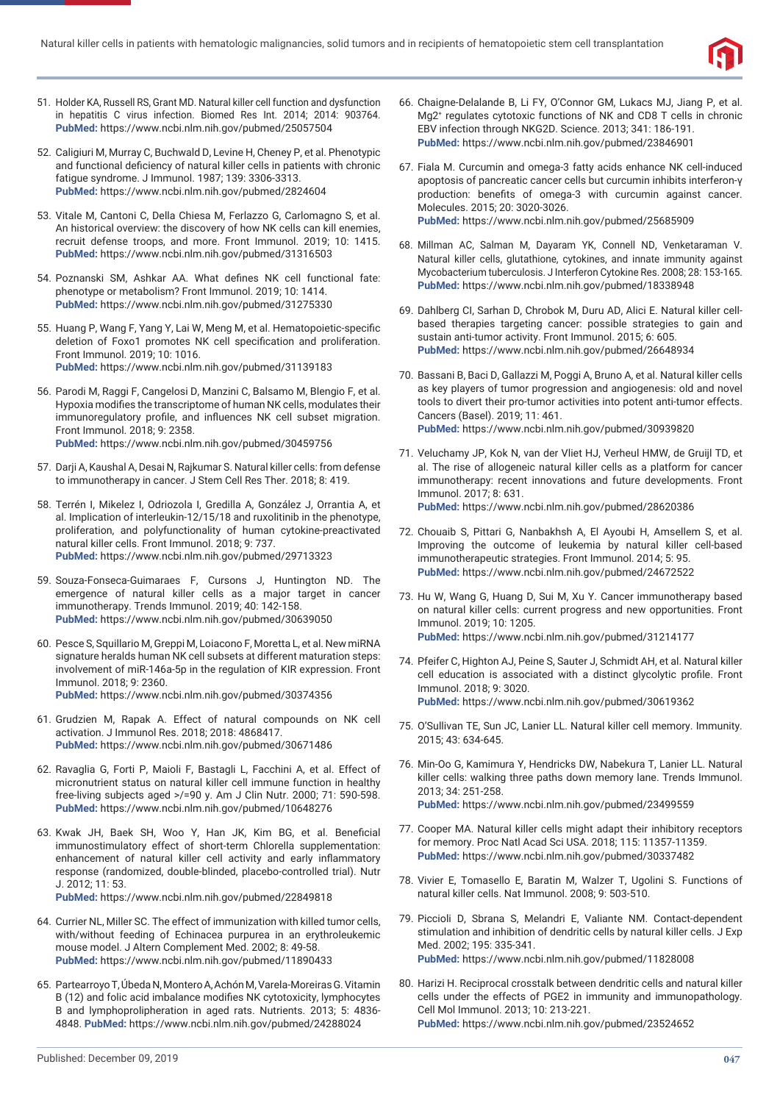

- 51. Holder KA, Russell RS, Grant MD. Natural killer cell function and dysfunction in hepatitis C virus infection. Biomed Res Int. 2014; 2014: 903764. **PubMed:** https://www.ncbi.nlm.nih.gov/pubmed/25057504
- 52. Caligiuri M, Murray C, Buchwald D, Levine H, Cheney P, et al. Phenotypic and functional deficiency of natural killer cells in patients with chronic fatigue syndrome. J Immunol. 1987; 139: 3306-3313. **PubMed:** https://www.ncbi.nlm.nih.gov/pubmed/2824604
- 53. Vitale M, Cantoni C, Della Chiesa M, Ferlazzo G, Carlomagno S, et al. An historical overview: the discovery of how NK cells can kill enemies, recruit defense troops, and more. Front Immunol. 2019; 10: 1415. **PubMed:** https://www.ncbi.nlm.nih.gov/pubmed/31316503
- 54. Poznanski SM, Ashkar AA. What defines NK cell functional fate: phenotype or metabolism? Front Immunol. 2019; 10: 1414. **PubMed:** https://www.ncbi.nlm.nih.gov/pubmed/31275330
- 55. Huang P, Wang F, Yang Y, Lai W, Meng M, et al. Hematopoietic-specific deletion of Foxo1 promotes NK cell specification and proliferation. Front Immunol. 2019; 10: 1016. **PubMed:** https://www.ncbi.nlm.nih.gov/pubmed/31139183
- 56. Parodi M, Raggi F, Cangelosi D, Manzini C, Balsamo M, Blengio F, et al. Hypoxia modifies the transcriptome of human NK cells, modulates their immunoregulatory profile, and influences NK cell subset migration. Front Immunol. 2018; 9: 2358. **PubMed:** https://www.ncbi.nlm.nih.gov/pubmed/30459756
- 57. Darji A, Kaushal A, Desai N, Rajkumar S. Natural killer cells: from defense to immunotherapy in cancer. J Stem Cell Res Ther. 2018; 8: 419.
- 58. Terrén I, Mikelez I, Odriozola I, Gredilla A, González J, Orrantia A, et al. Implication of interleukin-12/15/18 and ruxolitinib in the phenotype, proliferation, and polyfunctionality of human cytokine-preactivated natural killer cells. Front Immunol. 2018; 9: 737. **PubMed:** https://www.ncbi.nlm.nih.gov/pubmed/29713323
- 59. Souza-Fonseca-Guimaraes F, Cursons J, Huntington ND. The emergence of natural killer cells as a major target in cancer immunotherapy. Trends Immunol. 2019; 40: 142-158. **PubMed:** https://www.ncbi.nlm.nih.gov/pubmed/30639050
- 60. Pesce S, Squillario M, Greppi M, Loiacono F, Moretta L, et al. New miRNA signature heralds human NK cell subsets at different maturation steps: involvement of miR-146a-5p in the regulation of KIR expression. Front Immunol. 2018; 9: 2360. **PubMed:** https://www.ncbi.nlm.nih.gov/pubmed/30374356
- 61. Grudzien M, Rapak A. Effect of natural compounds on NK cell activation. J Immunol Res. 2018; 2018: 4868417. **PubMed:** https://www.ncbi.nlm.nih.gov/pubmed/30671486
- 62. Ravaglia G, Forti P, Maioli F, Bastagli L, Facchini A, et al. Effect of micronutrient status on natural killer cell immune function in healthy free-living subjects aged >/=90 y. Am J Clin Nutr. 2000; 71: 590-598. **PubMed:** https://www.ncbi.nlm.nih.gov/pubmed/10648276
- 63. Kwak JH, Baek SH, Woo Y, Han JK, Kim BG, et al. Beneficial immunostimulatory effect of short-term Chlorella supplementation: enhancement of natural killer cell activity and early inflammatory response (randomized, double-blinded, placebo-controlled trial). Nutr J. 2012; 11: 53.

- 64. Currier NL, Miller SC. The effect of immunization with killed tumor cells, with/without feeding of Echinacea purpurea in an erythroleukemic mouse model. J Altern Complement Med. 2002; 8: 49-58. **PubMed:** https://www.ncbi.nlm.nih.gov/pubmed/11890433
- 65. Partearroyo T, Úbeda N, Montero A, Achón M, Varela-Moreiras G. Vitamin B (12) and folic acid imbalance modifies NK cytotoxicity, lymphocytes B and lymphoprolipheration in aged rats. Nutrients. 2013; 5: 4836- 4848. **PubMed:** https://www.ncbi.nlm.nih.gov/pubmed/24288024
- 66. Chaigne-Delalande B, Li FY, O'Connor GM, Lukacs MJ, Jiang P, et al. Mg2+ regulates cytotoxic functions of NK and CD8 T cells in chronic EBV infection through NKG2D. Science. 2013; 341: 186-191. **PubMed:** https://www.ncbi.nlm.nih.gov/pubmed/23846901
- 67. Fiala M. Curcumin and omega-3 fatty acids enhance NK cell-induced apoptosis of pancreatic cancer cells but curcumin inhibits interferon-γ production: benefits of omega-3 with curcumin against cancer. Molecules. 2015; 20: 3020-3026. **PubMed:** https://www.ncbi.nlm.nih.gov/pubmed/25685909
- 68. Millman AC, Salman M, Dayaram YK, Connell ND, Venketaraman V. Natural killer cells, glutathione, cytokines, and innate immunity against Mycobacterium tuberculosis. J Interferon Cytokine Res. 2008; 28: 153-165. **PubMed:** https://www.ncbi.nlm.nih.gov/pubmed/18338948
- 69. Dahlberg CI, Sarhan D, Chrobok M, Duru AD, Alici E. Natural killer cellbased therapies targeting cancer: possible strategies to gain and sustain anti-tumor activity. Front Immunol. 2015; 6: 605. **PubMed:** https://www.ncbi.nlm.nih.gov/pubmed/26648934
- 70. Bassani B, Baci D, Gallazzi M, Poggi A, Bruno A, et al. Natural killer cells as key players of tumor progression and angiogenesis: old and novel tools to divert their pro-tumor activities into potent anti-tumor effects. Cancers (Basel). 2019; 11: 461. **PubMed:** https://www.ncbi.nlm.nih.gov/pubmed/30939820
- 71. Veluchamy JP, Kok N, van der Vliet HJ, Verheul HMW, de Gruijl TD, et al. The rise of allogeneic natural killer cells as a platform for cancer immunotherapy: recent innovations and future developments. Front Immunol. 2017; 8: 631. **PubMed:** https://www.ncbi.nlm.nih.gov/pubmed/28620386
- 72. Chouaib S, Pittari G, Nanbakhsh A, El Ayoubi H, Amsellem S, et al. Improving the outcome of leukemia by natural killer cell-based immunotherapeutic strategies. Front Immunol. 2014; 5: 95. **PubMed:** https://www.ncbi.nlm.nih.gov/pubmed/24672522
- 73. Hu W, Wang G, Huang D, Sui M, Xu Y. Cancer immunotherapy based on natural killer cells: current progress and new opportunities. Front Immunol. 2019; 10: 1205. **PubMed:** https://www.ncbi.nlm.nih.gov/pubmed/31214177
- 74. Pfeifer C, Highton AJ, Peine S, Sauter J, Schmidt AH, et al. Natural killer cell education is associated with a distinct glycolytic profile. Front Immunol. 2018; 9: 3020. **PubMed:** https://www.ncbi.nlm.nih.gov/pubmed/30619362
- 75. O'Sullivan TE, Sun JC, Lanier LL. Natural killer cell memory. Immunity. 2015; 43: 634-645.
- 76. Min-Oo G, Kamimura Y, Hendricks DW, Nabekura T, Lanier LL. Natural killer cells: walking three paths down memory lane. Trends Immunol. 2013; 34: 251-258. **PubMed:** https://www.ncbi.nlm.nih.gov/pubmed/23499559
- 77. Cooper MA. Natural killer cells might adapt their inhibitory receptors for memory. Proc Natl Acad Sci USA. 2018; 115: 11357-11359. **PubMed:** https://www.ncbi.nlm.nih.gov/pubmed/30337482
- 78. Vivier E, Tomasello E, Baratin M, Walzer T, Ugolini S. Functions of natural killer cells. Nat Immunol. 2008; 9: 503-510.
- 79. Piccioli D, Sbrana S, Melandri E, Valiante NM. Contact-dependent stimulation and inhibition of dendritic cells by natural killer cells. J Exp Med. 2002; 195: 335-341. **PubMed:** https://www.ncbi.nlm.nih.gov/pubmed/11828008
- 80. Harizi H. Reciprocal crosstalk between dendritic cells and natural killer cells under the effects of PGE2 in immunity and immunopathology. Cell Mol Immunol. 2013; 10: 213-221. **PubMed:** https://www.ncbi.nlm.nih.gov/pubmed/23524652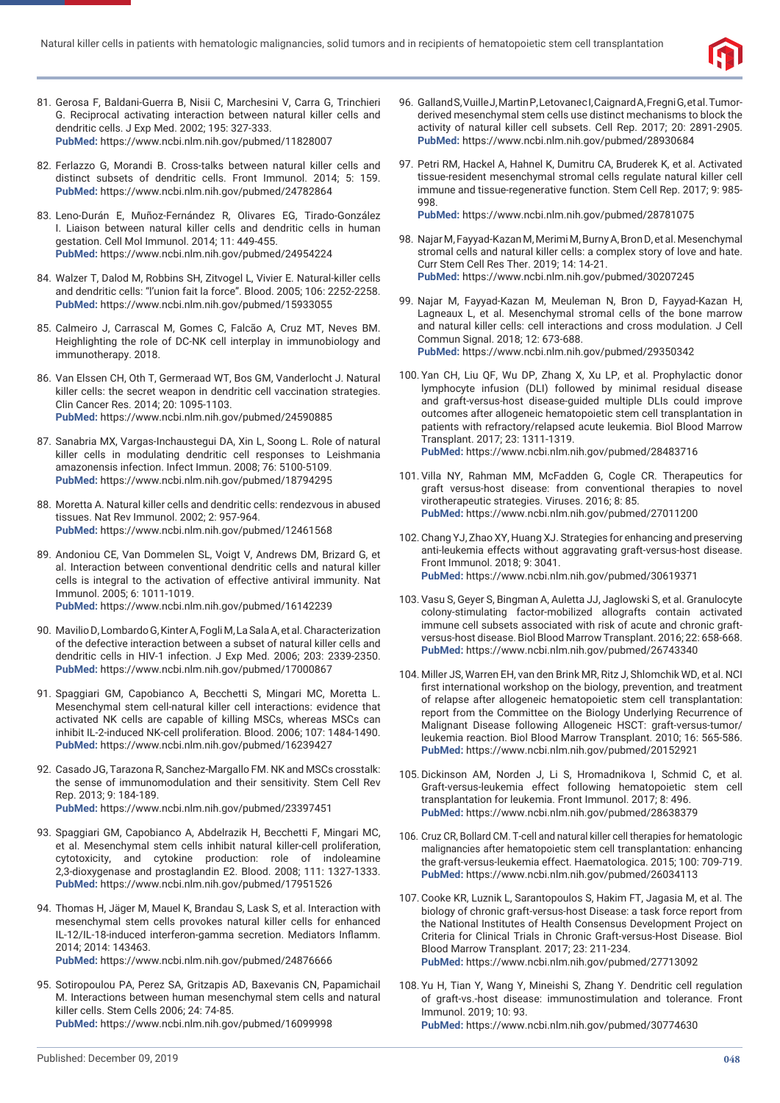

- 81. Gerosa F, Baldani-Guerra B, Nisii C, Marchesini V, Carra G, Trinchieri G. Reciprocal activating interaction between natural killer cells and dendritic cells. J Exp Med. 2002; 195: 327-333. **PubMed:** https://www.ncbi.nlm.nih.gov/pubmed/11828007
- 82. Ferlazzo G, Morandi B. Cross-talks between natural killer cells and distinct subsets of dendritic cells. Front Immunol. 2014; 5: 159. **PubMed:** https://www.ncbi.nlm.nih.gov/pubmed/24782864
- 83. Leno-Durán E, Muñoz-Fernández R, Olivares EG, Tirado-González I. Liaison between natural killer cells and dendritic cells in human gestation. Cell Mol Immunol. 2014; 11: 449-455. **PubMed:** https://www.ncbi.nlm.nih.gov/pubmed/24954224
- 84. Walzer T, Dalod M, Robbins SH, Zitvogel L, Vivier E. Natural-killer cells and dendritic cells: "l'union fait la force". Blood. 2005; 106: 2252-2258. **PubMed:** https://www.ncbi.nlm.nih.gov/pubmed/15933055
- 85. Calmeiro J, Carrascal M, Gomes C, Falcão A, Cruz MT, Neves BM. Heighlighting the role of DC-NK cell interplay in immunobiology and immunotherapy. 2018.
- 86. Van Elssen CH, Oth T, Germeraad WT, Bos GM, Vanderlocht J. Natural killer cells: the secret weapon in dendritic cell vaccination strategies. Clin Cancer Res. 2014; 20: 1095-1103. **PubMed:** https://www.ncbi.nlm.nih.gov/pubmed/24590885
- 87. Sanabria MX, Vargas-Inchaustegui DA, Xin L, Soong L. Role of natural killer cells in modulating dendritic cell responses to Leishmania amazonensis infection. Infect Immun. 2008; 76: 5100-5109. **PubMed:** https://www.ncbi.nlm.nih.gov/pubmed/18794295
- 88. Moretta A. Natural killer cells and dendritic cells: rendezvous in abused tissues. Nat Rev Immunol. 2002; 2: 957-964. **PubMed:** https://www.ncbi.nlm.nih.gov/pubmed/12461568
- 89. Andoniou CE, Van Dommelen SL, Voigt V, Andrews DM, Brizard G, et al. Interaction between conventional dendritic cells and natural killer cells is integral to the activation of effective antiviral immunity. Nat Immunol. 2005; 6: 1011-1019. **PubMed:** https://www.ncbi.nlm.nih.gov/pubmed/16142239
- 90. Mavilio D, Lombardo G, Kinter A, Fogli M, La Sala A, et al. Characterization of the defective interaction between a subset of natural killer cells and dendritic cells in HIV-1 infection. J Exp Med. 2006; 203: 2339-2350. **PubMed:** https://www.ncbi.nlm.nih.gov/pubmed/17000867
- 91. Spaggiari GM, Capobianco A, Becchetti S, Mingari MC, Moretta L. Mesenchymal stem cell-natural killer cell interactions: evidence that activated NK cells are capable of killing MSCs, whereas MSCs can inhibit IL-2-induced NK-cell proliferation. Blood. 2006; 107: 1484-1490. **PubMed:** https://www.ncbi.nlm.nih.gov/pubmed/16239427
- 92. Casado JG, Tarazona R, Sanchez-Margallo FM. NK and MSCs crosstalk: the sense of immunomodulation and their sensitivity. Stem Cell Rev Rep. 2013; 9: 184-189. **PubMed:** https://www.ncbi.nlm.nih.gov/pubmed/23397451
- 93. Spaggiari GM, Capobianco A, Abdelrazik H, Becchetti F, Mingari MC, et al. Mesenchymal stem cells inhibit natural killer-cell proliferation, cytotoxicity, and cytokine production: role of indoleamine 2,3-dioxygenase and prostaglandin E2. Blood. 2008; 111: 1327-1333. **PubMed:** https://www.ncbi.nlm.nih.gov/pubmed/17951526
- 94. Thomas H, Jäger M, Mauel K, Brandau S, Lask S, et al. Interaction with mesenchymal stem cells provokes natural killer cells for enhanced IL-12/IL-18-induced interferon-gamma secretion. Mediators Inflamm. 2014; 2014: 143463.

95. Sotiropoulou PA, Perez SA, Gritzapis AD, Baxevanis CN, Papamichail M. Interactions between human mesenchymal stem cells and natural killer cells. Stem Cells 2006; 24: 74-85. **PubMed:** https://www.ncbi.nlm.nih.gov/pubmed/16099998

- 96. Galland S, Vuille J, Martin P, Letovanec I, Caignard A, Fregni G, et al. Tumorderived mesenchymal stem cells use distinct mechanisms to block the activity of natural killer cell subsets. Cell Rep. 2017; 20: 2891-2905. **PubMed:** https://www.ncbi.nlm.nih.gov/pubmed/28930684
- 97. Petri RM, Hackel A, Hahnel K, Dumitru CA, Bruderek K, et al. Activated tissue-resident mesenchymal stromal cells regulate natural killer cell immune and tissue-regenerative function. Stem Cell Rep. 2017; 9: 985- 998.

- 98. Najar M, Fayyad-Kazan M, Merimi M, Burny A, Bron D, et al. Mesenchymal stromal cells and natural killer cells: a complex story of love and hate. Curr Stem Cell Res Ther. 2019; 14: 14-21. **PubMed:** https://www.ncbi.nlm.nih.gov/pubmed/30207245
- 99. Najar M, Fayyad-Kazan M, Meuleman N, Bron D, Fayyad-Kazan H, Lagneaux L, et al. Mesenchymal stromal cells of the bone marrow and natural killer cells: cell interactions and cross modulation. J Cell Commun Signal. 2018; 12: 673-688. **PubMed:** https://www.ncbi.nlm.nih.gov/pubmed/29350342
- 100. Yan CH, Liu QF, Wu DP, Zhang X, Xu LP, et al. Prophylactic donor lymphocyte infusion (DLI) followed by minimal residual disease and graft-versus-host disease-guided multiple DLIs could improve outcomes after allogeneic hematopoietic stem cell transplantation in patients with refractory/relapsed acute leukemia. Biol Blood Marrow Transplant. 2017; 23: 1311-1319. **PubMed:** https://www.ncbi.nlm.nih.gov/pubmed/28483716
- 101. Villa NY, Rahman MM, McFadden G, Cogle CR. Therapeutics for graft versus-host disease: from conventional therapies to novel virotherapeutic strategies. Viruses. 2016; 8: 85. **PubMed:** https://www.ncbi.nlm.nih.gov/pubmed/27011200
- 102. Chang YJ, Zhao XY, Huang XJ. Strategies for enhancing and preserving anti-leukemia effects without aggravating graft-versus-host disease. Front Immunol. 2018; 9: 3041. **PubMed:** https://www.ncbi.nlm.nih.gov/pubmed/30619371
- 103. Vasu S, Geyer S, Bingman A, Auletta JJ, Jaglowski S, et al. Granulocyte colony-stimulating factor-mobilized allografts contain activated immune cell subsets associated with risk of acute and chronic graftversus-host disease. Biol Blood Marrow Transplant. 2016; 22: 658-668. **PubMed:** https://www.ncbi.nlm.nih.gov/pubmed/26743340
- 104. Miller JS, Warren EH, van den Brink MR, Ritz J, Shlomchik WD, et al. NCI first international workshop on the biology, prevention, and treatment of relapse after allogeneic hematopoietic stem cell transplantation: report from the Committee on the Biology Underlying Recurrence of Malignant Disease following Allogeneic HSCT: graft-versus-tumor/ leukemia reaction. Biol Blood Marrow Transplant. 2010; 16: 565-586. **PubMed:** https://www.ncbi.nlm.nih.gov/pubmed/20152921
- 105. Dickinson AM, Norden J, Li S, Hromadnikova I, Schmid C, et al. Graft-versus-leukemia effect following hematopoietic stem cell transplantation for leukemia. Front Immunol. 2017; 8: 496. **PubMed:** https://www.ncbi.nlm.nih.gov/pubmed/28638379
- 106. Cruz CR, Bollard CM. T-cell and natural killer cell therapies for hematologic malignancies after hematopoietic stem cell transplantation: enhancing the graft-versus-leukemia effect. Haematologica. 2015; 100: 709-719. **PubMed:** https://www.ncbi.nlm.nih.gov/pubmed/26034113
- 107. Cooke KR, Luznik L, Sarantopoulos S, Hakim FT, Jagasia M, et al. The biology of chronic graft-versus-host Disease: a task force report from the National Institutes of Health Consensus Development Project on Criteria for Clinical Trials in Chronic Graft-versus-Host Disease. Biol Blood Marrow Transplant. 2017; 23: 211-234. **PubMed:** https://www.ncbi.nlm.nih.gov/pubmed/27713092
- 108. Yu H, Tian Y, Wang Y, Mineishi S, Zhang Y. Dendritic cell regulation of graft-vs.-host disease: immunostimulation and tolerance. Front Immunol. 2019; 10: 93.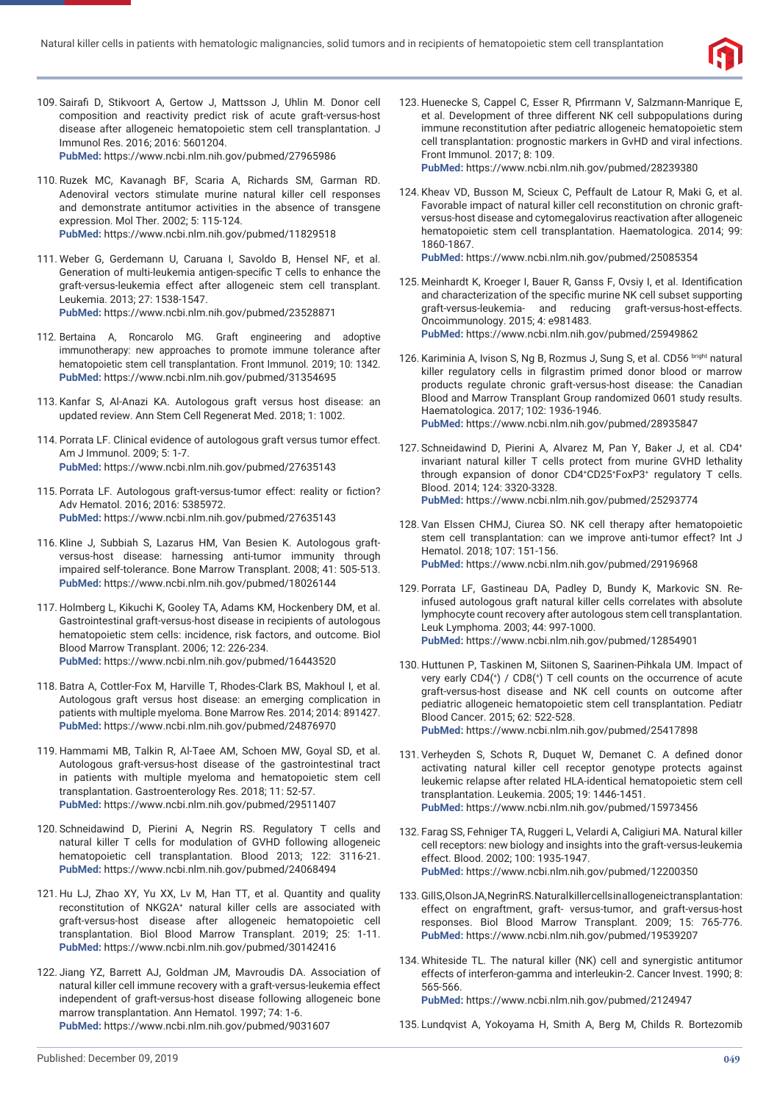

- 109. Sairafi D, Stikvoort A, Gertow J, Mattsson J, Uhlin M. Donor cell composition and reactivity predict risk of acute graft-versus-host disease after allogeneic hematopoietic stem cell transplantation. J Immunol Res. 2016; 2016: 5601204. **PubMed:** https://www.ncbi.nlm.nih.gov/pubmed/27965986
- 110. Ruzek MC, Kavanagh BF, Scaria A, Richards SM, Garman RD. Adenoviral vectors stimulate murine natural killer cell responses and demonstrate antitumor activities in the absence of transgene expression. Mol Ther. 2002; 5: 115-124. **PubMed:** https://www.ncbi.nlm.nih.gov/pubmed/11829518
- 111. Weber G, Gerdemann U, Caruana I, Savoldo B, Hensel NF, et al. Generation of multi-leukemia antigen-specific T cells to enhance the graft-versus-leukemia effect after allogeneic stem cell transplant. Leukemia. 2013; 27: 1538-1547. **PubMed:** https://www.ncbi.nlm.nih.gov/pubmed/23528871
- 112. Bertaina A, Roncarolo MG. Graft engineering and adoptive immunotherapy: new approaches to promote immune tolerance after hematopoietic stem cell transplantation. Front Immunol. 2019; 10: 1342. **PubMed:** https://www.ncbi.nlm.nih.gov/pubmed/31354695
- 113. Kanfar S, Al-Anazi KA. Autologous graft versus host disease: an updated review. Ann Stem Cell Regenerat Med. 2018; 1: 1002.
- 114. Porrata LF. Clinical evidence of autologous graft versus tumor effect. Am J Immunol. 2009; 5: 1-7. **PubMed:** https://www.ncbi.nlm.nih.gov/pubmed/27635143
- 115. Porrata LF. Autologous graft-versus-tumor effect: reality or fiction? Adv Hematol. 2016; 2016: 5385972. **PubMed:** https://www.ncbi.nlm.nih.gov/pubmed/27635143
- 116. Kline J, Subbiah S, Lazarus HM, Van Besien K. Autologous graftversus-host disease: harnessing anti-tumor immunity through impaired self-tolerance. Bone Marrow Transplant. 2008; 41: 505-513. **PubMed:** https://www.ncbi.nlm.nih.gov/pubmed/18026144
- 117. Holmberg L, Kikuchi K, Gooley TA, Adams KM, Hockenbery DM, et al. Gastrointestinal graft-versus-host disease in recipients of autologous hematopoietic stem cells: incidence, risk factors, and outcome. Biol Blood Marrow Transplant. 2006; 12: 226-234. **PubMed:** https://www.ncbi.nlm.nih.gov/pubmed/16443520
- 118. Batra A, Cottler-Fox M, Harville T, Rhodes-Clark BS, Makhoul I, et al. Autologous graft versus host disease: an emerging complication in patients with multiple myeloma. Bone Marrow Res. 2014; 2014: 891427. **PubMed:** https://www.ncbi.nlm.nih.gov/pubmed/24876970
- 119. Hammami MB, Talkin R, Al-Taee AM, Schoen MW, Goyal SD, et al. Autologous graft-versus-host disease of the gastrointestinal tract in patients with multiple myeloma and hematopoietic stem cell transplantation. Gastroenterology Res. 2018; 11: 52-57. **PubMed:** https://www.ncbi.nlm.nih.gov/pubmed/29511407
- 120. Schneidawind D, Pierini A, Negrin RS. Regulatory T cells and natural killer T cells for modulation of GVHD following allogeneic hematopoietic cell transplantation. Blood 2013; 122: 3116-21. **PubMed:** https://www.ncbi.nlm.nih.gov/pubmed/24068494
- 121. Hu LJ, Zhao XY, Yu XX, Lv M, Han TT, et al. Quantity and quality reconstitution of NKG2A+ natural killer cells are associated with graft-versus-host disease after allogeneic hematopoietic cell transplantation. Biol Blood Marrow Transplant. 2019; 25: 1-11. **PubMed:** https://www.ncbi.nlm.nih.gov/pubmed/30142416
- 122. Jiang YZ, Barrett AJ, Goldman JM, Mavroudis DA. Association of natural killer cell immune recovery with a graft-versus-leukemia effect independent of graft-versus-host disease following allogeneic bone marrow transplantation. Ann Hematol. 1997; 74: 1-6. **PubMed:** https://www.ncbi.nlm.nih.gov/pubmed/9031607

123. Huenecke S, Cappel C, Esser R, Pfirrmann V, Salzmann-Manrique E, et al. Development of three different NK cell subpopulations during immune reconstitution after pediatric allogeneic hematopoietic stem cell transplantation: prognostic markers in GvHD and viral infections. Front Immunol. 2017; 8: 109.

**PubMed:** https://www.ncbi.nlm.nih.gov/pubmed/28239380

124. Kheav VD, Busson M, Scieux C, Peffault de Latour R, Maki G, et al. Favorable impact of natural killer cell reconstitution on chronic graftversus-host disease and cytomegalovirus reactivation after allogeneic hematopoietic stem cell transplantation. Haematologica. 2014; 99: 1860-1867.

**PubMed:** https://www.ncbi.nlm.nih.gov/pubmed/25085354

- 125. Meinhardt K, Kroeger I, Bauer R, Ganss F, Ovsiy I, et al. Identification and characterization of the specific murine NK cell subset supporting graft-versus-leukemia- and reducing graft-versus-host-effects. Oncoimmunology. 2015; 4: e981483. **PubMed:** https://www.ncbi.nlm.nih.gov/pubmed/25949862
- 126. Kariminia A, Ivison S, Ng B, Rozmus J, Sung S, et al. CD56 bright natural killer regulatory cells in filgrastim primed donor blood or marrow products regulate chronic graft-versus-host disease: the Canadian Blood and Marrow Transplant Group randomized 0601 study results. Haematologica. 2017; 102: 1936-1946. **PubMed:** https://www.ncbi.nlm.nih.gov/pubmed/28935847
- 127. Schneidawind D, Pierini A, Alvarez M, Pan Y, Baker J, et al. CD4+ invariant natural killer T cells protect from murine GVHD lethality through expansion of donor CD4+ CD25+ FoxP3+ regulatory T cells. Blood. 2014; 124: 3320-3328. **PubMed:** https://www.ncbi.nlm.nih.gov/pubmed/25293774
- 128. Van Elssen CHMJ, Ciurea SO. NK cell therapy after hematopoietic stem cell transplantation: can we improve anti-tumor effect? Int J Hematol. 2018; 107: 151-156. **PubMed:** https://www.ncbi.nlm.nih.gov/pubmed/29196968
- 129. Porrata LF, Gastineau DA, Padley D, Bundy K, Markovic SN. Reinfused autologous graft natural killer cells correlates with absolute lymphocyte count recovery after autologous stem cell transplantation. Leuk Lymphoma. 2003; 44: 997-1000. **PubMed:** https://www.ncbi.nlm.nih.gov/pubmed/12854901
- 130. Huttunen P, Taskinen M, Siitonen S, Saarinen-Pihkala UM. Impact of very early  $CD4$ <sup>(+</sup>) /  $CD8$ <sup>(+</sup>) T cell counts on the occurrence of acute graft-versus-host disease and NK cell counts on outcome after pediatric allogeneic hematopoietic stem cell transplantation. Pediatr Blood Cancer. 2015; 62: 522-528. **PubMed:** https://www.ncbi.nlm.nih.gov/pubmed/25417898
- 131. Verheyden S, Schots R, Duquet W, Demanet C, A defined donor activating natural killer cell receptor genotype protects against leukemic relapse after related HLA-identical hematopoietic stem cell transplantation. Leukemia. 2005; 19: 1446-1451. **PubMed:** https://www.ncbi.nlm.nih.gov/pubmed/15973456
- 132. Farag SS, Fehniger TA, Ruggeri L, Velardi A, Caligiuri MA. Natural killer cell receptors: new biology and insights into the graft-versus-leukemia effect. Blood. 2002; 100: 1935-1947. **PubMed:** https://www.ncbi.nlm.nih.gov/pubmed/12200350
- 133. Gill S, Olson JA, Negrin RS. Natural killer cells in allogeneic transplantation: effect on engraftment, graft- versus-tumor, and graft-versus-host responses. Biol Blood Marrow Transplant. 2009; 15: 765-776. **PubMed:** https://www.ncbi.nlm.nih.gov/pubmed/19539207
- 134. Whiteside TL. The natural killer (NK) cell and synergistic antitumor effects of interferon-gamma and interleukin-2. Cancer Invest. 1990; 8: 565-566. **PubMed:** https://www.ncbi.nlm.nih.gov/pubmed/2124947

135. Lundqvist A, Yokoyama H, Smith A, Berg M, Childs R. Bortezomib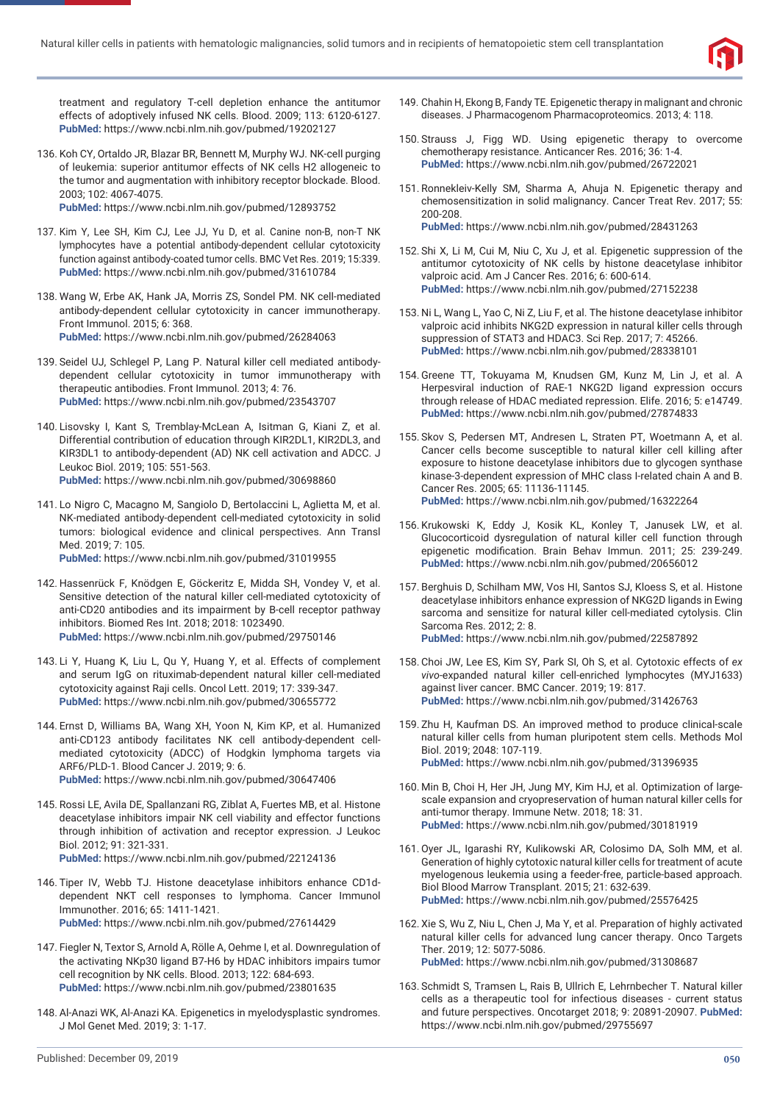

treatment and regulatory T-cell depletion enhance the antitumor effects of adoptively infused NK cells. Blood. 2009; 113: 6120-6127. **PubMed:** https://www.ncbi.nlm.nih.gov/pubmed/19202127

- 136. Koh CY, Ortaldo JR, Blazar BR, Bennett M, Murphy WJ. NK-cell purging of leukemia: superior antitumor effects of NK cells H2 allogeneic to the tumor and augmentation with inhibitory receptor blockade. Blood. 2003; 102: 4067-4075. **PubMed:** https://www.ncbi.nlm.nih.gov/pubmed/12893752
- 137. Kim Y, Lee SH, Kim CJ, Lee JJ, Yu D, et al. Canine non-B, non-T NK lymphocytes have a potential antibody-dependent cellular cytotoxicity function against antibody-coated tumor cells. BMC Vet Res. 2019; 15:339. **PubMed:** https://www.ncbi.nlm.nih.gov/pubmed/31610784
- 138. Wang W, Erbe AK, Hank JA, Morris ZS, Sondel PM. NK cell-mediated antibody-dependent cellular cytotoxicity in cancer immunotherapy. Front Immunol. 2015; 6: 368. **PubMed:** https://www.ncbi.nlm.nih.gov/pubmed/26284063
- 139. Seidel UJ, Schlegel P, Lang P. Natural killer cell mediated antibodydependent cellular cytotoxicity in tumor immunotherapy with therapeutic antibodies. Front Immunol. 2013; 4: 76. **PubMed:** https://www.ncbi.nlm.nih.gov/pubmed/23543707
- 140. Lisovsky I, Kant S, Tremblay-McLean A, Isitman G, Kiani Z, et al. Differential contribution of education through KIR2DL1, KIR2DL3, and KIR3DL1 to antibody-dependent (AD) NK cell activation and ADCC. J Leukoc Biol. 2019; 105: 551-563. **PubMed:** https://www.ncbi.nlm.nih.gov/pubmed/30698860
- 141. Lo Nigro C, Macagno M, Sangiolo D, Bertolaccini L, Aglietta M, et al. NK-mediated antibody-dependent cell-mediated cytotoxicity in solid tumors: biological evidence and clinical perspectives. Ann Transl Med. 2019; 7: 105.

- 142. Hassenrück F, Knödgen E, Göckeritz E, Midda SH, Vondey V, et al. Sensitive detection of the natural killer cell-mediated cytotoxicity of anti-CD20 antibodies and its impairment by B-cell receptor pathway inhibitors. Biomed Res Int. 2018; 2018: 1023490. **PubMed:** https://www.ncbi.nlm.nih.gov/pubmed/29750146
- 143. Li Y, Huang K, Liu L, Qu Y, Huang Y, et al. Effects of complement and serum IgG on rituximab-dependent natural killer cell-mediated cytotoxicity against Raji cells. Oncol Lett. 2019; 17: 339-347. **PubMed:** https://www.ncbi.nlm.nih.gov/pubmed/30655772
- 144. Ernst D, Williams BA, Wang XH, Yoon N, Kim KP, et al. Humanized anti-CD123 antibody facilitates NK cell antibody-dependent cellmediated cytotoxicity (ADCC) of Hodgkin lymphoma targets via ARF6/PLD-1. Blood Cancer J. 2019; 9: 6. **PubMed:** https://www.ncbi.nlm.nih.gov/pubmed/30647406
- 145. Rossi LE, Avila DE, Spallanzani RG, Ziblat A, Fuertes MB, et al. Histone deacetylase inhibitors impair NK cell viability and effector functions through inhibition of activation and receptor expression. J Leukoc Biol. 2012; 91: 321-331. **PubMed:** https://www.ncbi.nlm.nih.gov/pubmed/22124136
- 146. Tiper IV, Webb TJ. Histone deacetylase inhibitors enhance CD1ddependent NKT cell responses to lymphoma. Cancer Immunol Immunother. 2016; 65: 1411-1421. **PubMed:** https://www.ncbi.nlm.nih.gov/pubmed/27614429
- 147. Fiegler N, Textor S, Arnold A, Rölle A, Oehme I, et al. Downregulation of the activating NKp30 ligand B7-H6 by HDAC inhibitors impairs tumor cell recognition by NK cells. Blood. 2013; 122: 684-693. **PubMed:** https://www.ncbi.nlm.nih.gov/pubmed/23801635
- 148. Al-Anazi WK, Al-Anazi KA. Epigenetics in myelodysplastic syndromes. J Mol Genet Med. 2019; 3: 1-17.
- 149. Chahin H, Ekong B, Fandy TE. Epigenetic therapy in malignant and chronic diseases. J Pharmacogenom Pharmacoproteomics. 2013; 4: 118.
- 150. Strauss J, Figg WD. Using epigenetic therapy to overcome chemotherapy resistance. Anticancer Res. 2016; 36: 1-4. **PubMed:** https://www.ncbi.nlm.nih.gov/pubmed/26722021
- 151. Ronnekleiv-Kelly SM, Sharma A, Ahuja N. Epigenetic therapy and chemosensitization in solid malignancy. Cancer Treat Rev. 2017; 55: 200-208. **PubMed:** https://www.ncbi.nlm.nih.gov/pubmed/28431263
- 152. Shi X, Li M, Cui M, Niu C, Xu J, et al. Epigenetic suppression of the antitumor cytotoxicity of NK cells by histone deacetylase inhibitor valproic acid. Am J Cancer Res. 2016; 6: 600-614. **PubMed:** https://www.ncbi.nlm.nih.gov/pubmed/27152238
- 153. Ni L, Wang L, Yao C, Ni Z, Liu F, et al. The histone deacetylase inhibitor valproic acid inhibits NKG2D expression in natural killer cells through suppression of STAT3 and HDAC3. Sci Rep. 2017; 7: 45266. **PubMed:** https://www.ncbi.nlm.nih.gov/pubmed/28338101
- 154. Greene TT, Tokuyama M, Knudsen GM, Kunz M, Lin J, et al. A Herpesviral induction of RAE-1 NKG2D ligand expression occurs through release of HDAC mediated repression. Elife. 2016; 5: e14749. **PubMed:** https://www.ncbi.nlm.nih.gov/pubmed/27874833
- 155. Skov S, Pedersen MT, Andresen L, Straten PT, Woetmann A, et al. Cancer cells become susceptible to natural killer cell killing after exposure to histone deacetylase inhibitors due to glycogen synthase kinase-3-dependent expression of MHC class I-related chain A and B. Cancer Res. 2005; 65: 11136-11145. **PubMed:** https://www.ncbi.nlm.nih.gov/pubmed/16322264
- 156. Krukowski K, Eddy J, Kosik KL, Konley T, Janusek LW, et al. Glucocorticoid dysregulation of natural killer cell function through epigenetic modification. Brain Behav Immun. 2011; 25: 239-249. **PubMed:** https://www.ncbi.nlm.nih.gov/pubmed/20656012
- 157. Berghuis D, Schilham MW, Vos HI, Santos SJ, Kloess S, et al. Histone deacetylase inhibitors enhance expression of NKG2D ligands in Ewing sarcoma and sensitize for natural killer cell-mediated cytolysis. Clin Sarcoma Res. 2012; 2: 8. **PubMed:** https://www.ncbi.nlm.nih.gov/pubmed/22587892
- 158. Choi JW, Lee ES, Kim SY, Park SI, Oh S, et al. Cytotoxic effects of *ex vivo*-expanded natural killer cell-enriched lymphocytes (MYJ1633) against liver cancer. BMC Cancer. 2019; 19: 817. **PubMed:** https://www.ncbi.nlm.nih.gov/pubmed/31426763
- 159. Zhu H, Kaufman DS. An improved method to produce clinical-scale natural killer cells from human pluripotent stem cells. Methods Mol Biol. 2019; 2048: 107-119. **PubMed:** https://www.ncbi.nlm.nih.gov/pubmed/31396935
- 160. Min B, Choi H, Her JH, Jung MY, Kim HJ, et al. Optimization of largescale expansion and cryopreservation of human natural killer cells for anti-tumor therapy. Immune Netw. 2018; 18: 31. **PubMed:** https://www.ncbi.nlm.nih.gov/pubmed/30181919
- 161. Oyer JL, Igarashi RY, Kulikowski AR, Colosimo DA, Solh MM, et al. Generation of highly cytotoxic natural killer cells for treatment of acute myelogenous leukemia using a feeder-free, particle-based approach. Biol Blood Marrow Transplant. 2015; 21: 632-639. **PubMed:** https://www.ncbi.nlm.nih.gov/pubmed/25576425
- 162. Xie S, Wu Z, Niu L, Chen J, Ma Y, et al. Preparation of highly activated natural killer cells for advanced lung cancer therapy. Onco Targets Ther. 2019; 12: 5077-5086. **PubMed:** https://www.ncbi.nlm.nih.gov/pubmed/31308687
- 163. Schmidt S, Tramsen L, Rais B, Ullrich E, Lehrnbecher T. Natural killer cells as a therapeutic tool for infectious diseases - current status and future perspectives. Oncotarget 2018; 9: 20891-20907. **PubMed:** https://www.ncbi.nlm.nih.gov/pubmed/29755697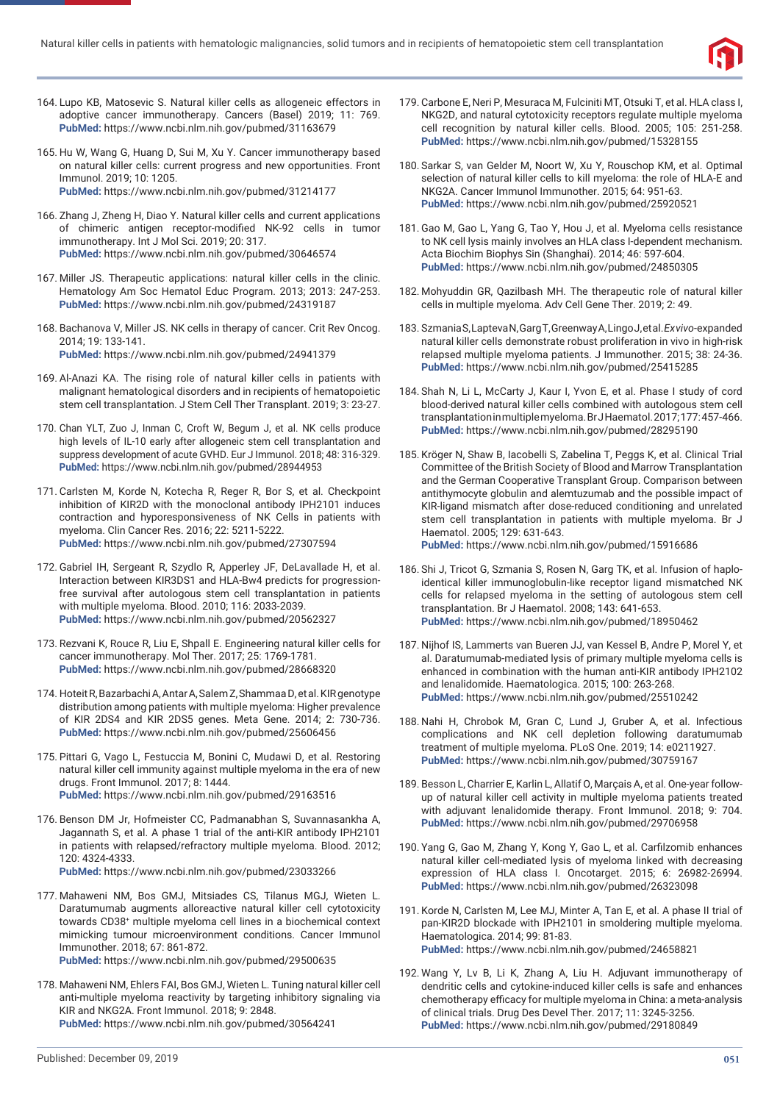

- 164. Lupo KB, Matosevic S. Natural killer cells as allogeneic effectors in adoptive cancer immunotherapy. Cancers (Basel) 2019; 11: 769. **PubMed:** https://www.ncbi.nlm.nih.gov/pubmed/31163679
- 165. Hu W, Wang G, Huang D, Sui M, Xu Y. Cancer immunotherapy based on natural killer cells: current progress and new opportunities. Front Immunol. 2019; 10: 1205. **PubMed:** https://www.ncbi.nlm.nih.gov/pubmed/31214177
- 166. Zhang J, Zheng H, Diao Y. Natural killer cells and current applications of chimeric antigen receptor-modified NK-92 cells in tumor immunotherapy. Int J Mol Sci. 2019; 20: 317. **PubMed:** https://www.ncbi.nlm.nih.gov/pubmed/30646574
- 167. Miller JS. Therapeutic applications: natural killer cells in the clinic. Hematology Am Soc Hematol Educ Program. 2013; 2013: 247-253. **PubMed:** https://www.ncbi.nlm.nih.gov/pubmed/24319187
- 168. Bachanova V, Miller JS. NK cells in therapy of cancer. Crit Rev Oncog. 2014; 19: 133-141. **PubMed:** https://www.ncbi.nlm.nih.gov/pubmed/24941379
- 169. Al-Anazi KA. The rising role of natural killer cells in patients with malignant hematological disorders and in recipients of hematopoietic stem cell transplantation. J Stem Cell Ther Transplant. 2019; 3: 23-27.
- 170. Chan YLT, Zuo J, Inman C, Croft W, Begum J, et al. NK cells produce high levels of IL-10 early after allogeneic stem cell transplantation and suppress development of acute GVHD. Eur J Immunol. 2018; 48: 316-329. **PubMed:** https://www.ncbi.nlm.nih.gov/pubmed/28944953
- 171. Carlsten M, Korde N, Kotecha R, Reger R, Bor S, et al. Checkpoint inhibition of KIR2D with the monoclonal antibody IPH2101 induces contraction and hyporesponsiveness of NK Cells in patients with myeloma. Clin Cancer Res. 2016; 22: 5211-5222. **PubMed:** https://www.ncbi.nlm.nih.gov/pubmed/27307594
- 172. Gabriel IH, Sergeant R, Szydlo R, Apperley JF, DeLavallade H, et al. Interaction between KIR3DS1 and HLA-Bw4 predicts for progressionfree survival after autologous stem cell transplantation in patients with multiple myeloma. Blood. 2010; 116: 2033-2039. **PubMed:** https://www.ncbi.nlm.nih.gov/pubmed/20562327
- 173. Rezvani K, Rouce R, Liu E, Shpall E. Engineering natural killer cells for cancer immunotherapy. Mol Ther. 2017; 25: 1769-1781. **PubMed:** https://www.ncbi.nlm.nih.gov/pubmed/28668320
- 174. Hoteit R, Bazarbachi A, Antar A, Salem Z, Shammaa D, et al. KIR genotype distribution among patients with multiple myeloma: Higher prevalence of KIR 2DS4 and KIR 2DS5 genes. Meta Gene. 2014; 2: 730-736. **PubMed:** https://www.ncbi.nlm.nih.gov/pubmed/25606456
- 175. Pittari G, Vago L, Festuccia M, Bonini C, Mudawi D, et al. Restoring natural killer cell immunity against multiple myeloma in the era of new drugs. Front Immunol. 2017; 8: 1444. **PubMed:** https://www.ncbi.nlm.nih.gov/pubmed/29163516
- 176. Benson DM Jr, Hofmeister CC, Padmanabhan S, Suvannasankha A, Jagannath S, et al. A phase 1 trial of the anti-KIR antibody IPH2101 in patients with relapsed/refractory multiple myeloma. Blood. 2012; 120: 4324-4333.

- 177. Mahaweni NM, Bos GMJ, Mitsiades CS, Tilanus MGJ, Wieten L. Daratumumab augments alloreactive natural killer cell cytotoxicity towards CD38+ multiple myeloma cell lines in a biochemical context mimicking tumour microenvironment conditions. Cancer Immunol Immunother. 2018; 67: 861-872. **PubMed:** https://www.ncbi.nlm.nih.gov/pubmed/29500635
- 178. Mahaweni NM, Ehlers FAI, Bos GMJ, Wieten L. Tuning natural killer cell anti-multiple myeloma reactivity by targeting inhibitory signaling via KIR and NKG2A. Front Immunol. 2018; 9: 2848. **PubMed:** https://www.ncbi.nlm.nih.gov/pubmed/30564241
- 179. Carbone E, Neri P, Mesuraca M, Fulciniti MT, Otsuki T, et al. HLA class I, NKG2D, and natural cytotoxicity receptors regulate multiple myeloma cell recognition by natural killer cells. Blood. 2005; 105: 251-258. **PubMed:** https://www.ncbi.nlm.nih.gov/pubmed/15328155
- 180. Sarkar S, van Gelder M, Noort W, Xu Y, Rouschop KM, et al. Optimal selection of natural killer cells to kill myeloma: the role of HLA-E and NKG2A. Cancer Immunol Immunother. 2015; 64: 951-63. **PubMed:** https://www.ncbi.nlm.nih.gov/pubmed/25920521
- 181. Gao M, Gao L, Yang G, Tao Y, Hou J, et al. Myeloma cells resistance to NK cell lysis mainly involves an HLA class I-dependent mechanism. Acta Biochim Biophys Sin (Shanghai). 2014; 46: 597-604. **PubMed:** https://www.ncbi.nlm.nih.gov/pubmed/24850305
- 182. Mohyuddin GR, Qazilbash MH. The therapeutic role of natural killer cells in multiple myeloma. Adv Cell Gene Ther. 2019; 2: 49.
- 183. Szmania S, Lapteva N, Garg T, Greenway A, Lingo J, et al. *Ex vivo*-expanded natural killer cells demonstrate robust proliferation in vivo in high-risk relapsed multiple myeloma patients. J Immunother. 2015; 38: 24-36. **PubMed:** https://www.ncbi.nlm.nih.gov/pubmed/25415285
- 184. Shah N, Li L, McCarty J, Kaur I, Yvon E, et al. Phase I study of cord blood-derived natural killer cells combined with autologous stem cell transplantation in multiple myeloma. Br J Haematol. 2017; 177: 457-466. **PubMed:** https://www.ncbi.nlm.nih.gov/pubmed/28295190
- 185. Kröger N, Shaw B, Iacobelli S, Zabelina T, Peggs K, et al. Clinical Trial Committee of the British Society of Blood and Marrow Transplantation and the German Cooperative Transplant Group. Comparison between antithymocyte globulin and alemtuzumab and the possible impact of KIR-ligand mismatch after dose-reduced conditioning and unrelated stem cell transplantation in patients with multiple myeloma. Br J Haematol. 2005; 129: 631-643. **PubMed:** https://www.ncbi.nlm.nih.gov/pubmed/15916686
- 186. Shi J, Tricot G, Szmania S, Rosen N, Garg TK, et al. Infusion of haploidentical killer immunoglobulin-like receptor ligand mismatched NK cells for relapsed myeloma in the setting of autologous stem cell transplantation. Br J Haematol. 2008; 143: 641-653. **PubMed:** https://www.ncbi.nlm.nih.gov/pubmed/18950462
- 187. Nijhof IS, Lammerts van Bueren JJ, van Kessel B, Andre P, Morel Y, et al. Daratumumab-mediated lysis of primary multiple myeloma cells is enhanced in combination with the human anti-KIR antibody IPH2102 and lenalidomide. Haematologica. 2015; 100: 263-268. **PubMed:** https://www.ncbi.nlm.nih.gov/pubmed/25510242
- 188. Nahi H, Chrobok M, Gran C, Lund J, Gruber A, et al. Infectious complications and NK cell depletion following daratumumab treatment of multiple myeloma. PLoS One. 2019; 14: e0211927. **PubMed:** https://www.ncbi.nlm.nih.gov/pubmed/30759167
- 189. Besson L, Charrier E, Karlin L, Allatif O, Marçais A, et al. One-year followup of natural killer cell activity in multiple myeloma patients treated with adjuvant lenalidomide therapy. Front Immunol. 2018; 9: 704. **PubMed:** https://www.ncbi.nlm.nih.gov/pubmed/29706958
- 190. Yang G, Gao M, Zhang Y, Kong Y, Gao L, et al. Carfilzomib enhances natural killer cell-mediated lysis of myeloma linked with decreasing expression of HLA class I. Oncotarget. 2015; 6: 26982-26994. **PubMed:** https://www.ncbi.nlm.nih.gov/pubmed/26323098
- 191. Korde N, Carlsten M, Lee MJ, Minter A, Tan E, et al. A phase II trial of pan-KIR2D blockade with IPH2101 in smoldering multiple myeloma. Haematologica. 2014; 99: 81-83. **PubMed:** https://www.ncbi.nlm.nih.gov/pubmed/24658821
- 192. Wang Y, Lv B, Li K, Zhang A, Liu H. Adjuvant immunotherapy of dendritic cells and cytokine-induced killer cells is safe and enhances chemotherapy efficacy for multiple myeloma in China: a meta-analysis of clinical trials. Drug Des Devel Ther. 2017; 11: 3245-3256. **PubMed:** https://www.ncbi.nlm.nih.gov/pubmed/29180849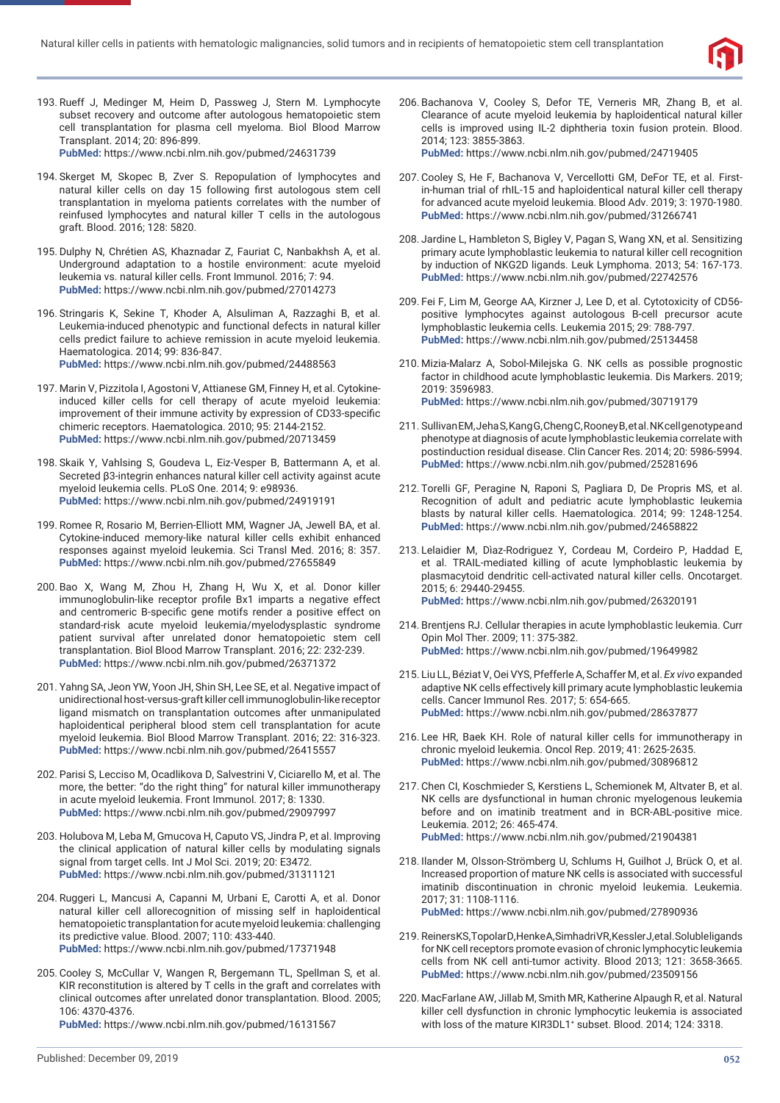

- 193. Rueff J, Medinger M, Heim D, Passweg J, Stern M. Lymphocyte subset recovery and outcome after autologous hematopoietic stem cell transplantation for plasma cell myeloma. Biol Blood Marrow Transplant. 2014; 20: 896-899. **PubMed:** https://www.ncbi.nlm.nih.gov/pubmed/24631739
- 194. Skerget M, Skopec B, Zver S. Repopulation of lymphocytes and natural killer cells on day 15 following first autologous stem cell transplantation in myeloma patients correlates with the number of reinfused lymphocytes and natural killer T cells in the autologous graft. Blood. 2016; 128: 5820.
- 195. Dulphy N, Chrétien AS, Khaznadar Z, Fauriat C, Nanbakhsh A, et al. Underground adaptation to a hostile environment: acute myeloid leukemia vs. natural killer cells. Front Immunol. 2016; 7: 94. **PubMed:** https://www.ncbi.nlm.nih.gov/pubmed/27014273
- 196. Stringaris K, Sekine T, Khoder A, Alsuliman A, Razzaghi B, et al. Leukemia-induced phenotypic and functional defects in natural killer cells predict failure to achieve remission in acute myeloid leukemia. Haematologica. 2014; 99: 836-847.

- 197. Marin V, Pizzitola I, Agostoni V, Attianese GM, Finney H, et al. Cytokineinduced killer cells for cell therapy of acute myeloid leukemia: improvement of their immune activity by expression of CD33-specific chimeric receptors. Haematologica. 2010; 95: 2144-2152. **PubMed:** https://www.ncbi.nlm.nih.gov/pubmed/20713459
- 198. Skaik Y, Vahlsing S, Goudeva L, Eiz-Vesper B, Battermann A, et al. Secreted β3-integrin enhances natural killer cell activity against acute myeloid leukemia cells. PLoS One. 2014; 9: e98936. **PubMed:** https://www.ncbi.nlm.nih.gov/pubmed/24919191
- 199. Romee R, Rosario M, Berrien-Elliott MM, Wagner JA, Jewell BA, et al. Cytokine-induced memory-like natural killer cells exhibit enhanced responses against myeloid leukemia. Sci Transl Med. 2016; 8: 357. **PubMed:** https://www.ncbi.nlm.nih.gov/pubmed/27655849
- 200. Bao X, Wang M, Zhou H, Zhang H, Wu X, et al. Donor killer immunoglobulin-like receptor profile Bx1 imparts a negative effect and centromeric B-specific gene motifs render a positive effect on standard-risk acute myeloid leukemia/myelodysplastic syndrome patient survival after unrelated donor hematopoietic stem cell transplantation. Biol Blood Marrow Transplant. 2016; 22: 232-239. **PubMed:** https://www.ncbi.nlm.nih.gov/pubmed/26371372
- 201. Yahng SA, Jeon YW, Yoon JH, Shin SH, Lee SE, et al. Negative impact of unidirectional host-versus-graft killer cell immunoglobulin-like receptor ligand mismatch on transplantation outcomes after unmanipulated haploidentical peripheral blood stem cell transplantation for acute myeloid leukemia. Biol Blood Marrow Transplant. 2016; 22: 316-323. **PubMed:** https://www.ncbi.nlm.nih.gov/pubmed/26415557
- 202. Parisi S, Lecciso M, Ocadlikova D, Salvestrini V, Ciciarello M, et al. The more, the better: "do the right thing" for natural killer immunotherapy in acute myeloid leukemia. Front Immunol. 2017; 8: 1330. **PubMed:** https://www.ncbi.nlm.nih.gov/pubmed/29097997
- 203. Holubova M, Leba M, Gmucova H, Caputo VS, Jindra P, et al. Improving the clinical application of natural killer cells by modulating signals signal from target cells. Int J Mol Sci. 2019; 20: E3472. **PubMed:** https://www.ncbi.nlm.nih.gov/pubmed/31311121
- 204. Ruggeri L, Mancusi A, Capanni M, Urbani E, Carotti A, et al. Donor natural killer cell allorecognition of missing self in haploidentical hematopoietic transplantation for acute myeloid leukemia: challenging its predictive value. Blood. 2007; 110: 433-440. **PubMed:** https://www.ncbi.nlm.nih.gov/pubmed/17371948
- 205. Cooley S, McCullar V, Wangen R, Bergemann TL, Spellman S, et al. KIR reconstitution is altered by T cells in the graft and correlates with clinical outcomes after unrelated donor transplantation. Blood. 2005; 106: 4370-4376.

**PubMed:** https://www.ncbi.nlm.nih.gov/pubmed/16131567

206. Bachanova V, Cooley S, Defor TE, Verneris MR, Zhang B, et al. Clearance of acute myeloid leukemia by haploidentical natural killer cells is improved using IL-2 diphtheria toxin fusion protein. Blood. 2014; 123: 3855-3863.

- 207. Cooley S, He F, Bachanova V, Vercellotti GM, DeFor TE, et al. Firstin-human trial of rhIL-15 and haploidentical natural killer cell therapy for advanced acute myeloid leukemia. Blood Adv. 2019; 3: 1970-1980. **PubMed:** https://www.ncbi.nlm.nih.gov/pubmed/31266741
- 208. Jardine L, Hambleton S, Bigley V, Pagan S, Wang XN, et al. Sensitizing primary acute lymphoblastic leukemia to natural killer cell recognition by induction of NKG2D ligands. Leuk Lymphoma. 2013; 54: 167-173. **PubMed:** https://www.ncbi.nlm.nih.gov/pubmed/22742576
- 209. Fei F, Lim M, George AA, Kirzner J, Lee D, et al. Cytotoxicity of CD56 positive lymphocytes against autologous B-cell precursor acute lymphoblastic leukemia cells. Leukemia 2015; 29: 788-797. **PubMed:** https://www.ncbi.nlm.nih.gov/pubmed/25134458
- 210. Mizia-Malarz A, Sobol-Milejska G. NK cells as possible prognostic factor in childhood acute lymphoblastic leukemia. Dis Markers. 2019; 2019: 3596983. **PubMed:** https://www.ncbi.nlm.nih.gov/pubmed/30719179
- 211. Sullivan EM, Jeha S, Kang G, Cheng C, Rooney B, et al. NK cell genotype and phenotype at diagnosis of acute lymphoblastic leukemia correlate with postinduction residual disease. Clin Cancer Res. 2014; 20: 5986-5994. **PubMed:** https://www.ncbi.nlm.nih.gov/pubmed/25281696
- 212. Torelli GF, Peragine N, Raponi S, Pagliara D, De Propris MS, et al. Recognition of adult and pediatric acute lymphoblastic leukemia blasts by natural killer cells. Haematologica. 2014; 99: 1248-1254. **PubMed:** https://www.ncbi.nlm.nih.gov/pubmed/24658822
- 213. Lelaidier M, Dìaz-Rodriguez Y, Cordeau M, Cordeiro P, Haddad E, et al. TRAIL-mediated killing of acute lymphoblastic leukemia by plasmacytoid dendritic cell-activated natural killer cells. Oncotarget. 2015; 6: 29440-29455. **PubMed:** https://www.ncbi.nlm.nih.gov/pubmed/26320191
- 214. Brentjens RJ. Cellular therapies in acute lymphoblastic leukemia. Curr Opin Mol Ther. 2009; 11: 375-382. **PubMed:** https://www.ncbi.nlm.nih.gov/pubmed/19649982
- 215. Liu LL, Béziat V, Oei VYS, Pfefferle A, Schaffer M, et al. *Ex vivo* expanded adaptive NK cells effectively kill primary acute lymphoblastic leukemia cells. Cancer Immunol Res. 2017; 5: 654-665. **PubMed:** https://www.ncbi.nlm.nih.gov/pubmed/28637877
- 216. Lee HR, Baek KH. Role of natural killer cells for immunotherapy in chronic myeloid leukemia. Oncol Rep. 2019; 41: 2625-2635. **PubMed:** https://www.ncbi.nlm.nih.gov/pubmed/30896812
- 217. Chen CI, Koschmieder S, Kerstiens L, Schemionek M, Altvater B, et al. NK cells are dysfunctional in human chronic myelogenous leukemia before and on imatinib treatment and in BCR-ABL-positive mice. Leukemia. 2012; 26: 465-474. **PubMed:** https://www.ncbi.nlm.nih.gov/pubmed/21904381
- 218. Ilander M, Olsson-Strömberg U, Schlums H, Guilhot J, Brück O, et al. Increased proportion of mature NK cells is associated with successful imatinib discontinuation in chronic myeloid leukemia. Leukemia. 2017; 31: 1108-1116. **PubMed:** https://www.ncbi.nlm.nih.gov/pubmed/27890936
- 219. Reiners KS, Topolar D, Henke A, Simhadri VR, Kessler J, et al. Soluble ligands for NK cell receptors promote evasion of chronic lymphocytic leukemia cells from NK cell anti-tumor activity. Blood 2013; 121: 3658-3665. **PubMed:** https://www.ncbi.nlm.nih.gov/pubmed/23509156
- 220. MacFarlane AW, Jillab M, Smith MR, Katherine Alpaugh R, et al. Natural killer cell dysfunction in chronic lymphocytic leukemia is associated with loss of the mature KIR3DL1<sup>+</sup> subset. Blood. 2014; 124: 3318.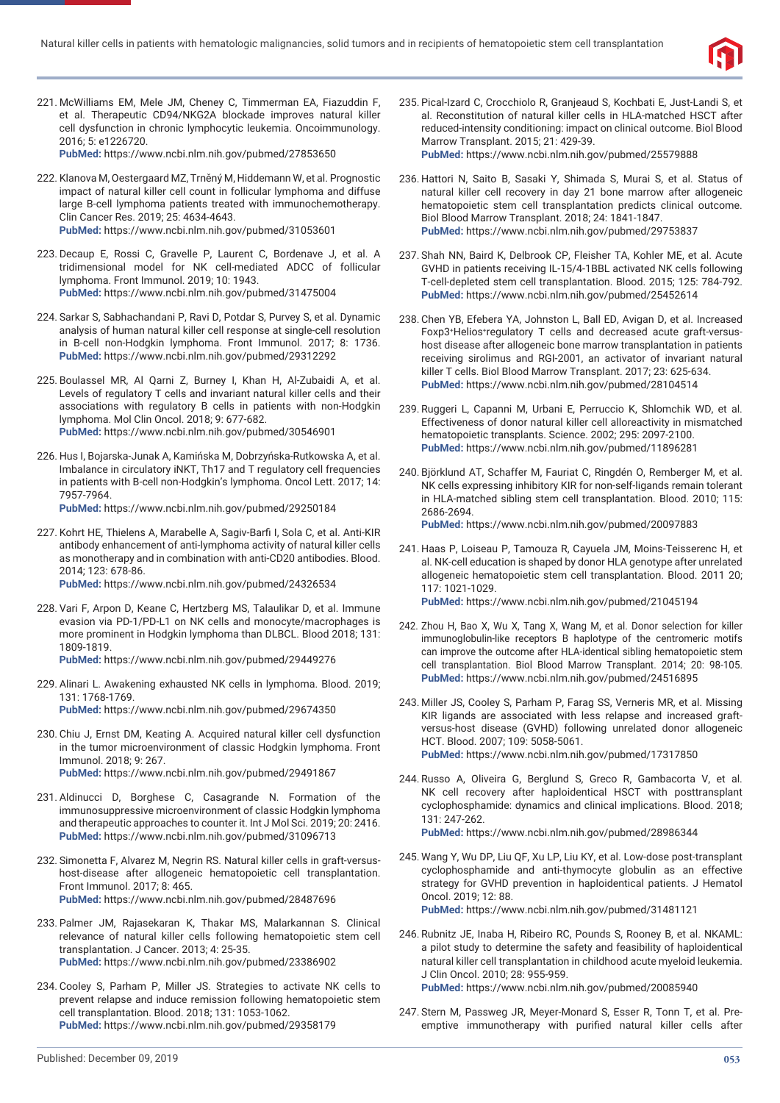

- 221. McWilliams EM, Mele JM, Cheney C, Timmerman EA, Fiazuddin F, et al. Therapeutic CD94/NKG2A blockade improves natural killer cell dysfunction in chronic lymphocytic leukemia. Oncoimmunology. 2016; 5: e1226720. **PubMed:** https://www.ncbi.nlm.nih.gov/pubmed/27853650
- 222. Klanova M, Oestergaard MZ, Trněný M, Hiddemann W, et al. Prognostic impact of natural killer cell count in follicular lymphoma and diffuse large B-cell lymphoma patients treated with immunochemotherapy. Clin Cancer Res. 2019; 25: 4634-4643. **PubMed:** https://www.ncbi.nlm.nih.gov/pubmed/31053601
- 223. Decaup E, Rossi C, Gravelle P, Laurent C, Bordenave J, et al. A tridimensional model for NK cell-mediated ADCC of follicular lymphoma. Front Immunol. 2019; 10: 1943. **PubMed:** https://www.ncbi.nlm.nih.gov/pubmed/31475004
- 224. Sarkar S, Sabhachandani P, Ravi D, Potdar S, Purvey S, et al. Dynamic analysis of human natural killer cell response at single-cell resolution in B-cell non-Hodgkin lymphoma. Front Immunol. 2017; 8: 1736. **PubMed:** https://www.ncbi.nlm.nih.gov/pubmed/29312292
- 225. Boulassel MR, Al Qarni Z, Burney I, Khan H, Al-Zubaidi A, et al. Levels of regulatory T cells and invariant natural killer cells and their associations with regulatory B cells in patients with non-Hodgkin lymphoma. Mol Clin Oncol. 2018; 9: 677-682. **PubMed:** https://www.ncbi.nlm.nih.gov/pubmed/30546901
- 226. Hus I, Bojarska-Junak A, Kamińska M, Dobrzyńska-Rutkowska A, et al. Imbalance in circulatory iNKT, Th17 and T regulatory cell frequencies in patients with B-cell non-Hodgkin's lymphoma. Oncol Lett. 2017; 14: 7957-7964.

227. Kohrt HE, Thielens A, Marabelle A, Sagiv-Barfi I, Sola C, et al. Anti-KIR antibody enhancement of anti-lymphoma activity of natural killer cells as monotherapy and in combination with anti-CD20 antibodies. Blood. 2014; 123: 678-86.

**PubMed:** https://www.ncbi.nlm.nih.gov/pubmed/24326534

228. Vari F, Arpon D, Keane C, Hertzberg MS, Talaulikar D, et al. Immune evasion via PD-1/PD-L1 on NK cells and monocyte/macrophages is more prominent in Hodgkin lymphoma than DLBCL. Blood 2018; 131: 1809-1819.

**PubMed:** https://www.ncbi.nlm.nih.gov/pubmed/29449276

- 229. Alinari L. Awakening exhausted NK cells in lymphoma. Blood. 2019; 131: 1768-1769. **PubMed:** https://www.ncbi.nlm.nih.gov/pubmed/29674350
- 230. Chiu J, Ernst DM, Keating A. Acquired natural killer cell dysfunction in the tumor microenvironment of classic Hodgkin lymphoma. Front Immunol. 2018; 9: 267. **PubMed:** https://www.ncbi.nlm.nih.gov/pubmed/29491867
- 231. Aldinucci D, Borghese C, Casagrande N. Formation of the immunosuppressive microenvironment of classic Hodgkin lymphoma and therapeutic approaches to counter it. Int J Mol Sci. 2019; 20: 2416. **PubMed:** https://www.ncbi.nlm.nih.gov/pubmed/31096713
- 232. Simonetta F, Alvarez M, Negrin RS. Natural killer cells in graft-versushost-disease after allogeneic hematopoietic cell transplantation. Front Immunol. 2017; 8: 465. **PubMed:** https://www.ncbi.nlm.nih.gov/pubmed/28487696
- 233. Palmer JM, Rajasekaran K, Thakar MS, Malarkannan S. Clinical relevance of natural killer cells following hematopoietic stem cell transplantation. J Cancer. 2013; 4: 25-35. **PubMed:** https://www.ncbi.nlm.nih.gov/pubmed/23386902
- 234. Cooley S, Parham P, Miller JS. Strategies to activate NK cells to prevent relapse and induce remission following hematopoietic stem cell transplantation. Blood. 2018; 131: 1053-1062. **PubMed:** https://www.ncbi.nlm.nih.gov/pubmed/29358179
- 235. Pical-Izard C, Crocchiolo R, Granjeaud S, Kochbati E, Just-Landi S, et al. Reconstitution of natural killer cells in HLA-matched HSCT after reduced-intensity conditioning: impact on clinical outcome. Biol Blood Marrow Transplant. 2015; 21: 429-39. **PubMed:** https://www.ncbi.nlm.nih.gov/pubmed/25579888
- 236. Hattori N, Saito B, Sasaki Y, Shimada S, Murai S, et al. Status of natural killer cell recovery in day 21 bone marrow after allogeneic hematopoietic stem cell transplantation predicts clinical outcome. Biol Blood Marrow Transplant. 2018; 24: 1841-1847. **PubMed:** https://www.ncbi.nlm.nih.gov/pubmed/29753837
- 237. Shah NN, Baird K, Delbrook CP, Fleisher TA, Kohler ME, et al. Acute GVHD in patients receiving IL-15/4-1BBL activated NK cells following T-cell-depleted stem cell transplantation. Blood. 2015; 125: 784-792. **PubMed:** https://www.ncbi.nlm.nih.gov/pubmed/25452614
- 238. Chen YB, Efebera YA, Johnston L, Ball ED, Avigan D, et al. Increased Foxp3+Helios+regulatory T cells and decreased acute graft-versushost disease after allogeneic bone marrow transplantation in patients receiving sirolimus and RGI-2001, an activator of invariant natural killer T cells. Biol Blood Marrow Transplant. 2017; 23: 625-634. **PubMed:** https://www.ncbi.nlm.nih.gov/pubmed/28104514
- 239. Ruggeri L, Capanni M, Urbani E, Perruccio K, Shlomchik WD, et al. Effectiveness of donor natural killer cell alloreactivity in mismatched hematopoietic transplants. Science. 2002; 295: 2097-2100. **PubMed:** https://www.ncbi.nlm.nih.gov/pubmed/11896281
- 240. Björklund AT, Schaffer M, Fauriat C, Ringdén O, Remberger M, et al. NK cells expressing inhibitory KIR for non-self-ligands remain tolerant in HLA-matched sibling stem cell transplantation. Blood. 2010; 115: 2686-2694.
	- **PubMed:** https://www.ncbi.nlm.nih.gov/pubmed/20097883
- 241. Haas P, Loiseau P, Tamouza R, Cayuela JM, Moins-Teisserenc H, et al. NK-cell education is shaped by donor HLA genotype after unrelated allogeneic hematopoietic stem cell transplantation. Blood. 2011 20; 117: 1021-1029. **PubMed:** https://www.ncbi.nlm.nih.gov/pubmed/21045194
- 242. Zhou H, Bao X, Wu X, Tang X, Wang M, et al. Donor selection for killer immunoglobulin-like receptors B haplotype of the centromeric motifs can improve the outcome after HLA-identical sibling hematopoietic stem cell transplantation. Biol Blood Marrow Transplant. 2014; 20: 98-105.

- 243. Miller JS, Cooley S, Parham P, Farag SS, Verneris MR, et al. Missing KIR ligands are associated with less relapse and increased graftversus-host disease (GVHD) following unrelated donor allogeneic HCT. Blood. 2007; 109: 5058-5061. **PubMed:** https://www.ncbi.nlm.nih.gov/pubmed/17317850
- 244. Russo A, Oliveira G, Berglund S, Greco R, Gambacorta V, et al. NK cell recovery after haploidentical HSCT with posttransplant cyclophosphamide: dynamics and clinical implications. Blood. 2018; 131: 247-262. **PubMed:** https://www.ncbi.nlm.nih.gov/pubmed/28986344
- 245. Wang Y, Wu DP, Liu QF, Xu LP, Liu KY, et al. Low-dose post-transplant cyclophosphamide and anti-thymocyte globulin as an effective strategy for GVHD prevention in haploidentical patients. J Hematol Oncol. 2019; 12: 88. **PubMed:** https://www.ncbi.nlm.nih.gov/pubmed/31481121
- 246. Rubnitz JE, Inaba H, Ribeiro RC, Pounds S, Rooney B, et al. NKAML: a pilot study to determine the safety and feasibility of haploidentical natural killer cell transplantation in childhood acute myeloid leukemia. J Clin Oncol. 2010; 28: 955-959. **PubMed:** https://www.ncbi.nlm.nih.gov/pubmed/20085940
- 247. Stern M, Passweg JR, Meyer-Monard S, Esser R, Tonn T, et al. Preemptive immunotherapy with purified natural killer cells after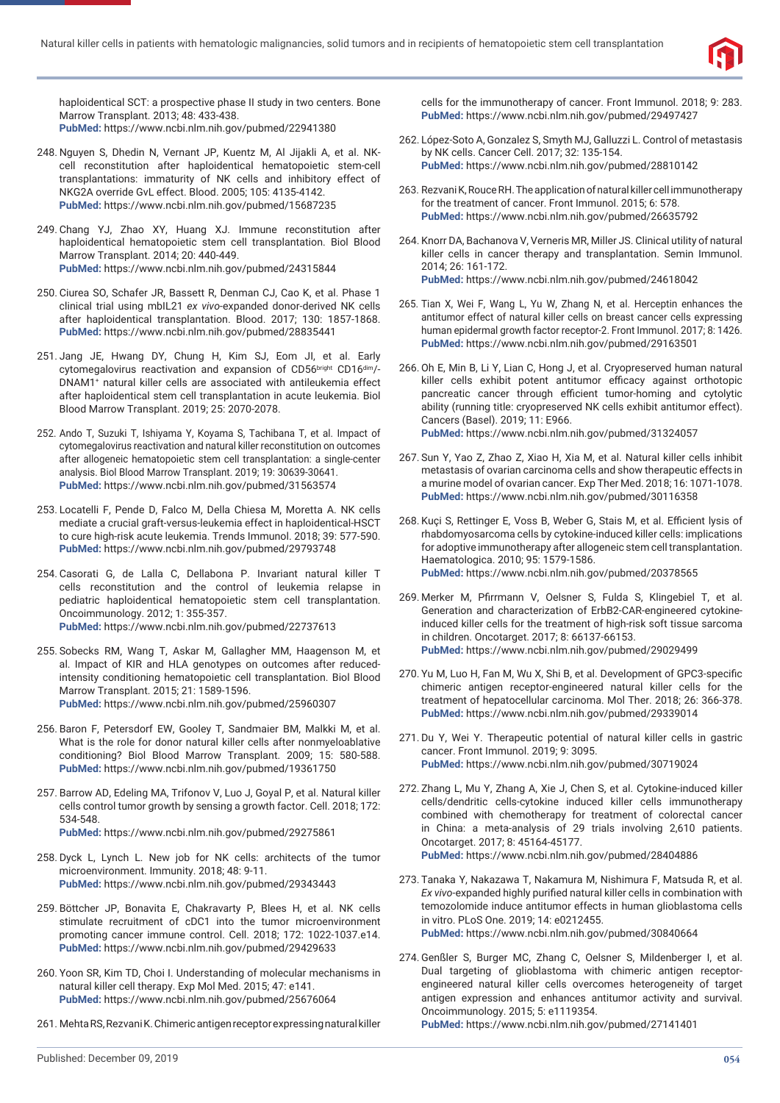

haploidentical SCT: a prospective phase II study in two centers. Bone Marrow Transplant. 2013; 48: 433-438. **PubMed:** https://www.ncbi.nlm.nih.gov/pubmed/22941380

- 248. Nguyen S, Dhedin N, Vernant JP, Kuentz M, Al Jijakli A, et al. NKcell reconstitution after haploidentical hematopoietic stem-cell transplantations: immaturity of NK cells and inhibitory effect of NKG2A override GvL effect. Blood. 2005; 105: 4135-4142. **PubMed:** https://www.ncbi.nlm.nih.gov/pubmed/15687235
- 249. Chang YJ, Zhao XY, Huang XJ. Immune reconstitution after haploidentical hematopoietic stem cell transplantation. Biol Blood Marrow Transplant. 2014; 20: 440-449. **PubMed:** https://www.ncbi.nlm.nih.gov/pubmed/24315844
- 250. Ciurea SO, Schafer JR, Bassett R, Denman CJ, Cao K, et al. Phase 1 clinical trial using mbIL21 *ex vivo*-expanded donor-derived NK cells after haploidentical transplantation. Blood. 2017; 130: 1857-1868. **PubMed:** https://www.ncbi.nlm.nih.gov/pubmed/28835441
- 251. Jang JE, Hwang DY, Chung H, Kim SJ, Eom JI, et al. Early cytomegalovirus reactivation and expansion of CD56bright CD16dim/-DNAM1+ natural killer cells are associated with antileukemia effect after haploidentical stem cell transplantation in acute leukemia. Biol Blood Marrow Transplant. 2019; 25: 2070-2078.
- 252. Ando T, Suzuki T, Ishiyama Y, Koyama S, Tachibana T, et al. Impact of cytomegalovirus reactivation and natural killer reconstitution on outcomes after allogeneic hematopoietic stem cell transplantation: a single-center analysis. Biol Blood Marrow Transplant. 2019; 19: 30639-30641. **PubMed:** https://www.ncbi.nlm.nih.gov/pubmed/31563574
- 253. Locatelli F, Pende D, Falco M, Della Chiesa M, Moretta A. NK cells mediate a crucial graft-versus-leukemia effect in haploidentical-HSCT to cure high-risk acute leukemia. Trends Immunol. 2018; 39: 577-590. **PubMed:** https://www.ncbi.nlm.nih.gov/pubmed/29793748
- 254. Casorati G, de Lalla C, Dellabona P. Invariant natural killer T cells reconstitution and the control of leukemia relapse in pediatric haploidentical hematopoietic stem cell transplantation. Oncoimmunology. 2012; 1: 355-357. **PubMed:** https://www.ncbi.nlm.nih.gov/pubmed/22737613
- 255. Sobecks RM, Wang T, Askar M, Gallagher MM, Haagenson M, et al. Impact of KIR and HLA genotypes on outcomes after reducedintensity conditioning hematopoietic cell transplantation. Biol Blood Marrow Transplant. 2015; 21: 1589-1596. **PubMed:** https://www.ncbi.nlm.nih.gov/pubmed/25960307
- 256. Baron F, Petersdorf EW, Gooley T, Sandmaier BM, Malkki M, et al. What is the role for donor natural killer cells after nonmyeloablative conditioning? Biol Blood Marrow Transplant. 2009; 15: 580-588. **PubMed:** https://www.ncbi.nlm.nih.gov/pubmed/19361750
- 257. Barrow AD, Edeling MA, Trifonov V, Luo J, Goyal P, et al. Natural killer cells control tumor growth by sensing a growth factor. Cell. 2018; 172: 534-548. **PubMed:** https://www.ncbi.nlm.nih.gov/pubmed/29275861
- 258. Dyck L, Lynch L. New job for NK cells: architects of the tumor microenvironment. Immunity. 2018; 48: 9-11. **PubMed:** https://www.ncbi.nlm.nih.gov/pubmed/29343443
- 259. Böttcher JP, Bonavita E, Chakravarty P, Blees H, et al. NK cells stimulate recruitment of cDC1 into the tumor microenvironment promoting cancer immune control. Cell. 2018; 172: 1022-1037.e14. **PubMed:** https://www.ncbi.nlm.nih.gov/pubmed/29429633
- 260. Yoon SR, Kim TD, Choi I. Understanding of molecular mechanisms in natural killer cell therapy. Exp Mol Med. 2015; 47: e141. **PubMed:** https://www.ncbi.nlm.nih.gov/pubmed/25676064
- 261. Mehta RS, Rezvani K. Chimeric antigen receptor expressing natural killer

cells for the immunotherapy of cancer. Front Immunol. 2018; 9: 283. **PubMed:** https://www.ncbi.nlm.nih.gov/pubmed/29497427

- 262. López-Soto A, Gonzalez S, Smyth MJ, Galluzzi L. Control of metastasis by NK cells. Cancer Cell. 2017; 32: 135-154. **PubMed:** https://www.ncbi.nlm.nih.gov/pubmed/28810142
- 263. Rezvani K, Rouce RH. The application of natural killer cell immunotherapy for the treatment of cancer. Front Immunol. 2015; 6: 578. **PubMed:** https://www.ncbi.nlm.nih.gov/pubmed/26635792
- 264. Knorr DA, Bachanova V, Verneris MR, Miller JS. Clinical utility of natural killer cells in cancer therapy and transplantation. Semin Immunol. 2014; 26: 161-172. **PubMed:** https://www.ncbi.nlm.nih.gov/pubmed/24618042
- 265. Tian X, Wei F, Wang L, Yu W, Zhang N, et al. Herceptin enhances the antitumor effect of natural killer cells on breast cancer cells expressing human epidermal growth factor receptor-2. Front Immunol. 2017; 8: 1426. **PubMed:** https://www.ncbi.nlm.nih.gov/pubmed/29163501
- 266. Oh E, Min B, Li Y, Lian C, Hong J, et al. Cryopreserved human natural killer cells exhibit potent antitumor efficacy against orthotopic pancreatic cancer through efficient tumor-homing and cytolytic ability (running title: cryopreserved NK cells exhibit antitumor effect). Cancers (Basel). 2019; 11: E966. **PubMed:** https://www.ncbi.nlm.nih.gov/pubmed/31324057
- 267. Sun Y, Yao Z, Zhao Z, Xiao H, Xia M, et al. Natural killer cells inhibit metastasis of ovarian carcinoma cells and show therapeutic effects in a murine model of ovarian cancer. Exp Ther Med. 2018; 16: 1071-1078. **PubMed:** https://www.ncbi.nlm.nih.gov/pubmed/30116358
- 268. Kuçi S, Rettinger E, Voss B, Weber G, Stais M, et al. Efficient lysis of rhabdomyosarcoma cells by cytokine-induced killer cells: implications for adoptive immunotherapy after allogeneic stem cell transplantation. Haematologica. 2010; 95: 1579-1586. **PubMed:** https://www.ncbi.nlm.nih.gov/pubmed/20378565
- 269. Merker M, Pfirrmann V, Oelsner S, Fulda S, Klingebiel T, et al. Generation and characterization of ErbB2-CAR-engineered cytokineinduced killer cells for the treatment of high-risk soft tissue sarcoma in children. Oncotarget. 2017; 8: 66137-66153. **PubMed:** https://www.ncbi.nlm.nih.gov/pubmed/29029499
- 270. Yu M, Luo H, Fan M, Wu X, Shi B, et al. Development of GPC3-specific chimeric antigen receptor-engineered natural killer cells for the treatment of hepatocellular carcinoma. Mol Ther. 2018; 26: 366-378. **PubMed:** https://www.ncbi.nlm.nih.gov/pubmed/29339014
- 271. Du Y, Wei Y. Therapeutic potential of natural killer cells in gastric cancer. Front Immunol. 2019; 9: 3095. **PubMed:** https://www.ncbi.nlm.nih.gov/pubmed/30719024
- 272. Zhang L, Mu Y, Zhang A, Xie J, Chen S, et al. Cytokine-induced killer cells/dendritic cells-cytokine induced killer cells immunotherapy combined with chemotherapy for treatment of colorectal cancer in China: a meta-analysis of 29 trials involving 2,610 patients. Oncotarget. 2017; 8: 45164-45177. **PubMed:** https://www.ncbi.nlm.nih.gov/pubmed/28404886
- 273. Tanaka Y, Nakazawa T, Nakamura M, Nishimura F, Matsuda R, et al. **Ex vivo-expanded highly purified natural killer cells in combination with** temozolomide induce antitumor effects in human glioblastoma cells in vitro. PLoS One. 2019; 14: e0212455. **PubMed:** https://www.ncbi.nlm.nih.gov/pubmed/30840664
- 274. Genßler S, Burger MC, Zhang C, Oelsner S, Mildenberger I, et al. Dual targeting of glioblastoma with chimeric antigen receptorengineered natural killer cells overcomes heterogeneity of target antigen expression and enhances antitumor activity and survival. Oncoimmunology. 2015; 5: e1119354.